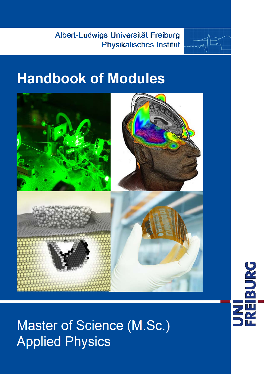Albert-Ludwigs Universität Freiburg **Physikalisches Institut** 



# Handbook of Modules



**Master of Science (M.Sc.) Applied Physics** 

**UNI<br>FREIBURG**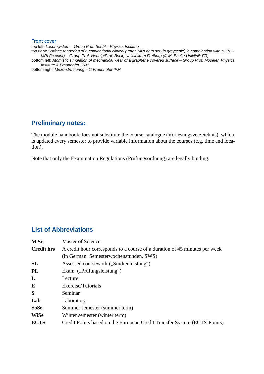#### Front cover

top left: *Laser system – Group Prof. Schätz, Physics Institute* top right: *Surface rendering of a conventional clinical proton MRI data set (in greyscale) in combination with a 17O-MRI (in color) – Group Prof. Hennig/Prof. Bock, Uniklinikum Freiburg (© M. Bock / Uniklinik FR)* bottom left: *Atomistic simulation of mechanical wear of a graphene covered surface – Group Prof. Moseler, Physics Institute & Fraunhofer IWM*

bottom right: *Micro-structuring – © Fraunhofer IPM*

#### **Preliminary notes:**

The module handbook does not substitute the course catalogue (Vorlesungsverzeichnis), which is updated every semester to provide variable information about the courses (e.g. time and location).

Note that only the Examination Regulations (Prüfungsordnung) are legally binding.

## **List of Abbreviations**

| M.Sc.             | Master of Science                                                          |  |  |  |  |  |
|-------------------|----------------------------------------------------------------------------|--|--|--|--|--|
| <b>Credit hrs</b> | A credit hour corresponds to a course of a duration of 45 minutes per week |  |  |  |  |  |
|                   | (in German: Semesterwochenstunden, SWS)                                    |  |  |  |  |  |
| SL                | Assessed coursework ("Studienleistung")                                    |  |  |  |  |  |
| PL                | Exam ("Prüfungsleistung")                                                  |  |  |  |  |  |
| L                 | Lecture                                                                    |  |  |  |  |  |
| E                 | Exercise/Tutorials                                                         |  |  |  |  |  |
| S                 | Seminar                                                                    |  |  |  |  |  |
| Lab               | Laboratory                                                                 |  |  |  |  |  |
| <b>SoSe</b>       | Summer semester (summer term)                                              |  |  |  |  |  |
| <b>WiSe</b>       | Winter semester (winter term)                                              |  |  |  |  |  |
| <b>ECTS</b>       | Credit Points based on the European Credit Transfer System (ECTS-Points)   |  |  |  |  |  |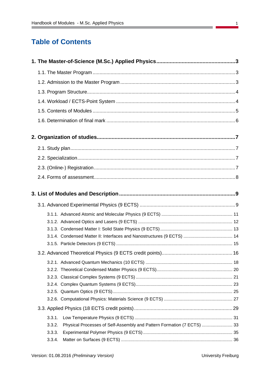# **Table of Contents**

| 3.3.1.                                                                           |  |
|----------------------------------------------------------------------------------|--|
| Physical Processes of Self-Assembly and Pattern Formation (7 ECTS)  33<br>3.3.2. |  |
| 3.3.3.                                                                           |  |
| 3.3.4.                                                                           |  |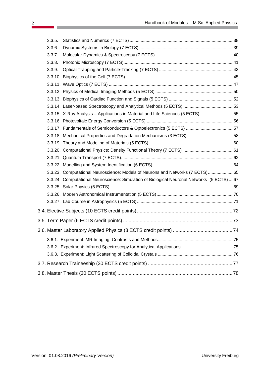| 3.3.15. X-Ray Analysis - Applications in Material and Life Sciences (5 ECTS) 55            |
|--------------------------------------------------------------------------------------------|
|                                                                                            |
| 3.3.17. Fundamentals of Semiconductors & Optoelectronics (5 ECTS)  57                      |
| 3.3.18. Mechanical Properties and Degradation Mechanisms (3 ECTS)  58                      |
|                                                                                            |
|                                                                                            |
|                                                                                            |
|                                                                                            |
| 3.3.23. Computational Neuroscience: Models of Neurons and Networks (7 ECTS) 65             |
| 3.3.24. Computational Neuroscience: Simulation of Biological Neuronal Networks (5 ECTS) 67 |
|                                                                                            |
|                                                                                            |
|                                                                                            |
|                                                                                            |
|                                                                                            |
|                                                                                            |
|                                                                                            |
|                                                                                            |
|                                                                                            |
|                                                                                            |
|                                                                                            |
|                                                                                            |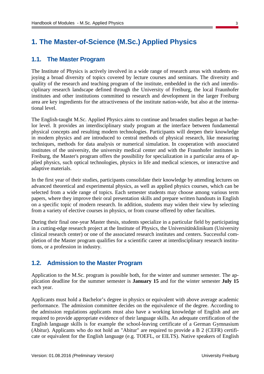# <span id="page-4-0"></span>**1. The Master-of-Science (M.Sc.) Applied Physics**

#### <span id="page-4-1"></span>**1.1. The Master Program**

The Institute of Physics is actively involved in a wide range of research areas with students enjoying a broad diversity of topics covered by lecture courses and seminars. The diversity and quality of the research and teaching program of the institute, embedded in the rich and interdisciplinary research landscape defined through the University of Freiburg, the local Fraunhofer institutes and other institutions committed to research and development in the larger Freiburg area are key ingredients for the attractiveness of the institute nation-wide, but also at the international level.

The English-taught M.Sc. Applied Physics aims to continue and broaden studies begun at bachelor level. It provides an interdisciplinary study program at the interface between fundamental physical concepts and resulting modern technologies. Participants will deepen their knowledge in modern physics and are introduced to central methods of physical research, like measuring techniques, methods for data analysis or numerical simulation. In cooperation with associated institutes of the university, the university medical center and with the Fraunhofer institutes in Freiburg, the Master's program offers the possibility for specialization in a particular area of applied physics, such optical technologies, physics in life and medical sciences, or interactive and adaptive materials.

In the first year of their studies, participants consolidate their knowledge by attending lectures on advanced theoretical and experimental physics, as well as applied physics courses, which can be selected from a wide range of topics. Each semester students may choose among various term papers, where they improve their oral presentation skills and prepare written handouts in English on a specific topic of modern research. In addition, students may widen their view by selecting from a variety of elective courses in physics, or from course offered by other faculties.

During their final one-year Master thesis, students specialize in a particular field by participating in a cutting-edge research project at the Institute of Physics, the Universitätsklinikum (University clinical research center) or one of the associated research institutes and centers. Successful completion of the Master program qualifies for a scientific career at interdisciplinary research institutions, or a profession in industry.

## <span id="page-4-2"></span>**1.2. Admission to the Master Program**

Application to the M.Sc. program is possible both, for the winter and summer semester. The application deadline for the summer semester is **January 15** and for the winter semester **July 15** each year.

Applicants must hold a Bachelor's degree in physics or equivalent with above average academic performance. The admission committee decides on the equivalence of the degree. According to the admission regulations applicants must also have a working knowledge of English and are required to provide appropriate evidence of their language skills. An adequate certification of the English language skills is for example the school-leaving certificate of a German Gymnasium (Abitur). Applicants who do not hold an "Abitur" are required to provide a B 2 (CEFR) certificate or equivalent for the English language (e.g. TOEFL, or EILTS). Native speakers of English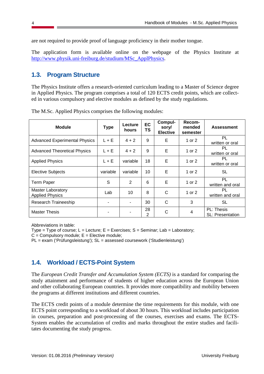are not required to provide proof of language proficiency in their mother tongue.

The application form is available online on the webpage of the Physics Institute at [http://www.physik.uni-freiburg.de/studium/MSc\\_ApplPhysics.](http://www.physik.uni-freiburg.de/studium/MSc_ApplPhysics)

## <span id="page-5-0"></span>**1.3. Program Structure**

The Physics Institute offers a research-oriented curriculum leading to a Master of Science degree in Applied Physics. The program comprises a total of 120 ECTS credit points, which are collected in various compulsory and elective modules as defined by the study regulations.

| <b>Module</b>                                      | <b>Type</b> | Lecture<br>hours         | <b>EC</b><br>TS | Compul-<br>sory/<br><b>Elective</b> | Recom-<br>mended<br>semester | <b>Assessment</b>                     |
|----------------------------------------------------|-------------|--------------------------|-----------------|-------------------------------------|------------------------------|---------------------------------------|
| <b>Advanced Experimental Physics</b>               | $L + E$     | $4 + 2$                  | 9               | E                                   | 1 or 2                       | <b>PL</b><br>written or oral          |
| <b>Advanced Theoretical Physics</b>                | $L + E$     | $4 + 2$                  | 9               | Е                                   | 1 or 2                       | PL<br>written or oral                 |
| <b>Applied Physics</b>                             | $L + E$     | variable                 | 18              | Е                                   | 1 or 2                       | PL<br>written or oral                 |
| <b>Elective Subjects</b>                           | variable    | variable                 | 10              | Е                                   | 1 or 2                       | <b>SL</b>                             |
| <b>Term Paper</b>                                  | S           | 2                        | 6               | Е                                   | 1 or 2                       | PL<br>written and oral                |
| <b>Master Laboratory</b><br><b>Applied Physics</b> | Lab         | 10                       | 8               | C                                   | 1 or 2                       | PL<br>written and oral                |
| <b>Research Traineeship</b>                        |             | $\overline{\phantom{a}}$ | 30              | C                                   | 3                            | SL                                    |
| <b>Master Thesis</b>                               |             |                          | 28<br>2         | С                                   | 4                            | PL: Thesis<br><b>SL: Presentation</b> |

The M.Sc. Applied Physics comprises the following modules:

Abbreviations in table:

Type = Type of course;  $L =$  Lecture;  $E =$  Exercises;  $S =$  Seminar; Lab = Laboratory;

 $C =$  Compulsory module;  $E =$  Elective module;

PL = exam ('Prüfungsleistung'); SL = assessed coursework ('Studienleistung')

# <span id="page-5-1"></span>**1.4. Workload / ECTS-Point System**

The *European Credit Transfer and Accumulation System (ECTS)* is a standard for comparing the study attainment and performance of students of higher education across the European Union and other collaborating European countries. It provides more compatibility and mobility between the programs at different institutions and different countries.

The ECTS credit points of a module determine the time requirements for this module, with one ECTS point corresponding to a workload of about 30 hours. This workload includes participation in courses, preparation and post-processing of the courses, exercises and exams. The ECTS-System enables the accumulation of credits and marks throughout the entire studies and facilitates documenting the study progress.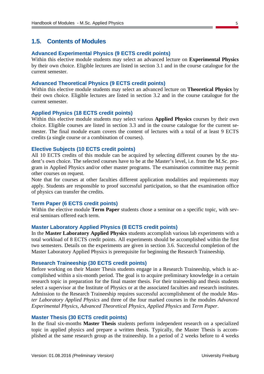#### <span id="page-6-0"></span>**1.5. Contents of Modules**

#### **Advanced Experimental Physics (9 ECTS credit points)**

Within this elective module students may select an advanced lecture on **Experimental Physics** by their own choice. Eligible lectures are listed in section [3.1](#page-10-1) and in the course catalogue for the current semester.

#### **Advanced Theoretical Physics (9 ECTS credit points)**

Within this elective module students may select an advanced lecture on **Theoretical Physics** by their own choice. Eligible lectures are listed in section [3.2](#page-17-0) and in the course catalogue for the current semester.

#### **Applied Physics (18 ECTS credit points)**

Within this elective module students may select various **Applied Physics** courses by their own choice. Eligible courses are listed in section [3.3](#page-30-0) and in the course catalogue for the current semester. The final module exam covers the content of lectures with a total of at least 9 ECTS credits (a single course or a combination of courses).

#### **Elective Subjects (10 ECTS credit points)**

All 10 ECTS credits of this module can be acquired by selecting different courses by the student's own choice. The selected courses have to be at the Master's level, i.e. from the M.Sc. program in Applied Physics and/or other master programs. The examination committee may permit other courses on request.

Note that for courses at other faculties different application modalities and requirements may apply. Students are responsible to proof successful participation, so that the examination office of physics can transfer the credits.

#### **Term Paper (6 ECTS credit points)**

Within the elective module **Term Paper** students chose a seminar on a specific topic, with several seminars offered each term.

#### **Master Laboratory Applied Physics (8 ECTS credit points)**

In the **Master Laboratory Applied Physics** students accomplish various lab experiments with a total workload of 8 ECTS credit points. All experiments should be accomplished within the first two semesters. Details on the experiments are given in section [3.6.](#page-75-0) Successful completion of the Master Laboratory Applied Physics is prerequisite for beginning the Research Traineeship.

#### **Research Traineeship (30 ECTS credit points)**

Before working on their Master Thesis students engage in a Research Traineeship, which is accomplished within a six-month period. The goal is to acquire preliminary knowledge in a certain research topic in preparation for the final master thesis. For their traineeship and thesis students select a supervisor at the Institute of Physics or at the associated faculties and research institutes. Admission to the Research Traineeship requires successful accomplishment of the module *Master Laboratory Applied Physics* and three of the four marked courses in the modules *Advanced Experimental Physics, Advanced Theoretical Physics, Applied Physics* and *Term Paper*.

#### **Master Thesis (30 ECTS credit points)**

In the final six-months **Master Thesis** students perform independent research on a specialized topic in applied physics and prepare a written thesis. Typically, the Master Thesis is accomplished at the same research group as the traineeship. In a period of 2 weeks before to 4 weeks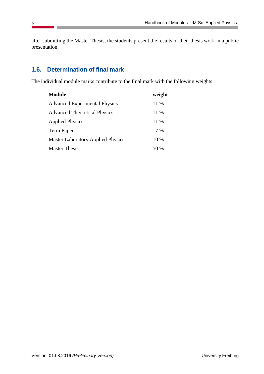after submitting the Master Thesis, the students present the results of their thesis work in a public presentation.

# <span id="page-7-0"></span>**1.6. Determination of final mark**

The individual module marks contribute to the final mark with the following weights:

| <b>Module</b>                            | weight |
|------------------------------------------|--------|
| <b>Advanced Experimental Physics</b>     | 11 %   |
| <b>Advanced Theoretical Physics</b>      | 11 %   |
| <b>Applied Physics</b>                   | 11 %   |
| <b>Term Paper</b>                        | 7 %    |
| <b>Master Laboratory Applied Physics</b> | 10 %   |
| <b>Master Thesis</b>                     | 50 %   |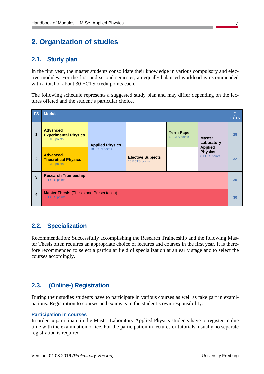# <span id="page-8-0"></span>**2. Organization of studies**

#### <span id="page-8-1"></span>**2.1. Study plan**

In the first year, the master students consolidate their knowledge in various compulsory and elective modules. For the first and second semester, an equally balanced workload is recommended with a total of about 30 ECTS credit points each.

The following schedule represents a suggested study plan and may differ depending on the lectures offered and the student's particular choice.

| FS                      | <b>Module</b><br><b>ECTS</b>                                            |                        |                                            |                                    |                                                   |    |
|-------------------------|-------------------------------------------------------------------------|------------------------|--------------------------------------------|------------------------------------|---------------------------------------------------|----|
| 1                       | <b>Advanced</b><br><b>Experimental Physics</b><br>9 ECTS points         | <b>Applied Physics</b> |                                            | <b>Term Paper</b><br>6 ECTS points | <b>Master</b><br>Laboratory                       | 28 |
| $\overline{2}$          | <b>Advanced</b><br><b>Theoretical Physics</b><br>9 ECTS points          | 18 ECTS points         | <b>Elective Subjects</b><br>10 ECTS points |                                    | <b>Applied</b><br><b>Physics</b><br>8 ECTS points | 32 |
| 3                       | <b>Research Traineeship</b><br>30 ECTS points                           |                        |                                            |                                    |                                                   | 30 |
| $\overline{\mathbf{4}}$ | <b>Master Thesis (Thesis and Presentation)</b><br><b>30 ECTS points</b> |                        |                                            |                                    |                                                   | 30 |

## <span id="page-8-2"></span>**2.2. Specialization**

Recommendation: Successfully accomplishing the Research Traineeship and the following Master Thesis often requires an appropriate choice of lectures and courses in the first year. It is therefore recommended to select a particular field of specialization at an early stage and to select the courses accordingly.

## <span id="page-8-3"></span>**2.3. (Online-) Registration**

During their studies students have to participate in various courses as well as take part in examinations. Registration to courses and exams is in the student's own responsibility.

#### **Participation in courses**

In order to participate in the Master Laboratory Applied Physics students have to register in due time with the examination office. For the participation in lectures or tutorials, usually no separate registration is required.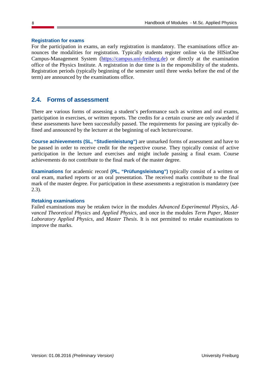#### **Registration for exams**

For the participation in exams, an early registration is mandatory. The examinations office announces the modalities for registration. Typically students register online via the HISinOne Campus-Management System [\(https://campus.uni-freiburg.de\)](https://campus.uni-freiburg.de/) or directly at the examination office of the Physics Institute. A registration in due time is in the responsibility of the students. Registration periods (typically beginning of the semester until three weeks before the end of the term) are announced by the examinations office.

#### <span id="page-9-0"></span>**2.4. Forms of assessment**

There are various forms of assessing a student's performance such as written and oral exams, participation in exercises, or written reports. The credits for a certain course are only awarded if these assessments have been successfully passed. The requirements for passing are typically defined and announced by the lecturer at the beginning of each lecture/course.

**Course achievements (SL, "Studienleistung")** are unmarked forms of assessment and have to be passed in order to receive credit for the respective course. They typically consist of active participation in the lecture and exercises and might include passing a final exam. Course achievements do not contribute to the final mark of the master degree.

**Examinations** for academic record **(PL, "Prüfungsleistung")** typically consist of a written or oral exam, marked reports or an oral presentation. The received marks contribute to the final mark of the master degree. For participation in these assessments a registration is mandatory (see [2.3\)](#page-8-3).

#### **Retaking examinations**

Failed examinations may be retaken twice in the modules *Advanced Experimental Physics, Advanced Theoretical Physics* and *Applied Physics*, and once in the modules *Term Paper, Master Laboratory Applied Physics*, and *Master Thesis*. It is not permitted to retake examinations to improve the marks.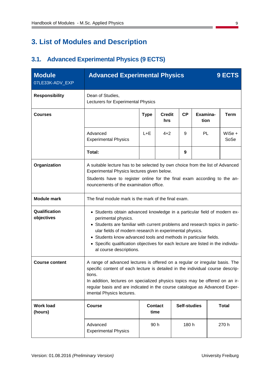# <span id="page-10-0"></span>**3. List of Modules and Description**

# <span id="page-10-1"></span>**3.1. Advanced Experimental Physics (9 ECTS)**

| <b>Module</b><br>07LE33K-ADV_EXP | <b>Advanced Experimental Physics</b><br>9 ECTS                                                                                                                                                                                                                                                                                                                                                                                |  |      |      |  |  |                  |  |
|----------------------------------|-------------------------------------------------------------------------------------------------------------------------------------------------------------------------------------------------------------------------------------------------------------------------------------------------------------------------------------------------------------------------------------------------------------------------------|--|------|------|--|--|------------------|--|
| <b>Responsibility</b>            | Dean of Studies,<br>Lecturers for Experimental Physics                                                                                                                                                                                                                                                                                                                                                                        |  |      |      |  |  |                  |  |
| <b>Courses</b>                   | Examina-<br>CP<br><b>Type</b><br><b>Credit</b><br><b>Term</b><br>tion<br>hrs                                                                                                                                                                                                                                                                                                                                                  |  |      |      |  |  |                  |  |
|                                  | <b>PL</b><br>Advanced<br>$L + E$<br>$4 + 2$<br>9<br><b>Experimental Physics</b>                                                                                                                                                                                                                                                                                                                                               |  |      |      |  |  | WiSe $+$<br>SoSe |  |
|                                  | Total:                                                                                                                                                                                                                                                                                                                                                                                                                        |  |      | 9    |  |  |                  |  |
| Organization                     | A suitable lecture has to be selected by own choice from the list of Advanced<br>Experimental Physics lectures given below.<br>Students have to register online for the final exam according to the an-<br>nouncements of the examination office.                                                                                                                                                                             |  |      |      |  |  |                  |  |
| <b>Module mark</b>               | The final module mark is the mark of the final exam.                                                                                                                                                                                                                                                                                                                                                                          |  |      |      |  |  |                  |  |
| Qualification<br>objectives      | • Students obtain advanced knowledge in a particular field of modern ex-<br>perimental physics.<br>• Students are familiar with current problems and research topics in partic-<br>ular fields of modern research in experimental physics.<br>• Students know advanced tools and methods in particular fields.<br>• Specific qualification objectives for each lecture are listed in the individu-<br>al course descriptions. |  |      |      |  |  |                  |  |
| <b>Course content</b>            | A range of advanced lectures is offered on a regular or irregular basis. The<br>specific content of each lecture is detailed in the individual course descrip-<br>tions.<br>In addition, lectures on specialized physics topics may be offered on an ir-<br>regular basis and are indicated in the course catalogue as Advanced Exper-<br>imental Physics lectures.                                                           |  |      |      |  |  |                  |  |
| <b>Work load</b><br>(hours)      | <b>Self-studies</b><br><b>Total</b><br><b>Course</b><br><b>Contact</b><br>time                                                                                                                                                                                                                                                                                                                                                |  |      |      |  |  |                  |  |
|                                  | Advanced<br><b>Experimental Physics</b>                                                                                                                                                                                                                                                                                                                                                                                       |  | 90 h | 180h |  |  | 270 h            |  |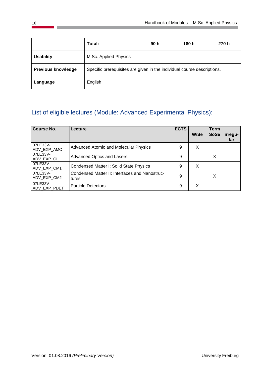|                           | Total:                                                                  | 90 h | 180 h | 270 h |  |  |  |
|---------------------------|-------------------------------------------------------------------------|------|-------|-------|--|--|--|
| <b>Usability</b>          | M.Sc. Applied Physics                                                   |      |       |       |  |  |  |
| <b>Previous knowledge</b> | Specific prerequisites are given in the individual course descriptions. |      |       |       |  |  |  |
| Language                  | English                                                                 |      |       |       |  |  |  |

# List of eligible lectures (Module: Advanced Experimental Physics):

| <b>Course No.</b>        | Lecture                                                 | <b>ECTS</b> | Term        |             |                |
|--------------------------|---------------------------------------------------------|-------------|-------------|-------------|----------------|
|                          |                                                         |             | <b>WiSe</b> | <b>SoSe</b> | irregu-<br>lar |
| 07LE33V-<br>ADV_EXP_AMO  | <b>Advanced Atomic and Molecular Physics</b>            | 9           | X           |             |                |
| 07LE33V-<br>ADV_EXP_OL   | <b>Advanced Optics and Lasers</b>                       | 9           |             | X           |                |
| 07LE33V-<br>ADV_EXP_CM1  | Condensed Matter I: Solid State Physics                 | 9           | X           |             |                |
| 07LE33V-<br>ADV EXP CM2  | Condensed Matter II: Interfaces and Nanostruc-<br>tures | 9           |             | X           |                |
| 07LE33V-<br>ADV EXP PDET | <b>Particle Detectors</b>                               | 9           | х           |             |                |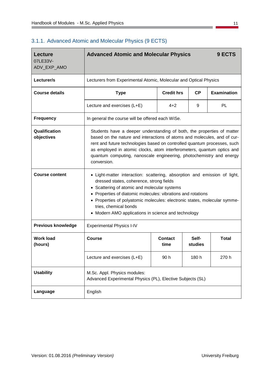$\overline{\phantom{a}}$ 

| <b>Lecture</b><br>07LE33V-<br>ADV_EXP_AMO | <b>Advanced Atomic and Molecular Physics</b><br>9 ECTS                                                                                                                                                                                                                                                                                                                                              |                                                                   |                  |                    |  |  |  |  |
|-------------------------------------------|-----------------------------------------------------------------------------------------------------------------------------------------------------------------------------------------------------------------------------------------------------------------------------------------------------------------------------------------------------------------------------------------------------|-------------------------------------------------------------------|------------------|--------------------|--|--|--|--|
| Lecturer/s                                |                                                                                                                                                                                                                                                                                                                                                                                                     | Lecturers from Experimental Atomic, Molecular and Optical Physics |                  |                    |  |  |  |  |
| <b>Course details</b>                     | <b>Type</b>                                                                                                                                                                                                                                                                                                                                                                                         | <b>Credit hrs</b>                                                 | CP               | <b>Examination</b> |  |  |  |  |
|                                           | <b>PL</b><br>$4 + 2$<br>9<br>Lecture and exercises (L+E)                                                                                                                                                                                                                                                                                                                                            |                                                                   |                  |                    |  |  |  |  |
| <b>Frequency</b>                          | In general the course will be offered each WiSe.                                                                                                                                                                                                                                                                                                                                                    |                                                                   |                  |                    |  |  |  |  |
| Qualification<br>objectives               | Students have a deeper understanding of both, the properties of matter<br>based on the nature and interactions of atoms and molecules, and of cur-<br>rent and future technologies based on controlled quantum processes, such<br>as employed in atomic clocks, atom interferometers, quantum optics and<br>quantum computing, nanoscale engineering, photochemistry and energy<br>conversion.      |                                                                   |                  |                    |  |  |  |  |
| <b>Course content</b>                     | • Light-matter interaction: scattering, absorption and emission of light,<br>dressed states, coherence, strong fields<br>• Scattering of atomic and molecular systems<br>Properties of diatomic molecules: vibrations and rotations<br>٠<br>• Properties of polyatomic molecules: electronic states, molecular symme-<br>tries, chemical bonds<br>Modern AMO applications in science and technology |                                                                   |                  |                    |  |  |  |  |
| <b>Previous knowledge</b>                 | <b>Experimental Physics I-IV</b>                                                                                                                                                                                                                                                                                                                                                                    |                                                                   |                  |                    |  |  |  |  |
| <b>Work load</b><br>(hours)               | Course                                                                                                                                                                                                                                                                                                                                                                                              | Contact<br>time                                                   | Self-<br>studies | <b>Total</b>       |  |  |  |  |
|                                           | Lecture and exercises (L+E)<br>90h<br>180 h<br>270 h                                                                                                                                                                                                                                                                                                                                                |                                                                   |                  |                    |  |  |  |  |
| <b>Usability</b>                          | M.Sc. Appl. Physics modules:<br>Advanced Experimental Physics (PL), Elective Subjects (SL)                                                                                                                                                                                                                                                                                                          |                                                                   |                  |                    |  |  |  |  |
| Language                                  | English                                                                                                                                                                                                                                                                                                                                                                                             |                                                                   |                  |                    |  |  |  |  |

#### <span id="page-12-0"></span>3.1.1. Advanced Atomic and Molecular Physics (9 ECTS)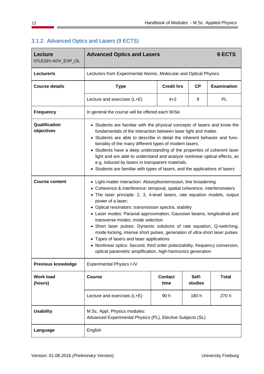| <b>Lecture</b><br>07LE33V-ADV_EXP_OL | <b>Advanced Optics and Lasers</b>                                                                                                                                                                                                                                                                                                                                                                                                                                                                                                                                                                                                                                                                                                                                          | 9 ECTS            |    |                    |  |  |
|--------------------------------------|----------------------------------------------------------------------------------------------------------------------------------------------------------------------------------------------------------------------------------------------------------------------------------------------------------------------------------------------------------------------------------------------------------------------------------------------------------------------------------------------------------------------------------------------------------------------------------------------------------------------------------------------------------------------------------------------------------------------------------------------------------------------------|-------------------|----|--------------------|--|--|
| Lecturer/s                           | Lecturers from Experimental Atomic, Molecular and Optical Physics                                                                                                                                                                                                                                                                                                                                                                                                                                                                                                                                                                                                                                                                                                          |                   |    |                    |  |  |
| <b>Course details</b>                | <b>Type</b>                                                                                                                                                                                                                                                                                                                                                                                                                                                                                                                                                                                                                                                                                                                                                                | <b>Credit hrs</b> | CP | <b>Examination</b> |  |  |
|                                      | Lecture and exercises (L+E)                                                                                                                                                                                                                                                                                                                                                                                                                                                                                                                                                                                                                                                                                                                                                | $4 + 2$           |    | PL                 |  |  |
| <b>Frequency</b>                     | In general the course will be offered each WiSe.                                                                                                                                                                                                                                                                                                                                                                                                                                                                                                                                                                                                                                                                                                                           |                   |    |                    |  |  |
| Qualification<br>objectives          | • Students are familiar with the physical concepts of lasers and know the<br>fundamentals of the interaction between laser light and matter.<br>Students are able to describe in detail the inherent behavior and func-<br>tionality of the many different types of modern lasers.<br>• Students have a deep understanding of the properties of coherent laser<br>light and are able to understand and analyze nonlinear optical effects, as<br>e.g. induced by lasers in transparent materials.<br>• Students are familiar with types of lasers, and the applications of lasers                                                                                                                                                                                           |                   |    |                    |  |  |
| <b>Course content</b>                | • Light-matter interaction: Absorption/emission, line broadening<br>• Coherence & interference: temporal, spatial coherence, interferometers<br>• The laser principle: 2, 3, 4-level lasers, rate equation models, output<br>power of a laser;<br>• Optical resonators: transmission spectra, stability<br>• Laser modes: Paraxial approximation, Gaussian beams, longitudinal and<br>transverse modes, mode selection<br>• Short laser pulses: Dynamic solutions of rate equation, Q-switching,<br>mode locking, intense short pulses, generation of ultra-short laser pulses<br>• Types of lasers and laser applications<br>• Nonlinear optics: Second, third order polarizability, frequency conversion,<br>optical parametric amplification, high-harmonics generation |                   |    |                    |  |  |
| <b>Previous knowledge</b>            | <b>Experimental Physics I-IV</b>                                                                                                                                                                                                                                                                                                                                                                                                                                                                                                                                                                                                                                                                                                                                           |                   |    |                    |  |  |
| <b>Work load</b><br>(hours)          | Self-<br><b>Total</b><br><b>Course</b><br><b>Contact</b><br>time<br>studies                                                                                                                                                                                                                                                                                                                                                                                                                                                                                                                                                                                                                                                                                                |                   |    |                    |  |  |
|                                      | Lecture and exercises (L+E)<br>90h<br>180 h<br>270 h                                                                                                                                                                                                                                                                                                                                                                                                                                                                                                                                                                                                                                                                                                                       |                   |    |                    |  |  |
| <b>Usability</b>                     | M.Sc. Appl. Physics modules:<br>Advanced Experimental Physics (PL), Elective Subjects (SL)                                                                                                                                                                                                                                                                                                                                                                                                                                                                                                                                                                                                                                                                                 |                   |    |                    |  |  |
| Language                             | English                                                                                                                                                                                                                                                                                                                                                                                                                                                                                                                                                                                                                                                                                                                                                                    |                   |    |                    |  |  |

## <span id="page-13-0"></span>3.1.2. Advanced Optics and Lasers (9 ECTS)

 $\overline{\phantom{a}}$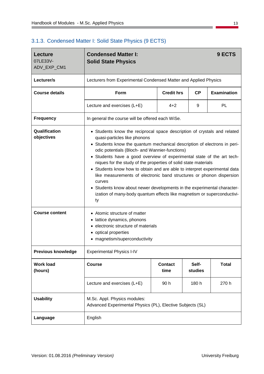## <span id="page-14-0"></span>3.1.3. Condensed Matter I: Solid State Physics (9 ECTS)

| Lecture<br>07LE33V-<br>ADV_EXP_CM1 | <b>Condensed Matter I:</b><br>9 ECTS<br><b>Solid State Physics</b>                                                                                                                                                                                                                                                                                                                                                                                                                                                                                                                                                                                                                                             |                        |                  |                    |  |  |  |
|------------------------------------|----------------------------------------------------------------------------------------------------------------------------------------------------------------------------------------------------------------------------------------------------------------------------------------------------------------------------------------------------------------------------------------------------------------------------------------------------------------------------------------------------------------------------------------------------------------------------------------------------------------------------------------------------------------------------------------------------------------|------------------------|------------------|--------------------|--|--|--|
| Lecturer/s                         | Lecturers from Experimental Condensed Matter and Applied Physics                                                                                                                                                                                                                                                                                                                                                                                                                                                                                                                                                                                                                                               |                        |                  |                    |  |  |  |
| <b>Course details</b>              | Form                                                                                                                                                                                                                                                                                                                                                                                                                                                                                                                                                                                                                                                                                                           | <b>Credit hrs</b>      | CP               | <b>Examination</b> |  |  |  |
|                                    | Lecture and exercises (L+E)                                                                                                                                                                                                                                                                                                                                                                                                                                                                                                                                                                                                                                                                                    | PL<br>$4 + 2$<br>9     |                  |                    |  |  |  |
| <b>Frequency</b>                   | In general the course will be offered each WiSe.                                                                                                                                                                                                                                                                                                                                                                                                                                                                                                                                                                                                                                                               |                        |                  |                    |  |  |  |
| Qualification<br>objectives        | • Students know the reciprocal space description of crystals and related<br>quasi-particles like phonons<br>• Students know the quantum mechanical description of electrons in peri-<br>odic potentials (Bloch- and Wannier-functions)<br>• Students have a good overview of experimental state of the art tech-<br>niques for the study of the properties of solid state materials<br>• Students know how to obtain and are able to interpret experimental data<br>like measurements of electronic band structures or phonon dispersion<br>curves<br>• Students know about newer developments in the experimental character-<br>ization of many-body quantum effects like magnetism or superconductivi-<br>ty |                        |                  |                    |  |  |  |
| <b>Course content</b>              | Atomic structure of matter<br>$\bullet$<br>• lattice dynamics, phonons<br>electronic structure of materials<br>٠<br>optical properties<br>magnetism/superconductivity                                                                                                                                                                                                                                                                                                                                                                                                                                                                                                                                          |                        |                  |                    |  |  |  |
| <b>Previous knowledge</b>          | <b>Experimental Physics I-IV</b>                                                                                                                                                                                                                                                                                                                                                                                                                                                                                                                                                                                                                                                                               |                        |                  |                    |  |  |  |
| <b>Work load</b><br>(hours)        | <b>Course</b>                                                                                                                                                                                                                                                                                                                                                                                                                                                                                                                                                                                                                                                                                                  | <b>Contact</b><br>time | Self-<br>studies | <b>Total</b>       |  |  |  |
|                                    | 270 h<br>Lecture and exercises (L+E)<br>90h<br>180 h                                                                                                                                                                                                                                                                                                                                                                                                                                                                                                                                                                                                                                                           |                        |                  |                    |  |  |  |
| <b>Usability</b>                   | M.Sc. Appl. Physics modules:<br>Advanced Experimental Physics (PL), Elective Subjects (SL)                                                                                                                                                                                                                                                                                                                                                                                                                                                                                                                                                                                                                     |                        |                  |                    |  |  |  |
| Language                           | English                                                                                                                                                                                                                                                                                                                                                                                                                                                                                                                                                                                                                                                                                                        |                        |                  |                    |  |  |  |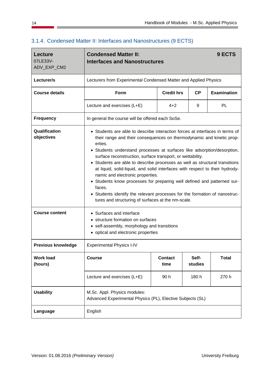| Lecture<br>07LE33V-<br>ADV_EXP_CM2 | <b>Condensed Matter II:</b><br><b>Interfaces and Nanostructures</b>                                                                                                                                                                                                                                                                                                                                                                                                                                                                                                                                                                                                                                                                   |                        |                  | 9 ECTS             |  |
|------------------------------------|---------------------------------------------------------------------------------------------------------------------------------------------------------------------------------------------------------------------------------------------------------------------------------------------------------------------------------------------------------------------------------------------------------------------------------------------------------------------------------------------------------------------------------------------------------------------------------------------------------------------------------------------------------------------------------------------------------------------------------------|------------------------|------------------|--------------------|--|
| Lecturer/s                         | Lecturers from Experimental Condensed Matter and Applied Physics                                                                                                                                                                                                                                                                                                                                                                                                                                                                                                                                                                                                                                                                      |                        |                  |                    |  |
| <b>Course details</b>              | Form                                                                                                                                                                                                                                                                                                                                                                                                                                                                                                                                                                                                                                                                                                                                  | <b>Credit hrs</b>      | <b>CP</b>        | <b>Examination</b> |  |
|                                    | Lecture and exercises (L+E)                                                                                                                                                                                                                                                                                                                                                                                                                                                                                                                                                                                                                                                                                                           | $4 + 2$                | 9                | PL                 |  |
| <b>Frequency</b>                   | In general the course will be offered each SoSe.                                                                                                                                                                                                                                                                                                                                                                                                                                                                                                                                                                                                                                                                                      |                        |                  |                    |  |
| Qualification<br>objectives        | • Students are able to describe interaction forces at interfaces in terms of<br>their range and their consequences on thermodynamic and kinetic prop-<br>erties.<br>• Students understand processes at surfaces like adsorption/desorption,<br>surface reconstruction, surface transport, or wettability.<br>• Students are able to describe processes as well as structural transitions<br>at liquid, solid-liquid, and solid interfaces with respect to their hydrody-<br>namic and electronic properties.<br>• Students know processes for preparing well defined and patterned sur-<br>faces.<br>• Students identify the relevant processes for the formation of nanostruc-<br>tures and structuring of surfaces at the nm-scale. |                        |                  |                    |  |
| <b>Course content</b>              | Surfaces and interface<br>• structure formation on surfaces<br>self-assembly, morphology and transitions<br>• optical and electronic properties                                                                                                                                                                                                                                                                                                                                                                                                                                                                                                                                                                                       |                        |                  |                    |  |
| <b>Previous knowledge</b>          | <b>Experimental Physics I-IV</b>                                                                                                                                                                                                                                                                                                                                                                                                                                                                                                                                                                                                                                                                                                      |                        |                  |                    |  |
| <b>Work load</b><br>(hours)        | <b>Course</b>                                                                                                                                                                                                                                                                                                                                                                                                                                                                                                                                                                                                                                                                                                                         | <b>Contact</b><br>time | Self-<br>studies | <b>Total</b>       |  |
|                                    | 90h<br>270 h<br>Lecture and exercises (L+E)<br>180 h                                                                                                                                                                                                                                                                                                                                                                                                                                                                                                                                                                                                                                                                                  |                        |                  |                    |  |
| <b>Usability</b>                   | M.Sc. Appl. Physics modules:<br>Advanced Experimental Physics (PL), Elective Subjects (SL)                                                                                                                                                                                                                                                                                                                                                                                                                                                                                                                                                                                                                                            |                        |                  |                    |  |
| Language                           | English                                                                                                                                                                                                                                                                                                                                                                                                                                                                                                                                                                                                                                                                                                                               |                        |                  |                    |  |

## <span id="page-15-0"></span>3.1.4. Condensed Matter II: Interfaces and Nanostructures (9 ECTS)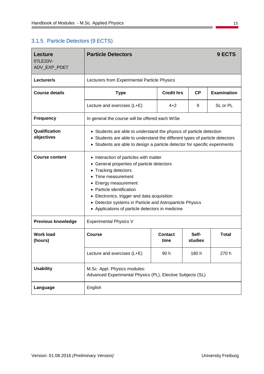## <span id="page-16-0"></span>3.1.5. Particle Detectors (9 ECTS)

| <b>Lecture</b><br>07LE33V-<br>ADV_EXP_PDET | <b>Particle Detectors</b>                                                                                                                                                                                                                                                                                                                                                          |                                                      |                  | 9 ECTS       |  |  |  |
|--------------------------------------------|------------------------------------------------------------------------------------------------------------------------------------------------------------------------------------------------------------------------------------------------------------------------------------------------------------------------------------------------------------------------------------|------------------------------------------------------|------------------|--------------|--|--|--|
| Lecturer/s                                 | Lecturers from Experimental Particle Physics                                                                                                                                                                                                                                                                                                                                       |                                                      |                  |              |  |  |  |
| <b>Course details</b>                      | <b>Type</b>                                                                                                                                                                                                                                                                                                                                                                        | <b>Examination</b><br><b>Credit hrs</b><br><b>CP</b> |                  |              |  |  |  |
|                                            | Lecture and exercises (L+E)                                                                                                                                                                                                                                                                                                                                                        | $4 + 2$                                              | 9                | SL or PL     |  |  |  |
| <b>Frequency</b>                           | In general the course will be offered each WiSe                                                                                                                                                                                                                                                                                                                                    |                                                      |                  |              |  |  |  |
| Qualification<br>objectives                | • Students are able to understand the physics of particle detection<br>• Students are able to understand the different types of particle detectors<br>• Students are able to design a particle detector for specific experiments                                                                                                                                                   |                                                      |                  |              |  |  |  |
| <b>Course content</b>                      | • Interaction of particles with matter<br>General properties of particle detectors<br>٠<br><b>Tracking detectors</b><br>$\bullet$<br>Time measurement<br>٠<br>Energy measurement<br>٠<br>Particle identification<br>Electronics, trigger and data acquisition<br>٠<br>• Detector systems in Particle and Astroparticle Physics<br>• Applications of particle detectors in medicine |                                                      |                  |              |  |  |  |
| <b>Previous knowledge</b>                  | <b>Experimental Physics V</b>                                                                                                                                                                                                                                                                                                                                                      |                                                      |                  |              |  |  |  |
| <b>Work load</b><br>(hours)                | <b>Course</b>                                                                                                                                                                                                                                                                                                                                                                      | Contact<br>time                                      | Self-<br>studies | <b>Total</b> |  |  |  |
|                                            | Lecture and exercises (L+E)                                                                                                                                                                                                                                                                                                                                                        | 90h                                                  | 180 h            | 270 h        |  |  |  |
| <b>Usability</b>                           | M.Sc. Appl. Physics modules:<br>Advanced Experimental Physics (PL), Elective Subjects (SL)                                                                                                                                                                                                                                                                                         |                                                      |                  |              |  |  |  |
| Language                                   | English                                                                                                                                                                                                                                                                                                                                                                            |                                                      |                  |              |  |  |  |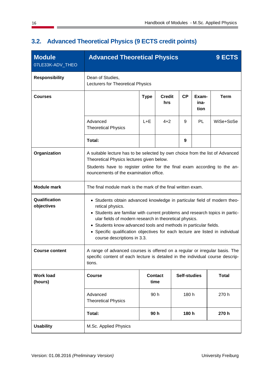| <b>Module</b><br>07LE33K-ADV_THEO                       | <b>Advanced Theoretical Physics</b>                                                                                                                                                                                                                                                                                                                                                                                        |                        |                      |                     | 9 ECTS                |              |
|---------------------------------------------------------|----------------------------------------------------------------------------------------------------------------------------------------------------------------------------------------------------------------------------------------------------------------------------------------------------------------------------------------------------------------------------------------------------------------------------|------------------------|----------------------|---------------------|-----------------------|--------------|
| <b>Responsibility</b>                                   | Dean of Studies,<br>Lecturers for Theoretical Physics                                                                                                                                                                                                                                                                                                                                                                      |                        |                      |                     |                       |              |
| <b>Courses</b>                                          |                                                                                                                                                                                                                                                                                                                                                                                                                            | <b>Type</b>            | <b>Credit</b><br>hrs | <b>CP</b>           | Exam-<br>ina-<br>tion | <b>Term</b>  |
|                                                         | Advanced<br><b>Theoretical Physics</b>                                                                                                                                                                                                                                                                                                                                                                                     | $L + E$                | $4 + 2$              | 9                   | PL                    | WiSe+SoSe    |
|                                                         | Total:                                                                                                                                                                                                                                                                                                                                                                                                                     |                        |                      | 9                   |                       |              |
| Organization                                            | A suitable lecture has to be selected by own choice from the list of Advanced<br>Theoretical Physics lectures given below.<br>Students have to register online for the final exam according to the an-<br>nouncements of the examination office.                                                                                                                                                                           |                        |                      |                     |                       |              |
| <b>Module mark</b>                                      | The final module mark is the mark of the final written exam.                                                                                                                                                                                                                                                                                                                                                               |                        |                      |                     |                       |              |
| Qualification<br>objectives                             | • Students obtain advanced knowledge in particular field of modern theo-<br>retical physics.<br>• Students are familiar with current problems and research topics in partic-<br>ular fields of modern research in theoretical physics.<br>• Students know advanced tools and methods in particular fields.<br>• Specific qualification objectives for each lecture are listed in individual<br>course descriptions in 3.3. |                        |                      |                     |                       |              |
| <b>Course content</b>                                   | A range of advanced courses is offered on a regular or irregular basis. The<br>specific content of each lecture is detailed in the individual course descrip-<br>tions.                                                                                                                                                                                                                                                    |                        |                      |                     |                       |              |
| <b>Work load</b><br>(hours)                             | <b>Course</b>                                                                                                                                                                                                                                                                                                                                                                                                              | <b>Contact</b><br>time |                      | <b>Self-studies</b> |                       | <b>Total</b> |
| Advanced<br>90 h<br>180 h<br><b>Theoretical Physics</b> |                                                                                                                                                                                                                                                                                                                                                                                                                            |                        |                      |                     |                       | 270 h        |
|                                                         | 90h<br>Total:<br>180 h<br>270 h                                                                                                                                                                                                                                                                                                                                                                                            |                        |                      |                     |                       |              |
| <b>Usability</b>                                        | M.Sc. Applied Physics                                                                                                                                                                                                                                                                                                                                                                                                      |                        |                      |                     |                       |              |

# <span id="page-17-0"></span>**3.2. Advanced Theoretical Physics (9 ECTS credit points)**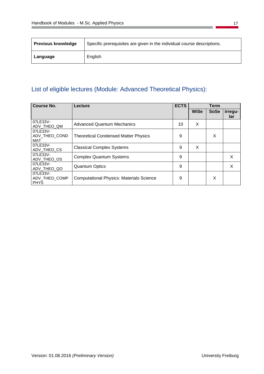| <b>Previous knowledge</b> | Specific prerequisites are given in the individual course descriptions. |
|---------------------------|-------------------------------------------------------------------------|
| Language                  | English                                                                 |

# List of eligible lectures (Module: Advanced Theoretical Physics):

| Course No.                               | Lecture                                         | <b>ECTS</b> |             |             | Term           |  |
|------------------------------------------|-------------------------------------------------|-------------|-------------|-------------|----------------|--|
|                                          |                                                 |             | <b>WiSe</b> | <b>SoSe</b> | irregu-<br>lar |  |
| 07LE33V-<br>ADV THEO QM                  | <b>Advanced Quantum Mechanics</b>               | 10          | X           |             |                |  |
| 07LE33V-<br>ADV_THEO_COND<br>MAT         | <b>Theoretical Condensed Matter Physics</b>     | 9           |             | X           |                |  |
| 07LE33V-<br>ADV_THEO_CS                  | <b>Classical Complex Systems</b>                | 9           | X           |             |                |  |
| 07LE33V-<br>ADV_THEO_OS                  | <b>Complex Quantum Systems</b>                  | 9           |             |             | X              |  |
| 07LE33V-<br>ADV_THEO_QO                  | <b>Quantum Optics</b>                           | 9           |             |             | X              |  |
| 07LE33V-<br>ADV_THEO_COMP<br><b>PHYS</b> | <b>Computational Physics: Materials Science</b> | 9           |             | X           |                |  |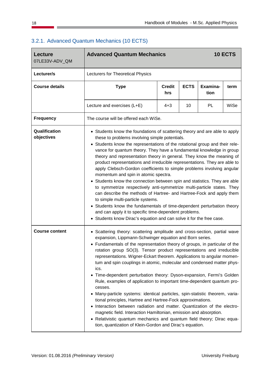| <b>Lecture</b><br>07LE33V-ADV_QM | <b>Advanced Quantum Mechanics</b><br>10 ECTS                                                                                                                                                                                                                                                                                                                                                                                                                                                                                                                                                                                                                                                                                                                                                                                                                                                                                                                                                                                                                                                                                  |                                                                 |    |    |      |  |  |  |  |
|----------------------------------|-------------------------------------------------------------------------------------------------------------------------------------------------------------------------------------------------------------------------------------------------------------------------------------------------------------------------------------------------------------------------------------------------------------------------------------------------------------------------------------------------------------------------------------------------------------------------------------------------------------------------------------------------------------------------------------------------------------------------------------------------------------------------------------------------------------------------------------------------------------------------------------------------------------------------------------------------------------------------------------------------------------------------------------------------------------------------------------------------------------------------------|-----------------------------------------------------------------|----|----|------|--|--|--|--|
| Lecturer/s                       | Lecturers for Theoretical Physics                                                                                                                                                                                                                                                                                                                                                                                                                                                                                                                                                                                                                                                                                                                                                                                                                                                                                                                                                                                                                                                                                             |                                                                 |    |    |      |  |  |  |  |
| <b>Course details</b>            | <b>Type</b>                                                                                                                                                                                                                                                                                                                                                                                                                                                                                                                                                                                                                                                                                                                                                                                                                                                                                                                                                                                                                                                                                                                   | <b>ECTS</b><br>Examina-<br><b>Credit</b><br>term<br>tion<br>hrs |    |    |      |  |  |  |  |
|                                  | Lecture and exercises (L+E)                                                                                                                                                                                                                                                                                                                                                                                                                                                                                                                                                                                                                                                                                                                                                                                                                                                                                                                                                                                                                                                                                                   | $4 + 3$                                                         | 10 | PL | WiSe |  |  |  |  |
| <b>Frequency</b>                 | The course will be offered each WiSe.                                                                                                                                                                                                                                                                                                                                                                                                                                                                                                                                                                                                                                                                                                                                                                                                                                                                                                                                                                                                                                                                                         |                                                                 |    |    |      |  |  |  |  |
| Qualification<br>objectives      | • Students know the foundations of scattering theory and are able to apply<br>these to problems involving simple potentials.<br>Students know the representations of the rotational group and their rele-<br>vance for quantum theory. They have a fundamental knowledge in group<br>theory and representation theory in general. They know the meaning of<br>product representations and irreducible representations. They are able to<br>apply Clebsch-Gordon coefficients to simple problems involving angular<br>momentum and spin in atomic spectra.<br>Students know the connection between spin and statistics. They are able<br>to symmetrize respectively anti-symmetrize multi-particle states. They<br>can describe the methods of Hartree- and Hartree-Fock and apply them<br>to simple multi-particle systems.<br>• Students know the fundamentals of time-dependent perturbation theory<br>and can apply it to specific time-dependent problems.                                                                                                                                                                |                                                                 |    |    |      |  |  |  |  |
| <b>Course content</b>            | • Students know Dirac's equation and can solve it for the free case.<br>• Scattering theory: scattering amplitude and cross-section, partial wave<br>expansion, Lippmann-Schwinger equation and Born series.<br>• Fundamentals of the representation theory of groups, in particular of the<br>rotation group SO(3). Tensor product representations and irreducible<br>representations. Wigner-Eckart theorem. Applications to angular momen-<br>tum and spin couplings in atomic, molecular and condensed matter phys-<br>ics.<br>Time-dependent perturbation theory: Dyson-expansion, Fermi's Golden<br>Rule, examples of application to important time-dependent quantum pro-<br>cesses.<br>Many-particle systems: identical particles, spin-statistic theorem, varia-<br>tional principles, Hartree and Hartree-Fock approximations.<br>Interaction between radiation and matter. Quantization of the electro-<br>magnetic field. Interaction Hamiltonian, emission and absorption.<br>• Relativistic quantum mechanics and quantum field theory; Dirac equa-<br>tion, quantization of Klein-Gordon and Dirac's equation. |                                                                 |    |    |      |  |  |  |  |

## <span id="page-19-0"></span>3.2.1. Advanced Quantum Mechanics (10 ECTS)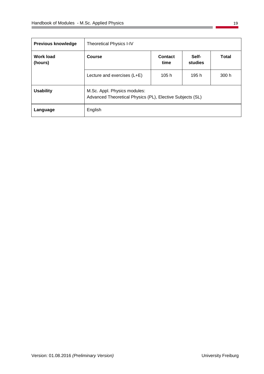| Previous knowledge          | <b>Theoretical Physics I-IV</b>                                                           |       |       |       |  |  |
|-----------------------------|-------------------------------------------------------------------------------------------|-------|-------|-------|--|--|
| <b>Work load</b><br>(hours) | Self-<br><b>Course</b><br>Contact<br><b>Total</b><br>studies<br>time                      |       |       |       |  |  |
|                             | Lecture and exercises (L+E)                                                               | 105 h | 195 h | 300 h |  |  |
| <b>Usability</b>            | M.Sc. Appl. Physics modules:<br>Advanced Theoretical Physics (PL), Elective Subjects (SL) |       |       |       |  |  |
| Language                    | English                                                                                   |       |       |       |  |  |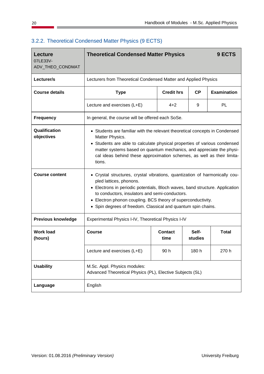| <b>Lecture</b><br>07LE33V-<br>ADV_THEO_CONDMAT | <b>Theoretical Condensed Matter Physics</b>                                                                                                                                                                                                                                                                                                                           |                   |                  | 9 ECTS             |
|------------------------------------------------|-----------------------------------------------------------------------------------------------------------------------------------------------------------------------------------------------------------------------------------------------------------------------------------------------------------------------------------------------------------------------|-------------------|------------------|--------------------|
| Lecturer/s                                     | Lecturers from Theoretical Condensed Matter and Applied Physics                                                                                                                                                                                                                                                                                                       |                   |                  |                    |
| <b>Course details</b>                          | <b>Type</b>                                                                                                                                                                                                                                                                                                                                                           | <b>Credit hrs</b> | CP               | <b>Examination</b> |
|                                                | Lecture and exercises (L+E)                                                                                                                                                                                                                                                                                                                                           | $4 + 2$           | 9                | <b>PL</b>          |
| <b>Frequency</b>                               | In general, the course will be offered each SoSe.                                                                                                                                                                                                                                                                                                                     |                   |                  |                    |
| Qualification<br>objectives                    | • Students are familiar with the relevant theoretical concepts in Condensed<br>Matter Physics.<br>• Students are able to calculate physical properties of various condensed<br>matter systems based on quantum mechanics, and appreciate the physi-<br>cal ideas behind these approximation schemes, as well as their limita-<br>tions.                               |                   |                  |                    |
| <b>Course content</b>                          | • Crystal structures, crystal vibrations, quantization of harmonically cou-<br>pled lattices, phonons.<br>• Electrons in periodic potentials, Bloch waves, band structure. Application<br>to conductors, insulators and semi-conductors.<br>Electron phonon coupling. BCS theory of superconductivity.<br>Spin degrees of freedom. Classical and quantum spin chains. |                   |                  |                    |
| <b>Previous knowledge</b>                      | Experimental Physics I-IV, Theoretical Physics I-IV                                                                                                                                                                                                                                                                                                                   |                   |                  |                    |
| <b>Work load</b><br>(hours)                    | Course                                                                                                                                                                                                                                                                                                                                                                | Contact<br>time   | Self-<br>studies | <b>Total</b>       |
|                                                | Lecture and exercises (L+E)                                                                                                                                                                                                                                                                                                                                           | 90h               | 180 h            | 270 h              |
| <b>Usability</b>                               | M.Sc. Appl. Physics modules:<br>Advanced Theoretical Physics (PL), Elective Subjects (SL)                                                                                                                                                                                                                                                                             |                   |                  |                    |
| Language                                       | English                                                                                                                                                                                                                                                                                                                                                               |                   |                  |                    |

#### <span id="page-21-0"></span>3.2.2. Theoretical Condensed Matter Physics (9 ECTS)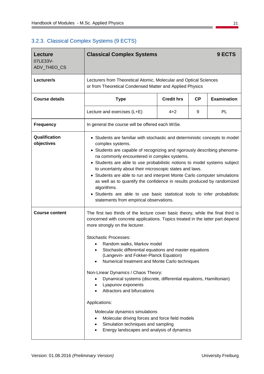## <span id="page-22-0"></span>3.2.3. Classical Complex Systems (9 ECTS)

| <b>Lecture</b>              | <b>Classical Complex Systems</b>                                                                                                                                                                                                                                                                                                                                                                                                                                                                                                                                                                                                                                                                                                                                                                                     |                   |           | 9 ECTS             |  |  |
|-----------------------------|----------------------------------------------------------------------------------------------------------------------------------------------------------------------------------------------------------------------------------------------------------------------------------------------------------------------------------------------------------------------------------------------------------------------------------------------------------------------------------------------------------------------------------------------------------------------------------------------------------------------------------------------------------------------------------------------------------------------------------------------------------------------------------------------------------------------|-------------------|-----------|--------------------|--|--|
| 07LE33V-<br>ADV_THEO_CS     |                                                                                                                                                                                                                                                                                                                                                                                                                                                                                                                                                                                                                                                                                                                                                                                                                      |                   |           |                    |  |  |
| Lecturer/s                  | Lecturers from Theoretical Atomic, Molecular and Optical Sciences<br>or from Theoretical Condensed Matter and Applied Physics                                                                                                                                                                                                                                                                                                                                                                                                                                                                                                                                                                                                                                                                                        |                   |           |                    |  |  |
| <b>Course details</b>       | <b>Type</b>                                                                                                                                                                                                                                                                                                                                                                                                                                                                                                                                                                                                                                                                                                                                                                                                          | <b>Credit hrs</b> | <b>CP</b> | <b>Examination</b> |  |  |
|                             | Lecture and exercises (L+E)                                                                                                                                                                                                                                                                                                                                                                                                                                                                                                                                                                                                                                                                                                                                                                                          | $4 + 2$           | 9         | <b>PL</b>          |  |  |
| <b>Frequency</b>            | In general the course will be offered each WiSe.                                                                                                                                                                                                                                                                                                                                                                                                                                                                                                                                                                                                                                                                                                                                                                     |                   |           |                    |  |  |
| Qualification<br>objectives | • Students are familiar with stochastic and deterministic concepts to model<br>complex systems.<br>• Students are capable of recognizing and rigorously describing phenome-<br>na commonly encountered in complex systems.<br>• Students are able to use probabilistic notions to model systems subject<br>to uncertainty about their microscopic states and laws.<br>• Students are able to run and interpret Monte Carlo computer simulations<br>as well as to quantify the confidence in results produced by randomized<br>algorithms.<br>• Students are able to use basic statistical tools to infer probabilistic<br>statements from empirical observations.                                                                                                                                                    |                   |           |                    |  |  |
| <b>Course content</b>       | The first two thirds of the lecture cover basic theory, while the final third is<br>concerned with concrete applications. Topics treated in the latter part depend<br>more strongly on the lecturer.<br><b>Stochastic Processes:</b><br>Random walks, Markov model<br>Stochastic differential equations and master equations<br>(Langevin- and Fokker-Planck Equation)<br>Numerical treatment and Monte Carlo techniques<br>Non-Linear Dynamics / Chaos Theory:<br>Dynamical systems (discrete, differential equations, Hamiltonian)<br>٠<br>Lyapunov exponents<br>٠<br>Attractors and bifurcations<br>Applications:<br>Molecular dynamics simulations<br>Molecular driving forces and force field models<br>$\bullet$<br>Simulation techniques and sampling<br>٠<br>Energy landscapes and analysis of dynamics<br>٠ |                   |           |                    |  |  |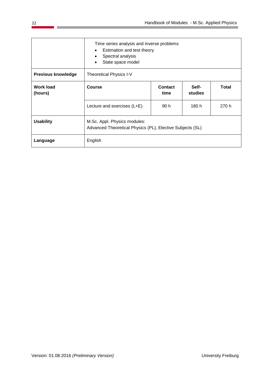|                             | Time series analysis and inverse problems<br>Estimation and test theory<br>$\bullet$<br>Spectral analysis<br>State space model<br>$\bullet$ |                 |                  |              |  |
|-----------------------------|---------------------------------------------------------------------------------------------------------------------------------------------|-----------------|------------------|--------------|--|
| <b>Previous knowledge</b>   | Theoretical Physics I-V                                                                                                                     |                 |                  |              |  |
| <b>Work load</b><br>(hours) | Course                                                                                                                                      | Contact<br>time | Self-<br>studies | <b>Total</b> |  |
|                             | Lecture and exercises (L+E)                                                                                                                 | 90 h            | 180 h            | 270 h        |  |
| <b>Usability</b>            | M.Sc. Appl. Physics modules:<br>Advanced Theoretical Physics (PL), Elective Subjects (SL)                                                   |                 |                  |              |  |
| Language                    | English                                                                                                                                     |                 |                  |              |  |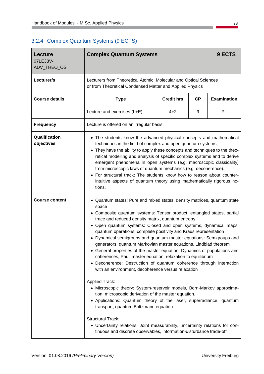## <span id="page-24-0"></span>3.2.4. Complex Quantum Systems (9 ECTS)

| Lecture<br>07LE33V-         | <b>Complex Quantum Systems</b>                                                                                                                                                                                                                                                                                                                                                                                                                                                                                                                                                                                                                                                                                                                                                                                                                                                                                                                                                                                                                                                                                                                                      |                   |    | 9 ECTS             |  |
|-----------------------------|---------------------------------------------------------------------------------------------------------------------------------------------------------------------------------------------------------------------------------------------------------------------------------------------------------------------------------------------------------------------------------------------------------------------------------------------------------------------------------------------------------------------------------------------------------------------------------------------------------------------------------------------------------------------------------------------------------------------------------------------------------------------------------------------------------------------------------------------------------------------------------------------------------------------------------------------------------------------------------------------------------------------------------------------------------------------------------------------------------------------------------------------------------------------|-------------------|----|--------------------|--|
| ADV_THEO_OS                 |                                                                                                                                                                                                                                                                                                                                                                                                                                                                                                                                                                                                                                                                                                                                                                                                                                                                                                                                                                                                                                                                                                                                                                     |                   |    |                    |  |
| Lecturer/s                  | Lecturers from Theoretical Atomic, Molecular and Optical Sciences<br>or from Theoretical Condensed Matter and Applied Physics                                                                                                                                                                                                                                                                                                                                                                                                                                                                                                                                                                                                                                                                                                                                                                                                                                                                                                                                                                                                                                       |                   |    |                    |  |
| <b>Course details</b>       | <b>Type</b>                                                                                                                                                                                                                                                                                                                                                                                                                                                                                                                                                                                                                                                                                                                                                                                                                                                                                                                                                                                                                                                                                                                                                         | <b>Credit hrs</b> | CP | <b>Examination</b> |  |
|                             | Lecture and exercises (L+E)                                                                                                                                                                                                                                                                                                                                                                                                                                                                                                                                                                                                                                                                                                                                                                                                                                                                                                                                                                                                                                                                                                                                         | $4 + 2$           | 9  | <b>PL</b>          |  |
| <b>Frequency</b>            | Lecture is offered on an irregular basis.                                                                                                                                                                                                                                                                                                                                                                                                                                                                                                                                                                                                                                                                                                                                                                                                                                                                                                                                                                                                                                                                                                                           |                   |    |                    |  |
| Qualification<br>objectives | • The students know the advanced physical concepts and mathematical<br>techniques in the field of complex and open quantum systems;<br>• They have the ability to apply these concepts and techniques to the theo-<br>retical modelling and analysis of specific complex systems and to derive<br>emergent phenomena in open systems (e.g. macroscopic classicality)<br>from microscopic laws of quantum mechanics (e.g. decoherence).<br>For structural track: The students know how to reason about counter-<br>$\bullet$<br>intuitive aspects of quantum theory using mathematically rigorous no-<br>tions.                                                                                                                                                                                                                                                                                                                                                                                                                                                                                                                                                      |                   |    |                    |  |
| <b>Course content</b>       | • Quantum states: Pure and mixed states, density matrices, quantum state<br>space<br>• Composite quantum systems: Tensor product, entangled states, partial<br>trace and reduced density matrix, quantum entropy<br>Open quantum systems: Closed and open systems, dynamical maps,<br>٠<br>quantum operations, complete positivity and Kraus representation<br>Dynamical semigroups and quantum master equations: Semigroups and<br>generators, quantum Markovian master equations, Lindblad theorem<br>• General properties of the master equation: Dynamics of populations and<br>coherences, Pauli master equation, relaxation to equilibrium<br>• Decoherence: Destruction of quantum coherence through interaction<br>with an environment, decoherence versus relaxation<br><b>Applied Track:</b><br>• Microscopic theory: System-reservoir models, Born-Markov approxima-<br>tion, microscopic derivation of the master equation.<br>• Applications: Quantum theory of the laser, superradiance, quantum<br>transport, quantum Boltzmann equation<br><b>Structural Track:</b><br>• Uncertainty relations: Joint measurability, uncertainty relations for con- |                   |    |                    |  |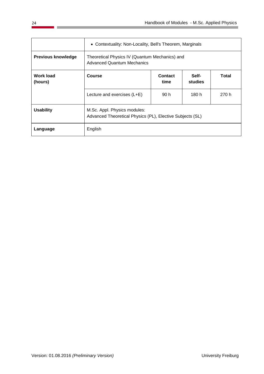|                             | • Contextuality: Non-Locality, Bell's Theorem, Marginals                                  |                  |       |       |  |
|-----------------------------|-------------------------------------------------------------------------------------------|------------------|-------|-------|--|
| <b>Previous knowledge</b>   | Theoretical Physics IV (Quantum Mechanics) and<br><b>Advanced Quantum Mechanics</b>       |                  |       |       |  |
| <b>Work load</b><br>(hours) | <b>Course</b>                                                                             | Self-<br>studies | Total |       |  |
|                             | Lecture and exercises (L+E)                                                               | 90 h             | 180 h | 270 h |  |
| <b>Usability</b>            | M.Sc. Appl. Physics modules:<br>Advanced Theoretical Physics (PL), Elective Subjects (SL) |                  |       |       |  |
| Language                    | English                                                                                   |                  |       |       |  |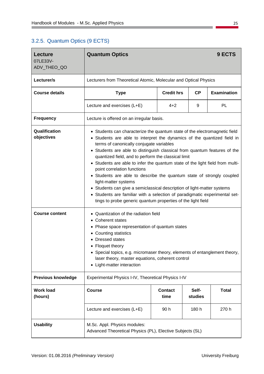## <span id="page-26-0"></span>3.2.5. Quantum Optics (9 ECTS)

| Lecture                     | <b>Quantum Optics</b>                                                                                                                                                                                                                                                                                                                                                                                                                                                                                                                                                                                                                                                                                                                                                         |                                               |       | 9 ECTS    |  |  |
|-----------------------------|-------------------------------------------------------------------------------------------------------------------------------------------------------------------------------------------------------------------------------------------------------------------------------------------------------------------------------------------------------------------------------------------------------------------------------------------------------------------------------------------------------------------------------------------------------------------------------------------------------------------------------------------------------------------------------------------------------------------------------------------------------------------------------|-----------------------------------------------|-------|-----------|--|--|
| 07LE33V-<br>ADV_THEO_QO     |                                                                                                                                                                                                                                                                                                                                                                                                                                                                                                                                                                                                                                                                                                                                                                               |                                               |       |           |  |  |
| Lecturer/s                  | Lecturers from Theoretical Atomic, Molecular and Optical Physics                                                                                                                                                                                                                                                                                                                                                                                                                                                                                                                                                                                                                                                                                                              |                                               |       |           |  |  |
| <b>Course details</b>       | <b>Type</b>                                                                                                                                                                                                                                                                                                                                                                                                                                                                                                                                                                                                                                                                                                                                                                   | <b>Credit hrs</b><br>CP<br><b>Examination</b> |       |           |  |  |
|                             | Lecture and exercises (L+E)                                                                                                                                                                                                                                                                                                                                                                                                                                                                                                                                                                                                                                                                                                                                                   | $4 + 2$                                       | 9     | <b>PL</b> |  |  |
| <b>Frequency</b>            | Lecture is offered on an irregular basis.                                                                                                                                                                                                                                                                                                                                                                                                                                                                                                                                                                                                                                                                                                                                     |                                               |       |           |  |  |
| Qualification<br>objectives | • Students can characterize the quantum state of the electromagnetic field<br>• Students are able to interpret the dynamics of the quantized field in<br>terms of canonically conjugate variables<br>• Students are able to distinguish classical from quantum features of the<br>quantized field, and to perform the classical limit<br>Students are able to infer the quantum state of the light field from multi-<br>point correlation functions<br>• Students are able to describe the quantum state of strongly coupled<br>light-matter systems<br>• Students can give a semiclassical description of light-matter systems<br>• Students are familiar with a selection of paradigmatic experimental set-<br>tings to probe generic quantum properties of the light field |                                               |       |           |  |  |
| <b>Course content</b>       | Quantization of the radiation field<br><b>Coherent states</b><br>٠<br>Phase space representation of quantum states<br>Counting statistics<br>٠<br><b>Dressed states</b><br>Floquet theory<br>• Special topics, e.g. micromaser theory, elements of entanglement theory,<br>laser theory, master equations, coherent control<br>Light-matter interaction<br>$\bullet$                                                                                                                                                                                                                                                                                                                                                                                                          |                                               |       |           |  |  |
| <b>Previous knowledge</b>   | Experimental Physics I-IV, Theoretical Physics I-IV                                                                                                                                                                                                                                                                                                                                                                                                                                                                                                                                                                                                                                                                                                                           |                                               |       |           |  |  |
| <b>Work load</b><br>(hours) | <b>Contact</b><br>Self-<br><b>Course</b><br><b>Total</b><br>time<br>studies                                                                                                                                                                                                                                                                                                                                                                                                                                                                                                                                                                                                                                                                                                   |                                               |       |           |  |  |
|                             | Lecture and exercises (L+E)                                                                                                                                                                                                                                                                                                                                                                                                                                                                                                                                                                                                                                                                                                                                                   | 90h                                           | 180 h | 270 h     |  |  |
| <b>Usability</b>            | M.Sc. Appl. Physics modules:<br>Advanced Theoretical Physics (PL), Elective Subjects (SL)                                                                                                                                                                                                                                                                                                                                                                                                                                                                                                                                                                                                                                                                                     |                                               |       |           |  |  |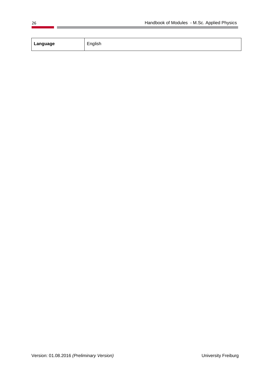| Language<br>English |  |
|---------------------|--|
|                     |  |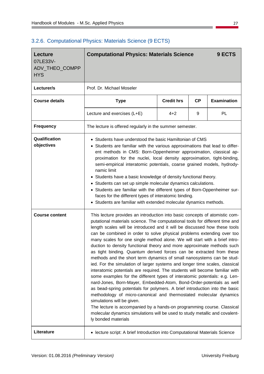| <b>Lecture</b><br>07LE33V-<br>ADV_THEO_COMPP<br><b>HYS</b> | <b>Computational Physics: Materials Science</b><br>9 ECTS                                                                                                                                                                                                                                                                                                                                                                                                                                                                                                                                                                                                                                                                                                                                                                                                                                                                                                                                                                                                                                                                                                                                                                                                                                                          |                                                      |   |    |  |  |  |
|------------------------------------------------------------|--------------------------------------------------------------------------------------------------------------------------------------------------------------------------------------------------------------------------------------------------------------------------------------------------------------------------------------------------------------------------------------------------------------------------------------------------------------------------------------------------------------------------------------------------------------------------------------------------------------------------------------------------------------------------------------------------------------------------------------------------------------------------------------------------------------------------------------------------------------------------------------------------------------------------------------------------------------------------------------------------------------------------------------------------------------------------------------------------------------------------------------------------------------------------------------------------------------------------------------------------------------------------------------------------------------------|------------------------------------------------------|---|----|--|--|--|
| Lecturer/s                                                 | Prof. Dr. Michael Moseler                                                                                                                                                                                                                                                                                                                                                                                                                                                                                                                                                                                                                                                                                                                                                                                                                                                                                                                                                                                                                                                                                                                                                                                                                                                                                          |                                                      |   |    |  |  |  |
| <b>Course details</b>                                      | <b>Type</b>                                                                                                                                                                                                                                                                                                                                                                                                                                                                                                                                                                                                                                                                                                                                                                                                                                                                                                                                                                                                                                                                                                                                                                                                                                                                                                        | <b>Credit hrs</b><br><b>Examination</b><br><b>CP</b> |   |    |  |  |  |
|                                                            | Lecture and exercises (L+E)                                                                                                                                                                                                                                                                                                                                                                                                                                                                                                                                                                                                                                                                                                                                                                                                                                                                                                                                                                                                                                                                                                                                                                                                                                                                                        | $4 + 2$                                              | 9 | PL |  |  |  |
| <b>Frequency</b>                                           | The lecture is offered regularly in the summer semester.                                                                                                                                                                                                                                                                                                                                                                                                                                                                                                                                                                                                                                                                                                                                                                                                                                                                                                                                                                                                                                                                                                                                                                                                                                                           |                                                      |   |    |  |  |  |
| Qualification<br>objectives                                | • Students have understood the basic Hamiltonian of CMS<br>Students are familiar with the various approximations that lead to differ-<br>ent methods in CMS: Born-Oppenheimer approximation, classical ap-<br>proximation for the nuclei, local density approximation, tight-binding,<br>semi-empirical interatomic potentials, coarse grained models, hydrody-<br>namic limit<br>Students have a basic knowledge of density functional theory.<br>٠<br>• Students can set up simple molecular dynamics calculations.<br>• Students are familiar with the different types of Born-Oppenheimer sur-<br>faces for the different types of interatomic binding.<br>Students are familiar with extended molecular dynamics methods.                                                                                                                                                                                                                                                                                                                                                                                                                                                                                                                                                                                     |                                                      |   |    |  |  |  |
| <b>Course content</b>                                      | This lecture provides an introduction into basic concepts of atomistic com-<br>putational materials science. The computational tools for different time and<br>length scales will be introduced and it will be discussed how these tools<br>can be combined in order to solve physical problems extending over too<br>many scales for one single method alone. We will start with a brief intro-<br>duction to density functional theory and more approximate methods such<br>as tight binding. Quantum derived forces can be extracted from these<br>methods and the short term dynamics of small nanosystems can be stud-<br>ied. For the simulation of larger systems and longer time scales, classical<br>interatomic potentials are required. The students will become familiar with<br>some examples for the different types of interatomic potentials: e.g. Len-<br>nard-Jones, Born-Mayer, Embedded-Atom, Bond-Order-potentials as well<br>as bead-spring potentials for polymers. A brief introduction into the basic<br>methodology of micro-canonical and thermostated molecular dynamics<br>simulations will be given.<br>The lecture is accompanied by a hands-on programming course. Classical<br>molecular dynamics simulations will be used to study metallic and covalent-<br>ly bonded materials |                                                      |   |    |  |  |  |
| Literature                                                 | • lecture script: A brief Introduction into Computational Materials Science                                                                                                                                                                                                                                                                                                                                                                                                                                                                                                                                                                                                                                                                                                                                                                                                                                                                                                                                                                                                                                                                                                                                                                                                                                        |                                                      |   |    |  |  |  |

#### <span id="page-28-0"></span>3.2.6. Computational Physics: Materials Science (9 ECTS)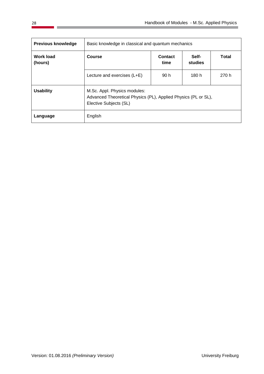| <b>Previous knowledge</b>   | Basic knowledge in classical and quantum mechanics                                                                       |              |       |       |  |  |  |
|-----------------------------|--------------------------------------------------------------------------------------------------------------------------|--------------|-------|-------|--|--|--|
| <b>Work load</b><br>(hours) | Course                                                                                                                   | <b>Total</b> |       |       |  |  |  |
|                             | Lecture and exercises (L+E)                                                                                              | 90 h         | 180 h | 270 h |  |  |  |
| <b>Usability</b>            | M.Sc. Appl. Physics modules:<br>Advanced Theoretical Physics (PL), Applied Physics (PL or SL),<br>Elective Subjects (SL) |              |       |       |  |  |  |
| Language                    | English                                                                                                                  |              |       |       |  |  |  |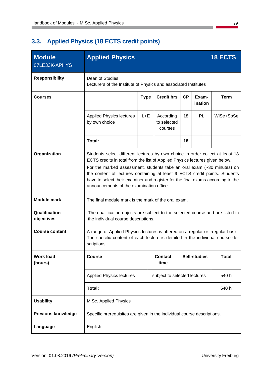# <span id="page-30-0"></span>**3.3. Applied Physics (18 ECTS credit points)**

| <b>Module</b><br>07LE33K-APHYS | <b>Applied Physics</b>                                                                                                                                                                                                                                                                                                                                                                                                                                         |                                                                 |                                                            |    |                     | <b>18 ECTS</b> |  |  |
|--------------------------------|----------------------------------------------------------------------------------------------------------------------------------------------------------------------------------------------------------------------------------------------------------------------------------------------------------------------------------------------------------------------------------------------------------------------------------------------------------------|-----------------------------------------------------------------|------------------------------------------------------------|----|---------------------|----------------|--|--|
| <b>Responsibility</b>          | Dean of Studies,                                                                                                                                                                                                                                                                                                                                                                                                                                               | Lecturers of the Institute of Physics and associated Institutes |                                                            |    |                     |                |  |  |
| <b>Courses</b>                 |                                                                                                                                                                                                                                                                                                                                                                                                                                                                | <b>Type</b>                                                     | CP<br><b>Credit hrs</b><br>Exam-<br><b>Term</b><br>ination |    |                     |                |  |  |
|                                | <b>Applied Physics lectures</b><br>by own choice                                                                                                                                                                                                                                                                                                                                                                                                               | $L + E$                                                         | According<br>to selected<br>courses                        | 18 | PL                  | WiSe+SoSe      |  |  |
|                                | Total:                                                                                                                                                                                                                                                                                                                                                                                                                                                         |                                                                 |                                                            | 18 |                     |                |  |  |
| Organization                   | Students select different lectures by own choice in order collect at least 18<br>ECTS credits in total from the list of Applied Physics lectures given below.<br>For the marked assessment, students take an oral exam $(-30 \text{ minutes})$ on<br>the content of lectures containing at least 9 ECTS credit points. Students<br>have to select their examiner and register for the final exams according to the<br>announcements of the examination office. |                                                                 |                                                            |    |                     |                |  |  |
| <b>Module mark</b>             | The final module mark is the mark of the oral exam.                                                                                                                                                                                                                                                                                                                                                                                                            |                                                                 |                                                            |    |                     |                |  |  |
| Qualification<br>objectives    | The qualification objects are subject to the selected course and are listed in<br>the individual course descriptions.                                                                                                                                                                                                                                                                                                                                          |                                                                 |                                                            |    |                     |                |  |  |
| <b>Course content</b>          | A range of Applied Physics lectures is offered on a regular or irregular basis.<br>The specific content of each lecture is detailed in the individual course de-<br>scriptions.                                                                                                                                                                                                                                                                                |                                                                 |                                                            |    |                     |                |  |  |
| <b>Work load</b><br>(hours)    | <b>Course</b>                                                                                                                                                                                                                                                                                                                                                                                                                                                  |                                                                 | <b>Contact</b><br>time                                     |    | <b>Self-studies</b> | <b>Total</b>   |  |  |
|                                | <b>Applied Physics lectures</b>                                                                                                                                                                                                                                                                                                                                                                                                                                | 540 h<br>subject to selected lectures                           |                                                            |    |                     |                |  |  |
|                                | Total:                                                                                                                                                                                                                                                                                                                                                                                                                                                         |                                                                 |                                                            |    |                     | 540 h          |  |  |
| <b>Usability</b>               | M.Sc. Applied Physics                                                                                                                                                                                                                                                                                                                                                                                                                                          |                                                                 |                                                            |    |                     |                |  |  |
| <b>Previous knowledge</b>      | Specific prerequisites are given in the individual course descriptions.                                                                                                                                                                                                                                                                                                                                                                                        |                                                                 |                                                            |    |                     |                |  |  |
| Language                       | English                                                                                                                                                                                                                                                                                                                                                                                                                                                        |                                                                 |                                                            |    |                     |                |  |  |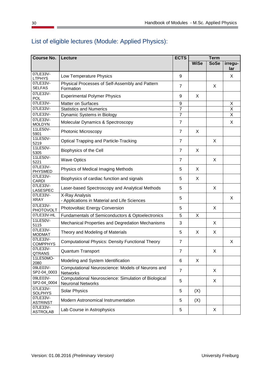| <b>Course No.</b>           | Lecture                                                                          | <b>ECTS</b>    | Term        |             |                |
|-----------------------------|----------------------------------------------------------------------------------|----------------|-------------|-------------|----------------|
|                             |                                                                                  |                | <b>WiSe</b> | <b>SoSe</b> | irregu-<br>lar |
| 07LE33V-<br><b>LTPHYS</b>   | Low Temperature Physics                                                          | 9              |             |             | X              |
| 07LE33V-<br><b>SELFAS</b>   | Physical Processes of Self-Assembly and Pattern<br>Formation                     | $\overline{7}$ |             | X           |                |
| 07LE33V-<br>POL             | <b>Experimental Polymer Physics</b>                                              | 9              | X           |             |                |
| 07LE33V-                    | <b>Matter on Surfaces</b>                                                        | 9              |             |             | Χ              |
| 07LE33V-                    | <b>Statistics and Numerics</b>                                                   | $\overline{7}$ |             |             | X              |
| 07LE33V-                    | Dynamic Systems in Biology                                                       | $\overline{7}$ |             |             | X              |
| 07LE33V-<br><b>MOLDYN</b>   | Molecular Dynamics & Spectroscopy                                                | $\overline{7}$ |             |             | X              |
| 11LE50V-<br>5901            | Photonic Microscopy                                                              | $\overline{7}$ | X           |             |                |
| 11LE50V-<br>5219            | <b>Optical Trapping and Particle-Tracking</b>                                    | $\overline{7}$ |             | X           |                |
| 11LE50V-<br>5305            | Biophysics of the Cell                                                           | $\overline{7}$ | X           |             |                |
| 11LE50V-<br>5221            | <b>Wave Optics</b>                                                               | $\overline{7}$ |             | X           |                |
| 07LE33V-<br><b>PHYSMED</b>  | Physics of Medical Imaging Methods                                               | 5              | X           |             |                |
| 07LE33V-<br>CARDI           | Biophysics of cardiac function and signals                                       | 5              | X           |             |                |
| 07LE33V-<br>LASESPEC        | Laser-based Spectroscopy and Analytical Methods                                  | 5              |             | X           |                |
| 07LE33V-<br><b>XRAY</b>     | X-Ray Analysis<br>- Applications in Material and Life Sciences                   | 5              |             |             | X              |
| 07LE33V-<br>PHOTOVOLT       | Photovoltaic Energy Conversion                                                   | 5              |             | X           |                |
| 07LE33V-HL                  | Fundamentals of Semiconductors & Optoelectronics                                 | 5              | X           |             |                |
| 11LE50V-<br>5115            | Mechanical Properties and Degredation Mechanisms                                 | 3              |             | X           |                |
| 07LE33V-<br><b>MODMAT</b>   | Theory and Modeling of Materials                                                 | 5              | X           | X           |                |
| 07LE33V-<br><b>COMPPHYS</b> | <b>Computational Physics: Density Functional Theory</b>                          | $\overline{7}$ |             |             | X              |
| 07LE33V-<br>QTRANS          | <b>Quantum Transport</b>                                                         | $\overline{7}$ |             | X           |                |
| 11LE50MO-<br>2080           | Modeling and System Identification                                               | 6              | X           |             |                |
| 09LE03V-<br>SP2-04_0003     | Computational Neuroscience: Models of Neurons and<br>Networks                    | $\overline{7}$ |             | X           |                |
| 09LE03V-<br>SP2-04_0004     | Computational Neuroscience: Simulation of Biological<br><b>Neuronal Networks</b> | 5              |             | X           |                |
| 07LE33V-<br><b>SOLPHYS</b>  | <b>Solar Physics</b>                                                             | 5              | (X)         |             |                |
| 07LE33V-<br><b>ASTRINST</b> | Modern Astronomical Instrumentation                                              | 5              | (X)         |             |                |
| 07LE33V-<br><b>ASTROLAB</b> | Lab Course in Astrophysics                                                       | 5              |             | X           |                |

# List of eligible lectures (Module: Applied Physics):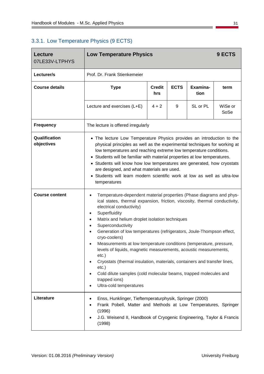## <span id="page-32-0"></span>3.3.1. Low Temperature Physics (9 ECTS)

| <b>Lecture</b><br>07LE33V-LTPHYS | <b>Low Temperature Physics</b>                                                                                                                                                                                                                                                                                                                                                                                                                                                                                                                                                                                                                                                                                                                                                    | 9 ECTS               |             |                  |                 |  |  |
|----------------------------------|-----------------------------------------------------------------------------------------------------------------------------------------------------------------------------------------------------------------------------------------------------------------------------------------------------------------------------------------------------------------------------------------------------------------------------------------------------------------------------------------------------------------------------------------------------------------------------------------------------------------------------------------------------------------------------------------------------------------------------------------------------------------------------------|----------------------|-------------|------------------|-----------------|--|--|
| Lecturer/s                       | Prof. Dr. Frank Stienkemeier                                                                                                                                                                                                                                                                                                                                                                                                                                                                                                                                                                                                                                                                                                                                                      |                      |             |                  |                 |  |  |
| <b>Course details</b>            | <b>Type</b>                                                                                                                                                                                                                                                                                                                                                                                                                                                                                                                                                                                                                                                                                                                                                                       | <b>Credit</b><br>hrs | <b>ECTS</b> | Examina-<br>tion | term            |  |  |
|                                  | Lecture and exercises (L+E)                                                                                                                                                                                                                                                                                                                                                                                                                                                                                                                                                                                                                                                                                                                                                       | $4 + 2$              | 9           | SL or PL         | WiSe or<br>SoSe |  |  |
| <b>Frequency</b>                 | The lecture is offered irregularly                                                                                                                                                                                                                                                                                                                                                                                                                                                                                                                                                                                                                                                                                                                                                |                      |             |                  |                 |  |  |
| Qualification<br>objectives      | • The lecture Low Temperature Physics provides an introduction to the<br>physical principles as well as the experimental techniques for working at<br>low temperatures and reaching extreme low temperature conditions.<br>Students will be familiar with material properties at low temperatures.<br>Students will know how low temperatures are generated, how cryostats<br>are designed, and what materials are used.<br>Students will learn modern scientific work at low as well as ultra-low<br>$\bullet$<br>temperatures                                                                                                                                                                                                                                                   |                      |             |                  |                 |  |  |
| <b>Course content</b>            | Temperature-dependent material properties (Phase diagrams and phys-<br>ical states, thermal expansion, friction, viscosity, thermal conductivity,<br>electrical conductivity)<br>Superfluidity<br>$\bullet$<br>Matrix and helium droplet isolation techniques<br>$\bullet$<br>Superconductivity<br>$\bullet$<br>Generation of low temperatures (refrigerators, Joule-Thompson effect,<br>$\bullet$<br>cryo-coolers)<br>Measurements at low temperature conditions (temperature, pressure,<br>levels of liquids, magnetic measurements, acoustic measurements,<br>$etc.$ )<br>Cryostats (thermal insulation, materials, containers and transfer lines,<br>$etc.$ )<br>Cold dilute samples (cold molecular beams, trapped molecules and<br>trapped ions)<br>Ultra-cold temperatures |                      |             |                  |                 |  |  |
| Literature                       | Enss, Hunklinger, Tieftemperaturphysik, Springer (2000)<br>٠<br>Frank Pobell, Matter and Methods at Low Temperatures, Springer<br>(1996)<br>J.G. Weisend II, Handbook of Cryogenic Engineering, Taylor & Francis<br>(1998)                                                                                                                                                                                                                                                                                                                                                                                                                                                                                                                                                        |                      |             |                  |                 |  |  |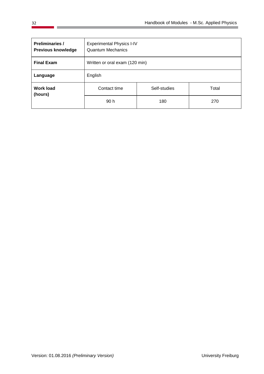| <b>Preliminaries /</b><br><b>Previous knowledge</b> | <b>Experimental Physics I-IV</b><br><b>Quantum Mechanics</b> |            |  |  |  |  |  |  |
|-----------------------------------------------------|--------------------------------------------------------------|------------|--|--|--|--|--|--|
| <b>Final Exam</b>                                   | Written or oral exam (120 min)                               |            |  |  |  |  |  |  |
| Language                                            | English                                                      |            |  |  |  |  |  |  |
| <b>Work load</b><br>(hours)                         | Contact time<br>Self-studies<br>Total                        |            |  |  |  |  |  |  |
|                                                     | 90 h                                                         | 180<br>270 |  |  |  |  |  |  |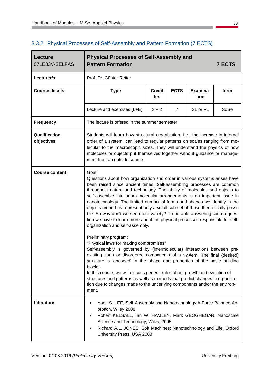$\overline{ }$ 

| <b>Lecture</b><br>07LE33V-SELFAS | <b>Physical Processes of Self-Assembly and</b><br><b>Pattern Formation</b>                                                                                                                                                                                                                                                                                                                                                                                                                                                                                                                                                                                                                                                                                                                                                                                                                                                                                                                                                                                                                                                                                         |                      |                |                  | <b>7 ECTS</b> |  |  |
|----------------------------------|--------------------------------------------------------------------------------------------------------------------------------------------------------------------------------------------------------------------------------------------------------------------------------------------------------------------------------------------------------------------------------------------------------------------------------------------------------------------------------------------------------------------------------------------------------------------------------------------------------------------------------------------------------------------------------------------------------------------------------------------------------------------------------------------------------------------------------------------------------------------------------------------------------------------------------------------------------------------------------------------------------------------------------------------------------------------------------------------------------------------------------------------------------------------|----------------------|----------------|------------------|---------------|--|--|
| Lecturer/s                       | Prof. Dr. Günter Reiter                                                                                                                                                                                                                                                                                                                                                                                                                                                                                                                                                                                                                                                                                                                                                                                                                                                                                                                                                                                                                                                                                                                                            |                      |                |                  |               |  |  |
| <b>Course details</b>            | <b>Type</b>                                                                                                                                                                                                                                                                                                                                                                                                                                                                                                                                                                                                                                                                                                                                                                                                                                                                                                                                                                                                                                                                                                                                                        | <b>Credit</b><br>hrs | <b>ECTS</b>    | Examina-<br>tion | term          |  |  |
|                                  | Lecture and exercises (L+E)                                                                                                                                                                                                                                                                                                                                                                                                                                                                                                                                                                                                                                                                                                                                                                                                                                                                                                                                                                                                                                                                                                                                        | $3 + 2$              | $\overline{7}$ | SL or PL         | SoSe          |  |  |
| <b>Frequency</b>                 | The lecture is offered in the summer semester                                                                                                                                                                                                                                                                                                                                                                                                                                                                                                                                                                                                                                                                                                                                                                                                                                                                                                                                                                                                                                                                                                                      |                      |                |                  |               |  |  |
| Qualification<br>objectives      | Students will learn how structural organization, i.e., the increase in internal<br>order of a system, can lead to regular patterns on scales ranging from mo-<br>lecular to the macroscopic sizes. They will understand the physics of how<br>molecules or objects put themselves together without guidance or manage-<br>ment from an outside source.                                                                                                                                                                                                                                                                                                                                                                                                                                                                                                                                                                                                                                                                                                                                                                                                             |                      |                |                  |               |  |  |
| <b>Course content</b>            | Goal:<br>Questions about how organization and order in various systems arises have<br>been raised since ancient times. Self-assembling processes are common<br>throughout nature and technology. The ability of molecules and objects to<br>self-assemble into supra-molecular arrangements is an important issue in<br>nanotechnology. The limited number of forms and shapes we identify in the<br>objects around us represent only a small sub-set of those theoretically possi-<br>ble. So why don't we see more variety? To be able answering such a ques-<br>tion we have to learn more about the physical processes responsible for self-<br>organization and self-assembly.<br>Preliminary program:<br>"Physical laws for making compromises"<br>Self-assembly is governed by (intermolecular) interactions between pre-<br>existing parts or disordered components of a system. The final (desired)<br>structure is 'encoded' in the shape and properties of the basic building<br>blocks.<br>In this course, we will discuss general rules about growth and evolution of<br>structures and patterns as well as methods that predict changes in organiza- |                      |                |                  |               |  |  |
| Literature                       | ment.<br>Yoon S. LEE, Self-Assembly and Nanotechnology:A Force Balance Ap-<br>proach, Wiley 2008<br>Robert KELSALL, Ian W. HAMLEY, Mark GEOGHEGAN, Nanoscale<br>Science and Technology, Wiley, 2005<br>Richard A.L. JONES, Soft Machines: Nanotechnology and Life, Oxford<br>University Press, USA 2008                                                                                                                                                                                                                                                                                                                                                                                                                                                                                                                                                                                                                                                                                                                                                                                                                                                            |                      |                |                  |               |  |  |

# <span id="page-34-0"></span>3.3.2. Physical Processes of Self-Assembly and Pattern Formation (7 ECTS)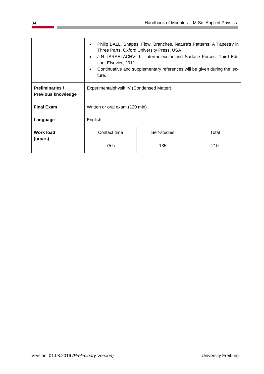|                                                     | tion, Elsevier, 2011<br>ture.            | Philip BALL, Shapes, Flow, Branches. Nature's Patterns: A Tapestry in<br>Three Parts, Oxford University Press, USA<br>J.N. ISRAELACHVILI, Intermolecular and Surface Forces, Third Edi-<br>Continuative and supplementary references will be given during the lec- |     |  |  |  |
|-----------------------------------------------------|------------------------------------------|--------------------------------------------------------------------------------------------------------------------------------------------------------------------------------------------------------------------------------------------------------------------|-----|--|--|--|
| <b>Preliminaries /</b><br><b>Previous knowledge</b> | Experimentalphysik IV (Condensed Matter) |                                                                                                                                                                                                                                                                    |     |  |  |  |
| <b>Final Exam</b>                                   | Written or oral exam (120 min)           |                                                                                                                                                                                                                                                                    |     |  |  |  |
| Language                                            | English                                  |                                                                                                                                                                                                                                                                    |     |  |  |  |
| <b>Work load</b><br>(hours)                         | Total                                    |                                                                                                                                                                                                                                                                    |     |  |  |  |
|                                                     | 75 h                                     | 135                                                                                                                                                                                                                                                                | 210 |  |  |  |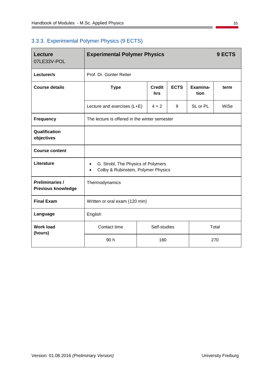# 3.3.3. Experimental Polymer Physics (9 ECTS)

| <b>Lecture</b><br>07LE33V-POL                | <b>Experimental Polymer Physics</b>                                                    |         |   |          | 9 ECTS |
|----------------------------------------------|----------------------------------------------------------------------------------------|---------|---|----------|--------|
| Lecturer/s                                   | Prof. Dr. Günter Reiter                                                                |         |   |          |        |
| <b>Course details</b>                        | <b>ECTS</b><br>Examina-<br><b>Credit</b><br><b>Type</b><br>term<br>tion<br>hrs         |         |   |          |        |
|                                              | Lecture and exercises (L+E)                                                            | $4 + 2$ | 9 | SL or PL | WiSe   |
| <b>Frequency</b>                             | The lecture is offered in the winter semester                                          |         |   |          |        |
| Qualification<br>objectives                  |                                                                                        |         |   |          |        |
| <b>Course content</b>                        |                                                                                        |         |   |          |        |
| Literature                                   | G. Strobl, The Physics of Polymers<br>$\bullet$<br>Colby & Rubinstein, Polymer Physics |         |   |          |        |
| Preliminaries /<br><b>Previous knowledge</b> | Thermodynamics                                                                         |         |   |          |        |
| <b>Final Exam</b>                            | Written or oral exam (120 min)                                                         |         |   |          |        |
| Language                                     | English                                                                                |         |   |          |        |
| <b>Work load</b><br>(hours)                  | Contact time<br>Self-studies<br>Total                                                  |         |   |          |        |
|                                              | 90 h                                                                                   | 180     |   |          | 270    |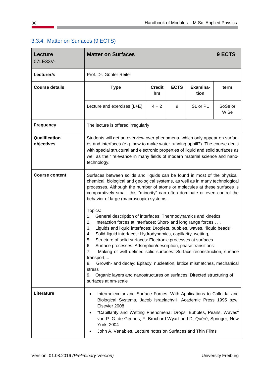| <b>Lecture</b><br>07LE33V-  | <b>Matter on Surfaces</b>                                                                                                                                                                                                                                                                                                                                                                                                                                                                                                                                                                                                                                                                                                                                    |                  |      |          | 9 ECTS          |  |  |
|-----------------------------|--------------------------------------------------------------------------------------------------------------------------------------------------------------------------------------------------------------------------------------------------------------------------------------------------------------------------------------------------------------------------------------------------------------------------------------------------------------------------------------------------------------------------------------------------------------------------------------------------------------------------------------------------------------------------------------------------------------------------------------------------------------|------------------|------|----------|-----------------|--|--|
| Lecturer/s                  | Prof. Dr. Günter Reiter                                                                                                                                                                                                                                                                                                                                                                                                                                                                                                                                                                                                                                                                                                                                      |                  |      |          |                 |  |  |
| <b>Course details</b>       | <b>Type</b>                                                                                                                                                                                                                                                                                                                                                                                                                                                                                                                                                                                                                                                                                                                                                  | Examina-<br>tion | term |          |                 |  |  |
|                             | Lecture and exercises (L+E)                                                                                                                                                                                                                                                                                                                                                                                                                                                                                                                                                                                                                                                                                                                                  | $4 + 2$          | 9    | SL or PL | SoSe or<br>WiSe |  |  |
| <b>Frequency</b>            | The lecture is offered irregularly                                                                                                                                                                                                                                                                                                                                                                                                                                                                                                                                                                                                                                                                                                                           |                  |      |          |                 |  |  |
| Qualification<br>objectives | Students will get an overview over phenomena, which only appear on surfac-<br>es and interfaces (e.g. how to make water running uphill?). The course deals<br>with special structural and electronic properties of liquid and solid surfaces as<br>well as their relevance in many fields of modern material science and nano-<br>technology.                                                                                                                                                                                                                                                                                                                                                                                                                |                  |      |          |                 |  |  |
| <b>Course content</b>       | Surfaces between solids and liquids can be found in most of the physical,<br>chemical, biological and geological systems, as well as in many technological<br>processes. Although the number of atoms or molecules at these surfaces is<br>comparatively small, this "minority" can often dominate or even control the<br>behavior of large (macroscopic) systems.                                                                                                                                                                                                                                                                                                                                                                                           |                  |      |          |                 |  |  |
|                             | Topics:<br>1.<br>General description of interfaces: Thermodynamics and kinetics<br>2.<br>Interaction forces at interfaces: Short- and long range forces,<br>3.<br>Liquids and liquid interfaces: Droplets, bubbles, waves, "liquid beads"<br>Solid-liquid interfaces: Hydrodynamics, capillarity, wetting,<br>4.<br>Structure of solid surfaces: Electronic processes at surfaces<br>5.<br>6.<br>Surface processes: Adsorption/desorption, phase transitions<br>Making of well defined solid surfaces: Surface reconstruction, surface<br>7.<br>transport,<br>Growth- and decay: Epitaxy, nucleation, lattice mismatches, mechanical<br>8.<br>stress<br>Organic layers and nanostructures on surfaces: Directed structuring of<br>9.<br>surfaces at nm-scale |                  |      |          |                 |  |  |
| Literature                  | Intermolecular and Surface Forces, With Applications to Colloidal and<br>٠<br>Biological Systems, Jacob Israelachvili, Academic Press 1995 bzw.<br>Elsevier 2008<br>"Capillarity and Wetting Phenomena: Drops, Bubbles, Pearls, Waves"<br>٠<br>von P.-G. de Gennes, F. Brochard-Wyart und D. Quéré, Springer, New<br>York, 2004<br>John A. Venables, Lecture notes on Surfaces and Thin Films                                                                                                                                                                                                                                                                                                                                                                |                  |      |          |                 |  |  |

### 3.3.4. Matter on Surfaces (9 ECTS)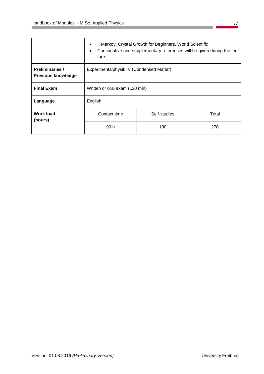|                                                     | I. Markov, Crystal Growth for Beginners, World Scientific<br>$\bullet$<br>Continuative and supplementary references will be given during the lec-<br>$\bullet$<br>ture. |     |     |  |
|-----------------------------------------------------|-------------------------------------------------------------------------------------------------------------------------------------------------------------------------|-----|-----|--|
| <b>Preliminaries /</b><br><b>Previous knowledge</b> | Experimentalphysik IV (Condensed Matter)                                                                                                                                |     |     |  |
| <b>Final Exam</b>                                   | Written or oral exam (120 min)                                                                                                                                          |     |     |  |
| Language                                            | English                                                                                                                                                                 |     |     |  |
| <b>Work load</b><br>(hours)                         | Contact time<br>Self-studies<br>Total                                                                                                                                   |     |     |  |
|                                                     | 90 h                                                                                                                                                                    | 180 | 270 |  |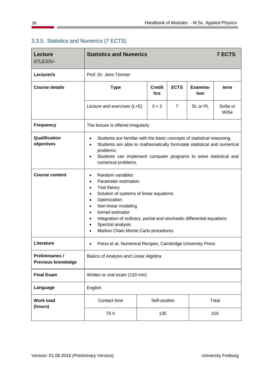| <b>Lecture</b><br>07LE33V-                          | <b>Statistics and Numerics</b>                                                                                                                                                                                                                                                                                                                                                                                           |                                                                 |                |          | <b>7 ECTS</b>   |  |
|-----------------------------------------------------|--------------------------------------------------------------------------------------------------------------------------------------------------------------------------------------------------------------------------------------------------------------------------------------------------------------------------------------------------------------------------------------------------------------------------|-----------------------------------------------------------------|----------------|----------|-----------------|--|
| Lecturer/s                                          | Prof. Dr. Jens Timmer                                                                                                                                                                                                                                                                                                                                                                                                    |                                                                 |                |          |                 |  |
| <b>Course details</b>                               | <b>Type</b>                                                                                                                                                                                                                                                                                                                                                                                                              | <b>ECTS</b><br>Examina-<br><b>Credit</b><br>term<br>tion<br>hrs |                |          |                 |  |
|                                                     | Lecture and exercises (L+E)                                                                                                                                                                                                                                                                                                                                                                                              | $3 + 2$                                                         | $\overline{7}$ | SL or PL | SoSe or<br>WiSe |  |
| <b>Frequency</b>                                    | The lecture is offered irregularly                                                                                                                                                                                                                                                                                                                                                                                       |                                                                 |                |          |                 |  |
| Qualification<br>objectives                         | Students are familiar with the basic concepts of statistical reasoning.<br>$\bullet$<br>Students are able to mathematically formulate statistical and numerical<br>$\bullet$<br>problems.<br>Students can implement computer programs to solve statistical and<br>$\bullet$<br>numerical problems.                                                                                                                       |                                                                 |                |          |                 |  |
| <b>Course content</b>                               | Random variables<br>$\bullet$<br>Parameter estimation<br>$\bullet$<br>Test theory<br>$\bullet$<br>Solution of systems of linear equations<br>$\bullet$<br>Optimization<br>$\bullet$<br>Non-linear modeling<br>$\bullet$<br>Kernel estimator<br>$\bullet$<br>Integration of ordinary, partial and stochastic differential equations<br>$\bullet$<br>Spectral analysis<br>$\bullet$<br>Markov Chain Monte Carlo procedures |                                                                 |                |          |                 |  |
| Literature                                          | Press et al. Numerical Recipes, Cambridge University Press<br>$\bullet$                                                                                                                                                                                                                                                                                                                                                  |                                                                 |                |          |                 |  |
| <b>Preliminaries /</b><br><b>Previous knowledge</b> | Basics of Analysis and Linear Algebra                                                                                                                                                                                                                                                                                                                                                                                    |                                                                 |                |          |                 |  |
| <b>Final Exam</b>                                   | Written or oral exam (120 min)                                                                                                                                                                                                                                                                                                                                                                                           |                                                                 |                |          |                 |  |
| Language                                            | English                                                                                                                                                                                                                                                                                                                                                                                                                  |                                                                 |                |          |                 |  |
| <b>Work load</b><br>(hours)                         | Contact time                                                                                                                                                                                                                                                                                                                                                                                                             | Self-studies                                                    |                |          | Total           |  |
|                                                     | 75h                                                                                                                                                                                                                                                                                                                                                                                                                      | 135                                                             |                |          | 210             |  |

## 3.3.5. Statistics and Numerics (7 ECTS)

 $\overline{\phantom{0}}$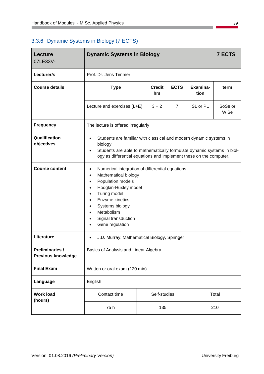# 3.3.6. Dynamic Systems in Biology (7 ECTS)

| <b>Lecture</b><br>07LE33V-                          | <b>Dynamic Systems in Biology</b>                                                                                                                                                                                                                                                                                                                       |                                                                 |                |          | <b>7 ECTS</b>   |  |  |
|-----------------------------------------------------|---------------------------------------------------------------------------------------------------------------------------------------------------------------------------------------------------------------------------------------------------------------------------------------------------------------------------------------------------------|-----------------------------------------------------------------|----------------|----------|-----------------|--|--|
| Lecturer/s                                          | Prof. Dr. Jens Timmer                                                                                                                                                                                                                                                                                                                                   |                                                                 |                |          |                 |  |  |
| <b>Course details</b>                               | <b>Type</b>                                                                                                                                                                                                                                                                                                                                             | <b>ECTS</b><br>Examina-<br><b>Credit</b><br>term<br>tion<br>hrs |                |          |                 |  |  |
|                                                     | Lecture and exercises (L+E)                                                                                                                                                                                                                                                                                                                             | $3 + 2$                                                         | $\overline{7}$ | SL or PL | SoSe or<br>WiSe |  |  |
| <b>Frequency</b>                                    | The lecture is offered irregularly                                                                                                                                                                                                                                                                                                                      |                                                                 |                |          |                 |  |  |
| Qualification<br>objectives                         | Students are familiar with classical and modern dynamic systems in<br>$\bullet$<br>biology.<br>Students are able to mathematically formulate dynamic systems in biol-<br>$\bullet$<br>ogy as differential equations and implement these on the computer.                                                                                                |                                                                 |                |          |                 |  |  |
| <b>Course content</b>                               | Numerical integration of differential equations<br>$\bullet$<br>Mathematical biology<br>$\bullet$<br>Population models<br>$\bullet$<br>Hodgkin-Huxley model<br>$\bullet$<br>Turing model<br>$\bullet$<br>Enzyme kinetics<br>$\bullet$<br>Systems biology<br>$\bullet$<br>Metabolism<br>$\bullet$<br>Signal transduction<br>$\bullet$<br>Gene regulation |                                                                 |                |          |                 |  |  |
| Literature                                          | J.D. Murray. Mathematical Biology, Springer<br>$\bullet$                                                                                                                                                                                                                                                                                                |                                                                 |                |          |                 |  |  |
| <b>Preliminaries /</b><br><b>Previous knowledge</b> | Basics of Analysis and Linear Algebra                                                                                                                                                                                                                                                                                                                   |                                                                 |                |          |                 |  |  |
| <b>Final Exam</b>                                   | Written or oral exam (120 min)                                                                                                                                                                                                                                                                                                                          |                                                                 |                |          |                 |  |  |
| Language                                            | English                                                                                                                                                                                                                                                                                                                                                 |                                                                 |                |          |                 |  |  |
| <b>Work load</b><br>(hours)                         | Contact time                                                                                                                                                                                                                                                                                                                                            | Self-studies                                                    |                |          | Total           |  |  |
|                                                     | 75h                                                                                                                                                                                                                                                                                                                                                     | 135                                                             |                |          | 210             |  |  |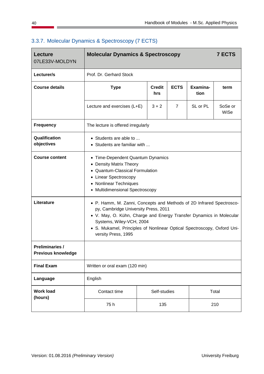| <b>Lecture</b><br>07LE33V-MOLDYN                    | <b>Molecular Dynamics &amp; Spectroscopy</b>                                                                                                                                                                                                                                                                      |  |                      |                |                  | <b>7 ECTS</b>   |
|-----------------------------------------------------|-------------------------------------------------------------------------------------------------------------------------------------------------------------------------------------------------------------------------------------------------------------------------------------------------------------------|--|----------------------|----------------|------------------|-----------------|
| Lecturer/s                                          | Prof. Dr. Gerhard Stock                                                                                                                                                                                                                                                                                           |  |                      |                |                  |                 |
| <b>Course details</b>                               | <b>Type</b>                                                                                                                                                                                                                                                                                                       |  | <b>Credit</b><br>hrs | <b>ECTS</b>    | Examina-<br>tion | term            |
|                                                     | Lecture and exercises (L+E)                                                                                                                                                                                                                                                                                       |  | $3 + 2$              | $\overline{7}$ | SL or PL         | SoSe or<br>WiSe |
| <b>Frequency</b>                                    | The lecture is offered irregularly                                                                                                                                                                                                                                                                                |  |                      |                |                  |                 |
| Qualification<br>objectives                         | $\bullet$ Students are able to<br>Students are familiar with                                                                                                                                                                                                                                                      |  |                      |                |                  |                 |
| <b>Course content</b>                               | • Time-Dependent Quantum Dynamics<br><b>Density Matrix Theory</b><br><b>Quantum-Classical Formulation</b><br><b>Linear Spectroscopy</b><br><b>Nonlinear Techniques</b><br>$\bullet$<br>• Multidimensional Spectroscopy                                                                                            |  |                      |                |                  |                 |
| Literature                                          | • P. Hamm, M. Zanni, Concepts and Methods of 2D Infrared Spectrosco-<br>py, Cambridge University Press, 2011<br>• V. May, O. Kühn, Charge and Energy Transfer Dynamics in Molecular<br>Systems, Wiley-VCH, 2004<br>• S. Mukamel, Principles of Nonlinear Optical Spectroscopy, Oxford Uni-<br>versity Press, 1995 |  |                      |                |                  |                 |
| <b>Preliminaries /</b><br><b>Previous knowledge</b> |                                                                                                                                                                                                                                                                                                                   |  |                      |                |                  |                 |
| <b>Final Exam</b>                                   | Written or oral exam (120 min)                                                                                                                                                                                                                                                                                    |  |                      |                |                  |                 |
| Language                                            | English                                                                                                                                                                                                                                                                                                           |  |                      |                |                  |                 |
| <b>Work load</b><br>(hours)                         | Contact time                                                                                                                                                                                                                                                                                                      |  | Self-studies         |                |                  | Total           |
|                                                     | 75h                                                                                                                                                                                                                                                                                                               |  | 135                  |                |                  | 210             |

# 3.3.7. Molecular Dynamics & Spectroscopy (7 ECTS)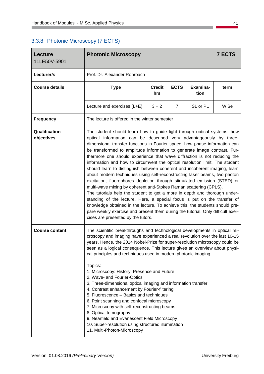# 3.3.8. Photonic Microscopy (7 ECTS)

| <b>Lecture</b><br>11LE50V-5901 | <b>Photonic Microscopy</b>                                                                                                                                                                                                                                                                                                                                                                                                                                                                                                                                                                                                                                                                                                                                                                                                                                                                                                                                                                                                                                                                                   |         |   |          | <b>7 ECTS</b> |
|--------------------------------|--------------------------------------------------------------------------------------------------------------------------------------------------------------------------------------------------------------------------------------------------------------------------------------------------------------------------------------------------------------------------------------------------------------------------------------------------------------------------------------------------------------------------------------------------------------------------------------------------------------------------------------------------------------------------------------------------------------------------------------------------------------------------------------------------------------------------------------------------------------------------------------------------------------------------------------------------------------------------------------------------------------------------------------------------------------------------------------------------------------|---------|---|----------|---------------|
| Lecturer/s                     | Prof. Dr. Alexander Rohrbach                                                                                                                                                                                                                                                                                                                                                                                                                                                                                                                                                                                                                                                                                                                                                                                                                                                                                                                                                                                                                                                                                 |         |   |          |               |
| <b>Course details</b>          | <b>Type</b>                                                                                                                                                                                                                                                                                                                                                                                                                                                                                                                                                                                                                                                                                                                                                                                                                                                                                                                                                                                                                                                                                                  | term    |   |          |               |
|                                | Lecture and exercises (L+E)                                                                                                                                                                                                                                                                                                                                                                                                                                                                                                                                                                                                                                                                                                                                                                                                                                                                                                                                                                                                                                                                                  | $3 + 2$ | 7 | SL or PL | WiSe          |
| <b>Frequency</b>               | The lecture is offered in the winter semester                                                                                                                                                                                                                                                                                                                                                                                                                                                                                                                                                                                                                                                                                                                                                                                                                                                                                                                                                                                                                                                                |         |   |          |               |
| Qualification<br>objectives    | The student should learn how to guide light through optical systems, how<br>optical information can be described very advantageously by three-<br>dimensional transfer functions in Fourier space, how phase information can<br>be transformed to amplitude information to generate image contrast. Fur-<br>thermore one should experience that wave diffraction is not reducing the<br>information and how to circumvent the optical resolution limit. The student<br>should learn to distinguish between coherent and incoherent imaging, learn<br>about modern techniques using self-reconstructing laser beams, two photon<br>excitation, fluorophores depletion through stimulated emission (STED) or<br>multi-wave mixing by coherent anti-Stokes Raman scattering (CPLS).<br>The tutorials help the student to get a more in depth and thorough under-<br>standing of the lecture. Here, a special focus is put on the transfer of<br>knowledge obtained in the lecture. To achieve this, the students should pre-<br>pare weekly exercise and present them during the tutorial. Only difficult exer- |         |   |          |               |
| <b>Course content</b>          | cises are presented by the tutors.<br>The scientific breakthroughs and technological developments in optical mi-<br>croscopy and imaging have experienced a real revolution over the last 10-15<br>years. Hence, the 2014 Nobel-Prize for super-resolution microscopy could be<br>seen as a logical consequence. This lecture gives an overview about physi-<br>cal principles and techniques used in modern photonic imaging.<br>Topics:<br>1. Microscopy: History, Presence and Future<br>2. Wave- and Fourier-Optics<br>3. Three-dimensional optical imaging and information transfer<br>4. Contrast enhancement by Fourier-filtering<br>5. Fluorescence - Basics and techniques<br>6. Point scanning and confocal microscopy<br>7. Microscopy with self-reconstructing beams<br>8. Optical tomography<br>9. Nearfield and Evanescent Field Microscopy<br>10. Super-resolution using structured illumination                                                                                                                                                                                              |         |   |          |               |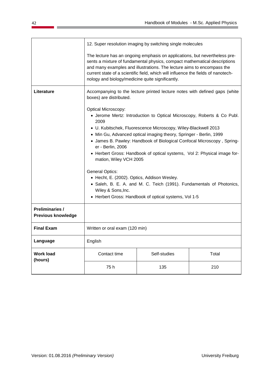|                                                     | 12. Super resolution imaging by switching single molecules                                                                                                                                                                                                                                                                                                                                                                                                                                                                                                                                                                                                                                |                                                                            |       |  |  |
|-----------------------------------------------------|-------------------------------------------------------------------------------------------------------------------------------------------------------------------------------------------------------------------------------------------------------------------------------------------------------------------------------------------------------------------------------------------------------------------------------------------------------------------------------------------------------------------------------------------------------------------------------------------------------------------------------------------------------------------------------------------|----------------------------------------------------------------------------|-------|--|--|
|                                                     | The lecture has an ongoing emphasis on applications, but nevertheless pre-<br>sents a mixture of fundamental physics, compact mathematical descriptions<br>and many examples and illustrations. The lecture aims to encompass the<br>current state of a scientific field, which will influence the fields of nanotech-<br>nology and biology/medicine quite significantly.                                                                                                                                                                                                                                                                                                                |                                                                            |       |  |  |
| Literature                                          | boxes) are distributed.                                                                                                                                                                                                                                                                                                                                                                                                                                                                                                                                                                                                                                                                   | Accompanying to the lecture printed lecture notes with defined gaps (white |       |  |  |
|                                                     | <b>Optical Microscopy:</b><br>• Jerome Mertz: Introduction to Optical Microscopy, Roberts & Co Publ.<br>2009<br>• U. Kubitschek, Fluorescence Microscopy, Wiley-Blackwell 2013<br>• Min Gu, Advanced optical imaging theory, Springer - Berlin, 1999<br>• James B. Pawley: Handbook of Biological Confocal Microscopy, Spring-<br>er - Berlin, 2006<br>• Herbert Gross: Handbook of optical systems, Vol 2: Physical image for-<br>mation, Wiley VCH 2005<br><b>General Optics:</b><br>• Hecht, E. (2002). Optics, Addison Wesley.<br>• Saleh, B. E. A. and M. C. Teich (1991). Fundamentals of Photonics,<br>Wiley & Sons, Inc.<br>• Herbert Gross: Handbook of optical systems, Vol 1-5 |                                                                            |       |  |  |
| <b>Preliminaries /</b><br><b>Previous knowledge</b> |                                                                                                                                                                                                                                                                                                                                                                                                                                                                                                                                                                                                                                                                                           |                                                                            |       |  |  |
| <b>Final Exam</b>                                   | Written or oral exam (120 min)                                                                                                                                                                                                                                                                                                                                                                                                                                                                                                                                                                                                                                                            |                                                                            |       |  |  |
| Language                                            | English                                                                                                                                                                                                                                                                                                                                                                                                                                                                                                                                                                                                                                                                                   |                                                                            |       |  |  |
| <b>Work load</b><br>(hours)                         | Contact time                                                                                                                                                                                                                                                                                                                                                                                                                                                                                                                                                                                                                                                                              | Self-studies                                                               | Total |  |  |
|                                                     | 75h                                                                                                                                                                                                                                                                                                                                                                                                                                                                                                                                                                                                                                                                                       | 135                                                                        | 210   |  |  |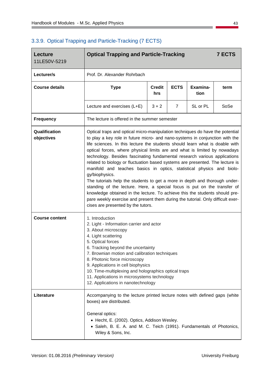| <b>Lecture</b><br>11LE50V-5219 | <b>Optical Trapping and Particle-Tracking</b>                                                                                                                                                                                                                                                                                                                                                                                                                                                                                                                                                                                                                                                                                                                                                                                                                                                                                                         |                                                                 |                |          | <b>7 ECTS</b> |  |  |
|--------------------------------|-------------------------------------------------------------------------------------------------------------------------------------------------------------------------------------------------------------------------------------------------------------------------------------------------------------------------------------------------------------------------------------------------------------------------------------------------------------------------------------------------------------------------------------------------------------------------------------------------------------------------------------------------------------------------------------------------------------------------------------------------------------------------------------------------------------------------------------------------------------------------------------------------------------------------------------------------------|-----------------------------------------------------------------|----------------|----------|---------------|--|--|
| Lecturer/s                     | Prof. Dr. Alexander Rohrbach                                                                                                                                                                                                                                                                                                                                                                                                                                                                                                                                                                                                                                                                                                                                                                                                                                                                                                                          |                                                                 |                |          |               |  |  |
| <b>Course details</b>          | <b>Type</b>                                                                                                                                                                                                                                                                                                                                                                                                                                                                                                                                                                                                                                                                                                                                                                                                                                                                                                                                           | <b>ECTS</b><br>Examina-<br><b>Credit</b><br>term<br>tion<br>hrs |                |          |               |  |  |
|                                | Lecture and exercises (L+E)                                                                                                                                                                                                                                                                                                                                                                                                                                                                                                                                                                                                                                                                                                                                                                                                                                                                                                                           | $3 + 2$                                                         | $\overline{7}$ | SL or PL | SoSe          |  |  |
| <b>Frequency</b>               | The lecture is offered in the summer semester                                                                                                                                                                                                                                                                                                                                                                                                                                                                                                                                                                                                                                                                                                                                                                                                                                                                                                         |                                                                 |                |          |               |  |  |
| Qualification<br>objectives    | Optical traps and optical micro-manipulation techniques do have the potential<br>to play a key role in future micro- and nano-systems in conjunction with the<br>life sciences. In this lecture the students should learn what is doable with<br>optical forces, where physical limits are and what is limited by nowadays<br>technology. Besides fascinating fundamental research various applications<br>related to biology or fluctuation based systems are presented. The lecture is<br>manifold and teaches basics in optics, statistical physics and biolo-<br>gy/biophysics.<br>The tutorials help the students to get a more in depth and thorough under-<br>standing of the lecture. Here, a special focus is put on the transfer of<br>knowledge obtained in the lecture. To achieve this the students should pre-<br>pare weekly exercise and present them during the tutorial. Only difficult exer-<br>cises are presented by the tutors. |                                                                 |                |          |               |  |  |
| <b>Course content</b>          | 1. Introduction<br>2. Light - Information carrier and actor<br>3. About microscopy<br>4. Light scattering<br>5. Optical forces<br>6. Tracking beyond the uncertainty<br>7. Brownian motion and calibration techniques<br>8. Photonic force microscopy<br>9. Applications in cell biophysics<br>10. Time-multiplexing and holographics optical traps<br>11. Applications in microsystems technology<br>12. Applications in nanotechnology                                                                                                                                                                                                                                                                                                                                                                                                                                                                                                              |                                                                 |                |          |               |  |  |
| Literature                     | Accompanying to the lecture printed lecture notes with defined gaps (white<br>boxes) are distributed.<br>General optics:<br>• Hecht, E. (2002). Optics, Addison Wesley.<br>• Saleh, B. E. A. and M. C. Teich (1991). Fundamentals of Photonics,<br>Wiley & Sons, Inc.                                                                                                                                                                                                                                                                                                                                                                                                                                                                                                                                                                                                                                                                                 |                                                                 |                |          |               |  |  |

# 3.3.9. Optical Trapping and Particle-Tracking (7 ECTS)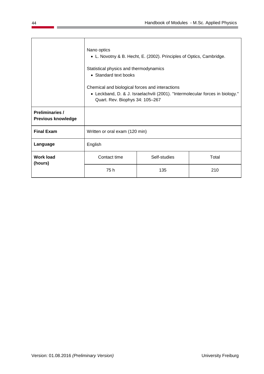|                                                     | Nano optics<br>• L. Novotny & B. Hecht, E. (2002). Principles of Optics, Cambridge.<br>Statistical physics and thermodynamics<br>• Standard text books<br>Chemical and biological forces and interactions<br>• Leckband, D. & J. Israelachvili (2001). "Intermolecular forces in biology."<br>Quart. Rev. Biophys 34: 105-267 |              |       |  |
|-----------------------------------------------------|-------------------------------------------------------------------------------------------------------------------------------------------------------------------------------------------------------------------------------------------------------------------------------------------------------------------------------|--------------|-------|--|
| <b>Preliminaries /</b><br><b>Previous knowledge</b> |                                                                                                                                                                                                                                                                                                                               |              |       |  |
| <b>Final Exam</b>                                   | Written or oral exam (120 min)                                                                                                                                                                                                                                                                                                |              |       |  |
| Language                                            | English                                                                                                                                                                                                                                                                                                                       |              |       |  |
| <b>Work load</b><br>(hours)                         | Contact time                                                                                                                                                                                                                                                                                                                  | Self-studies | Total |  |
|                                                     | 75 h                                                                                                                                                                                                                                                                                                                          | 135          | 210   |  |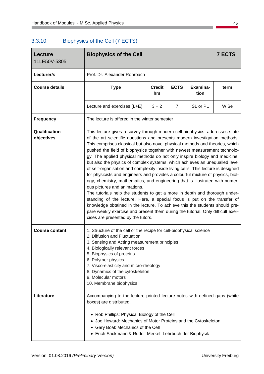$\overline{\phantom{a}}$ 

# 3.3.10. Biophysics of the Cell (7 ECTS)

| <b>Lecture</b><br>11LE50V-5305 | <b>Biophysics of the Cell</b>                                                                                                                                                                                                                                                                                                                                                                                                                                                                                                                                                                                                                                                                                                                                                                                                                                                                                                                                                                                                                                                                                                                 |         |                |          | <b>7 ECTS</b> |  |
|--------------------------------|-----------------------------------------------------------------------------------------------------------------------------------------------------------------------------------------------------------------------------------------------------------------------------------------------------------------------------------------------------------------------------------------------------------------------------------------------------------------------------------------------------------------------------------------------------------------------------------------------------------------------------------------------------------------------------------------------------------------------------------------------------------------------------------------------------------------------------------------------------------------------------------------------------------------------------------------------------------------------------------------------------------------------------------------------------------------------------------------------------------------------------------------------|---------|----------------|----------|---------------|--|
| Lecturer/s                     | Prof. Dr. Alexander Rohrbach                                                                                                                                                                                                                                                                                                                                                                                                                                                                                                                                                                                                                                                                                                                                                                                                                                                                                                                                                                                                                                                                                                                  |         |                |          |               |  |
| <b>Course details</b>          | <b>ECTS</b><br>Examina-<br><b>Type</b><br><b>Credit</b><br>term<br>tion<br>hrs                                                                                                                                                                                                                                                                                                                                                                                                                                                                                                                                                                                                                                                                                                                                                                                                                                                                                                                                                                                                                                                                |         |                |          |               |  |
|                                | Lecture and exercises (L+E)                                                                                                                                                                                                                                                                                                                                                                                                                                                                                                                                                                                                                                                                                                                                                                                                                                                                                                                                                                                                                                                                                                                   | $3 + 2$ | $\overline{7}$ | SL or PL | WiSe          |  |
| <b>Frequency</b>               | The lecture is offered in the winter semester                                                                                                                                                                                                                                                                                                                                                                                                                                                                                                                                                                                                                                                                                                                                                                                                                                                                                                                                                                                                                                                                                                 |         |                |          |               |  |
| Qualification<br>objectives    | This lecture gives a survey through modern cell biophysics, addresses state<br>of the art scientific questions and presents modern investigation methods.<br>This comprises classical but also novel physical methods and theories, which<br>pushed the field of biophysics together with newest measurement technolo-<br>gy. The applied physical methods do not only inspire biology and medicine,<br>but also the physics of complex systems, which achieves an unequalled level<br>of self-organisation and complexity inside living cells. This lecture is designed<br>for physicists and engineers and provides a colourful mixture of physics, biol-<br>ogy, chemistry, mathematics, and engineering that is illustrated with numer-<br>ous pictures and animations.<br>The tutorials help the students to get a more in depth and thorough under-<br>standing of the lecture. Here, a special focus is put on the transfer of<br>knowledge obtained in the lecture. To achieve this the students should pre-<br>pare weekly exercise and present them during the tutorial. Only difficult exer-<br>cises are presented by the tutors. |         |                |          |               |  |
| <b>Course content</b>          | 1. Structure of the cell or the recipe for cell-biophysical science<br>2. Diffusion and Fluctuation<br>3. Sensing and Acting measurement principles<br>4. Biologically relevant forces<br>5. Biophysics of proteins<br>6. Polymer physics<br>7. Visco-elasticity and micro-rheology<br>8. Dynamics of the cytoskeleton<br>9. Molecular motors<br>10. Membrane biophysics                                                                                                                                                                                                                                                                                                                                                                                                                                                                                                                                                                                                                                                                                                                                                                      |         |                |          |               |  |
| Literature                     | Accompanying to the lecture printed lecture notes with defined gaps (white<br>boxes) are distributed.<br>• Rob Phillips: Physical Biology of the Cell<br>• Joe Howard: Mechanics of Motor Proteins and the Cytoskeleton<br>Gary Boal: Mechanics of the Cell<br>• Erich Sackmann & Rudolf Merkel: Lehrbuch der Biophysik                                                                                                                                                                                                                                                                                                                                                                                                                                                                                                                                                                                                                                                                                                                                                                                                                       |         |                |          |               |  |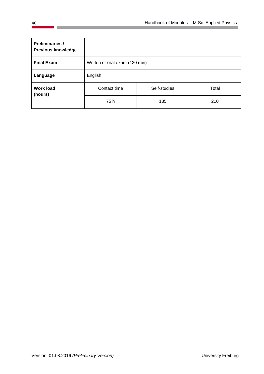| <b>Preliminaries /</b><br><b>Previous knowledge</b> |                                |              |       |  |  |
|-----------------------------------------------------|--------------------------------|--------------|-------|--|--|
| <b>Final Exam</b>                                   | Written or oral exam (120 min) |              |       |  |  |
| Language                                            | English                        |              |       |  |  |
| <b>Work load</b><br>(hours)                         | Contact time                   | Self-studies | Total |  |  |
|                                                     | 75 h                           | 135          | 210   |  |  |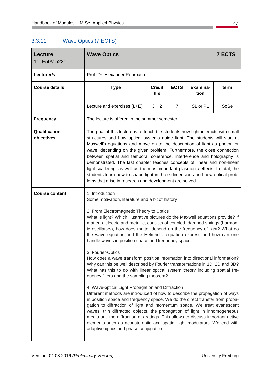# 3.3.11. Wave Optics (7 ECTS)

| <b>Lecture</b><br>11LE50V-5221 | <b>Wave Optics</b>                                                                                                                                                                                                                                                                                                                                                                                                                                                                                                                                                                                                                                                                                                                                                                                                                                                                                                                                                                                                                                                                                                                                                                                                                                                                                                                                        |                      |                |                  | <b>7 ECTS</b> |
|--------------------------------|-----------------------------------------------------------------------------------------------------------------------------------------------------------------------------------------------------------------------------------------------------------------------------------------------------------------------------------------------------------------------------------------------------------------------------------------------------------------------------------------------------------------------------------------------------------------------------------------------------------------------------------------------------------------------------------------------------------------------------------------------------------------------------------------------------------------------------------------------------------------------------------------------------------------------------------------------------------------------------------------------------------------------------------------------------------------------------------------------------------------------------------------------------------------------------------------------------------------------------------------------------------------------------------------------------------------------------------------------------------|----------------------|----------------|------------------|---------------|
| Lecturer/s                     | Prof. Dr. Alexander Rohrbach                                                                                                                                                                                                                                                                                                                                                                                                                                                                                                                                                                                                                                                                                                                                                                                                                                                                                                                                                                                                                                                                                                                                                                                                                                                                                                                              |                      |                |                  |               |
| <b>Course details</b>          | <b>Type</b>                                                                                                                                                                                                                                                                                                                                                                                                                                                                                                                                                                                                                                                                                                                                                                                                                                                                                                                                                                                                                                                                                                                                                                                                                                                                                                                                               | <b>Credit</b><br>hrs | <b>ECTS</b>    | Examina-<br>tion | term          |
|                                | Lecture and exercises (L+E)                                                                                                                                                                                                                                                                                                                                                                                                                                                                                                                                                                                                                                                                                                                                                                                                                                                                                                                                                                                                                                                                                                                                                                                                                                                                                                                               | $3 + 2$              | $\overline{7}$ | SL or PL         | SoSe          |
| <b>Frequency</b>               | The lecture is offered in the summer semester                                                                                                                                                                                                                                                                                                                                                                                                                                                                                                                                                                                                                                                                                                                                                                                                                                                                                                                                                                                                                                                                                                                                                                                                                                                                                                             |                      |                |                  |               |
| Qualification<br>objectives    | The goal of this lecture is to teach the students how light interacts with small<br>structures and how optical systems guide light. The students will start at<br>Maxwell's equations and move on to the description of light as photon or<br>wave, depending on the given problem. Furthermore, the close connection<br>between spatial and temporal coherence, interference and holography is<br>demonstrated. The last chapter teaches concepts of linear and non-linear<br>light scattering, as well as the most important plasmonic effects. In total, the<br>students learn how to shape light in three dimensions and how optical prob-<br>lems that arise in research and development are solved.                                                                                                                                                                                                                                                                                                                                                                                                                                                                                                                                                                                                                                                 |                      |                |                  |               |
| <b>Course content</b>          | 1. Introduction<br>Some motivation, literature and a bit of history<br>2. From Electromagnetic Theory to Optics<br>What is light? Which illustrative pictures do the Maxwell equations provide? If<br>matter, dielectric and metallic, consists of coupled, damped springs (harmon-<br>ic oscillators), how does matter depend on the frequency of light? What do<br>the wave equation and the Helmholtz equation express and how can one<br>handle waves in position space and frequency space.<br>3. Fourier-Optics<br>How does a wave transform position information into directional information?<br>Why can this be well described by Fourier transformations in 1D, 2D and 3D?<br>What has this to do with linear optical system theory including spatial fre-<br>quency filters and the sampling theorem?<br>4. Wave-optical Light Propagation and Diffraction<br>Different methods are introduced of how to describe the propagation of ways<br>in position space and frequency space. We do the direct transfer from propa-<br>gation to diffraction of light and momentum space. We treat evanescent<br>waves, thin diffracted objects, the propagation of light in inhomogeneous<br>media and the diffraction at gratings. This allows to discuss important active<br>elements such as acousto-optic and spatial light modulators. We end with |                      |                |                  |               |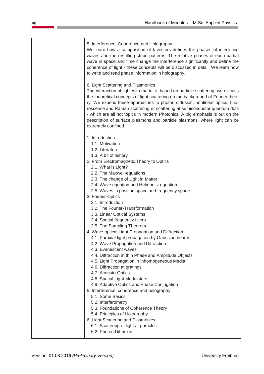#### 5. Interference, Coherence and Holography

We learn how a composition of k-vectors defines the phases of interfering waves and the resulting stripe patterns. The relative phases of each partial wave in space and time change the interference significantly and define the coherence of light - these concepts will be discussed in detail. We learn how to write and read phase information in holography.

6. Light Scattering and Plasmonics

The interaction of light with matter is based on particle scattering: we discuss the theoretical concepts of light scattering on the background of Fourier theory. We expend these approaches to photon diffusion, nonlinear optics, fluorescence and Raman scattering or scattering at semiconductor quantum dots - which are all hot topics in modern Photonics. A big emphasis is put on the description of surface plasmons and particle plasmons, where light can be extremely confined.

- 1. Introduction
	- 1.1. Motivation
	- 1.2. Literature
	- 1.3. A bit of history
- 2. From Electromagnetic Theory to Optics
	- 2.1. What is Light?
	- 2.2. The Maxwell-equations
	- 2.3. The change of Light in Matter
	- 2.4. Wave equation and Helmholtz equation
	- 2.5. Waves in position space and frequency space
- 3. Fourier-Optics
	- 3.1. Introduction
	- 3.2. The Fourier-Transformation
	- 3.3. Linear Optical Systems
	- 3.4. Spatial frequency filters
	- 3.5. The Sampling Theorem
- 4. Wave-optical Light Propagation and Diffraction
	- 4.1. Paraxial light propagation by Gaussian beams
	- 4.2. Wave Propagation and Diffraction
	- 4.3. Evanescent waves
	- 4.4. Diffraction at thin Phase and Amplitude Objects
	- 4.5. Light Propagation in inhomogeneous Media
	- 4.6. Diffraction at gratings
	- 4.7. Acousto-Optics
	- 4.8. Spatial Light Modulators
	- 4.9. Adaptive Optics and Phase Conjugation
- 5. Interference, coherence and holography
	- 5.1. Some Basics
	- 5.2. Interferometry
	- 5.3. Foundations of Coherence Theory
	- 5.4. Principles of Holography
- 6. Light Scattering and Plasmonics
	- 6.1. Scattering of light at particles
	- 6.2. Photon Diffusion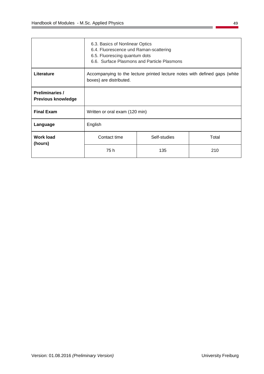|                                                     | 6.3. Basics of Nonlinear Optics<br>6.4. Fluorescence und Raman-scattering<br>6.5. Fluorescing quantum dots<br>6.6. Surface Plasmons and Particle Plasmons |              |       |  |
|-----------------------------------------------------|-----------------------------------------------------------------------------------------------------------------------------------------------------------|--------------|-------|--|
| Literature                                          | Accompanying to the lecture printed lecture notes with defined gaps (white<br>boxes) are distributed.                                                     |              |       |  |
| <b>Preliminaries /</b><br><b>Previous knowledge</b> |                                                                                                                                                           |              |       |  |
| <b>Final Exam</b>                                   | Written or oral exam (120 min)                                                                                                                            |              |       |  |
| Language                                            | English                                                                                                                                                   |              |       |  |
| <b>Work load</b><br>(hours)                         | Contact time                                                                                                                                              | Self-studies | Total |  |
|                                                     | 75 h                                                                                                                                                      | 135          | 210   |  |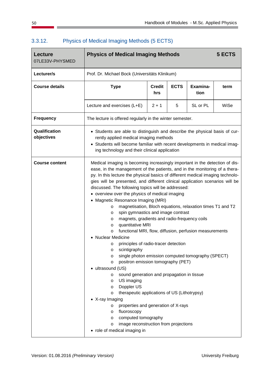| <b>Lecture</b><br>07LE33V-PHYSMED | <b>Physics of Medical Imaging Methods</b><br>5 ECTS                                                                                                                                                                                                                                                                                                                                                                                                                                                                                                                                                                                                                                                                                                                                                                                                                                                                                                                                                                                                                                                                                                                                                                                                                                                                                                                                                                                                                                                                    |                                                |             |                  |      |  |  |
|-----------------------------------|------------------------------------------------------------------------------------------------------------------------------------------------------------------------------------------------------------------------------------------------------------------------------------------------------------------------------------------------------------------------------------------------------------------------------------------------------------------------------------------------------------------------------------------------------------------------------------------------------------------------------------------------------------------------------------------------------------------------------------------------------------------------------------------------------------------------------------------------------------------------------------------------------------------------------------------------------------------------------------------------------------------------------------------------------------------------------------------------------------------------------------------------------------------------------------------------------------------------------------------------------------------------------------------------------------------------------------------------------------------------------------------------------------------------------------------------------------------------------------------------------------------------|------------------------------------------------|-------------|------------------|------|--|--|
| Lecturer/s                        |                                                                                                                                                                                                                                                                                                                                                                                                                                                                                                                                                                                                                                                                                                                                                                                                                                                                                                                                                                                                                                                                                                                                                                                                                                                                                                                                                                                                                                                                                                                        | Prof. Dr. Michael Bock (Universitäts Klinikum) |             |                  |      |  |  |
| <b>Course details</b>             | <b>Type</b>                                                                                                                                                                                                                                                                                                                                                                                                                                                                                                                                                                                                                                                                                                                                                                                                                                                                                                                                                                                                                                                                                                                                                                                                                                                                                                                                                                                                                                                                                                            | <b>Credit</b><br>hrs                           | <b>ECTS</b> | Examina-<br>tion | term |  |  |
|                                   | Lecture and exercises (L+E)                                                                                                                                                                                                                                                                                                                                                                                                                                                                                                                                                                                                                                                                                                                                                                                                                                                                                                                                                                                                                                                                                                                                                                                                                                                                                                                                                                                                                                                                                            | $2 + 1$                                        | 5           | SL or PL         | WiSe |  |  |
| <b>Frequency</b>                  | The lecture is offered regularly in the winter semester.                                                                                                                                                                                                                                                                                                                                                                                                                                                                                                                                                                                                                                                                                                                                                                                                                                                                                                                                                                                                                                                                                                                                                                                                                                                                                                                                                                                                                                                               |                                                |             |                  |      |  |  |
| Qualification<br>objectives       | • Students are able to distinguish and describe the physical basis of cur-<br>rently applied medical imaging methods                                                                                                                                                                                                                                                                                                                                                                                                                                                                                                                                                                                                                                                                                                                                                                                                                                                                                                                                                                                                                                                                                                                                                                                                                                                                                                                                                                                                   |                                                |             |                  |      |  |  |
| <b>Course content</b>             | • Students will become familiar with recent developments in medical imag-<br>ing technology and their clinical application<br>Medical imaging is becoming increasingly important in the detection of dis-<br>ease, in the management of the patients, and in the monitoring of a thera-<br>py. In this lecture the physical basics of different medical imaging technolo-<br>gies will be presented, and different clinical application scenarios will be<br>discussed. The following topics will be addressed:<br>• overview over the physics of medical imaging<br>Magnetic Resonance Imaging (MRI)<br>$\bullet$<br>magnetisation, Bloch equations, relaxation times T1 and T2<br>$\circ$<br>spin gymnastics and image contrast<br>O<br>magnets, gradients and radio-frequency coils<br>$\circ$<br>quantitative MRI<br>O<br>functional MRI, flow, diffusion, perfusion measurements<br>$\circ$<br><b>Nuclear Medicine</b><br>principles of radio-tracer detection<br>O<br>scintigraphy<br>O<br>single photon emission computed tomography (SPECT)<br>O<br>positron emission tomography (PET)<br>$\circ$<br>ultrasound (US)<br>٠<br>sound generation and propagation in tissue<br>$\circ$<br>US imaging<br>O<br>Doppler US<br>$\circ$<br>therapeutic applications of US (Lithotrypsy)<br>$\circ$<br>• X-ray Imaging<br>properties and generation of X-rays<br>$\circ$<br>fluoroscopy<br>$\circ$<br>computed tomography<br>$\circ$<br>image reconstruction from projections<br>$\circ$<br>• role of medical imaging in |                                                |             |                  |      |  |  |

# 3.3.12. Physics of Medical Imaging Methods (5 ECTS)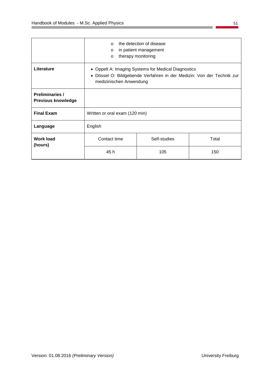|                                                     | the detection of disease<br>$\Omega$<br>in patient management<br>$\Omega$<br>therapy monitoring<br>$\Omega$                                                        |              |       |  |
|-----------------------------------------------------|--------------------------------------------------------------------------------------------------------------------------------------------------------------------|--------------|-------|--|
| Literature                                          | • Oppelt A: Imaging Systems for Medical Diagnostics<br>Dössel O: Bildgebende Verfahren in der Medizin: Von der Technik zur<br>$\bullet$<br>medizinischen Anwendung |              |       |  |
| <b>Preliminaries /</b><br><b>Previous knowledge</b> |                                                                                                                                                                    |              |       |  |
| <b>Final Exam</b>                                   | Written or oral exam (120 min)                                                                                                                                     |              |       |  |
| Language                                            | English                                                                                                                                                            |              |       |  |
| <b>Work load</b><br>(hours)                         | Contact time                                                                                                                                                       | Self-studies | Total |  |
|                                                     | 45 h                                                                                                                                                               | 105          | 150   |  |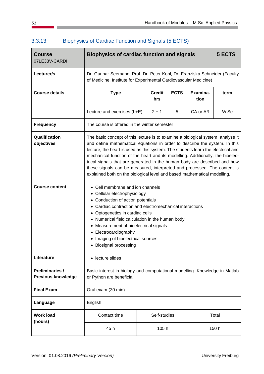| <b>Course</b><br>07LE33V-CARDI                      | <b>Biophysics of cardiac function and signals</b>                                                                                                                                                                                                                                                                                                                                                                                                                                                                                                                        |              |   |          | 5 ECTS |  |
|-----------------------------------------------------|--------------------------------------------------------------------------------------------------------------------------------------------------------------------------------------------------------------------------------------------------------------------------------------------------------------------------------------------------------------------------------------------------------------------------------------------------------------------------------------------------------------------------------------------------------------------------|--------------|---|----------|--------|--|
| Lecturer/s                                          | Dr. Gunnar Seemann, Prof. Dr. Peter Kohl, Dr. Franziska Schneider (Faculty<br>of Medicine, Institute for Experimental Cardiovascular Medicine)                                                                                                                                                                                                                                                                                                                                                                                                                           |              |   |          |        |  |
| <b>Course details</b>                               | Examina-<br><b>ECTS</b><br><b>Type</b><br><b>Credit</b><br>term<br>tion<br>hrs                                                                                                                                                                                                                                                                                                                                                                                                                                                                                           |              |   |          |        |  |
|                                                     | Lecture and exercises (L+E)                                                                                                                                                                                                                                                                                                                                                                                                                                                                                                                                              | $2 + 1$      | 5 | CA or AR | WiSe   |  |
| <b>Frequency</b>                                    | The course is offered in the winter semester                                                                                                                                                                                                                                                                                                                                                                                                                                                                                                                             |              |   |          |        |  |
| Qualification<br>objectives                         | The basic concept of this lecture is to examine a biological system, analyse it<br>and define mathematical equations in order to describe the system. In this<br>lecture, the heart is used as this system. The students learn the electrical and<br>mechanical function of the heart and its modelling. Additionally, the bioelec-<br>trical signals that are generated in the human body are described and how<br>these signals can be measured, interpreted and processed. The content is<br>explained both on the biological level and based mathematical modelling. |              |   |          |        |  |
| <b>Course content</b>                               | Cell membrane and ion channels<br>• Cellular electrophysiology<br>Conduction of action potentials<br>Cardiac contraction and electromechanical interactions<br>Optogenetics in cardiac cells<br>$\bullet$<br>Numerical field calculation in the human body<br>Measurement of bioelectrical signals<br>$\bullet$<br>Electrocardiography<br>Imaging of bioelectrical sources<br><b>Biosignal processing</b>                                                                                                                                                                |              |   |          |        |  |
| Literature                                          | • lecture slides                                                                                                                                                                                                                                                                                                                                                                                                                                                                                                                                                         |              |   |          |        |  |
| <b>Preliminaries /</b><br><b>Previous knowledge</b> | Basic interest in biology and computational modelling. Knowledge in Matlab<br>or Python are beneficial                                                                                                                                                                                                                                                                                                                                                                                                                                                                   |              |   |          |        |  |
| <b>Final Exam</b>                                   | Oral exam (30 min)                                                                                                                                                                                                                                                                                                                                                                                                                                                                                                                                                       |              |   |          |        |  |
| Language                                            | English                                                                                                                                                                                                                                                                                                                                                                                                                                                                                                                                                                  |              |   |          |        |  |
| <b>Work load</b><br>(hours)                         | Contact time                                                                                                                                                                                                                                                                                                                                                                                                                                                                                                                                                             | Self-studies |   |          | Total  |  |
|                                                     | 45 h                                                                                                                                                                                                                                                                                                                                                                                                                                                                                                                                                                     | 105 h        |   |          | 150 h  |  |

# 3.3.13. Biophysics of Cardiac Function and Signals (5 ECTS)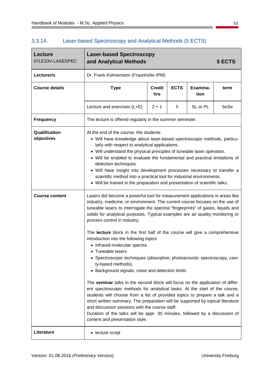# 3.3.14. Laser-based Spectroscopy and Analytical Methods (5 ECTS)

| <b>Laser-based Spectroscopy</b><br>and Analytical Methods                                                                                                                                                                                                                                                                                                                                                                                                                                                                                                                                                                                                                                                                                                                                                                                                                                                                                                                                                                              |                  |                      |                                                               | 5 ECTS                                                                                                                                                      |  |
|----------------------------------------------------------------------------------------------------------------------------------------------------------------------------------------------------------------------------------------------------------------------------------------------------------------------------------------------------------------------------------------------------------------------------------------------------------------------------------------------------------------------------------------------------------------------------------------------------------------------------------------------------------------------------------------------------------------------------------------------------------------------------------------------------------------------------------------------------------------------------------------------------------------------------------------------------------------------------------------------------------------------------------------|------------------|----------------------|---------------------------------------------------------------|-------------------------------------------------------------------------------------------------------------------------------------------------------------|--|
| Dr. Frank Kühnemann (Fraunhofer IPM)                                                                                                                                                                                                                                                                                                                                                                                                                                                                                                                                                                                                                                                                                                                                                                                                                                                                                                                                                                                                   |                  |                      |                                                               |                                                                                                                                                             |  |
| <b>Type</b>                                                                                                                                                                                                                                                                                                                                                                                                                                                                                                                                                                                                                                                                                                                                                                                                                                                                                                                                                                                                                            | term             |                      |                                                               |                                                                                                                                                             |  |
| Lecture and exercises (L+E)                                                                                                                                                                                                                                                                                                                                                                                                                                                                                                                                                                                                                                                                                                                                                                                                                                                                                                                                                                                                            | $2 + 1$          | 5                    | SL or PL                                                      | SoSe                                                                                                                                                        |  |
|                                                                                                                                                                                                                                                                                                                                                                                                                                                                                                                                                                                                                                                                                                                                                                                                                                                                                                                                                                                                                                        |                  |                      |                                                               |                                                                                                                                                             |  |
| At the end of the course, the students<br>• Will have knowledge about laser-based spectroscopic methods, particu-<br>larly with respect to analytical applications.<br>• Will understand the physical principles of tuneable laser operation.<br>• Will be enabled to evaluate the fundamental and practical limitations of<br>detection techniques.<br>• Will have insight into development processes necessary to transfer a<br>scientific method into a practical tool for industrial environments.<br>• Will be trained in the preparation and presentation of scientific talks.                                                                                                                                                                                                                                                                                                                                                                                                                                                   |                  |                      |                                                               |                                                                                                                                                             |  |
| Lasers did become a powerful tool for measurement applications in areas like<br>industry, medicine, or environment. The current course focuses on the use of<br>tuneable lasers to interrogate the spectral "fingerprints" of gases, liquids and<br>solids for analytical purposes. Typical examples are air quality monitoring or<br>process control in industry.<br>The lecture block in the first half of the course will give a comprehensive<br>introduction into the following topics<br>• Infrared molecular spectra<br>• Tuneable lasers<br>• Spectroscopic techniques (absorption, photoacoustic spectroscopy, cavi-<br>ty-based methods)<br>Background signals, noise and detection limits<br>The seminar talks in the second block will focus on the application of differ-<br>ent spectroscopic methods for analytical tasks. At the start of the course,<br>students will choose from a list of provided topics to prepare a talk and a<br>short written summary. The preparation will be supported by topical literature |                  |                      |                                                               |                                                                                                                                                             |  |
| content and presentation style.                                                                                                                                                                                                                                                                                                                                                                                                                                                                                                                                                                                                                                                                                                                                                                                                                                                                                                                                                                                                        |                  |                      |                                                               |                                                                                                                                                             |  |
|                                                                                                                                                                                                                                                                                                                                                                                                                                                                                                                                                                                                                                                                                                                                                                                                                                                                                                                                                                                                                                        | • lecture script | <b>Credit</b><br>hrs | <b>ECTS</b><br>and discussion sessions with the course staff. | Examina-<br>tion<br>The lecture is offered regularly in the summer semester.<br>Duration of the talks will be appr. 30 minutes, followed by a discussion of |  |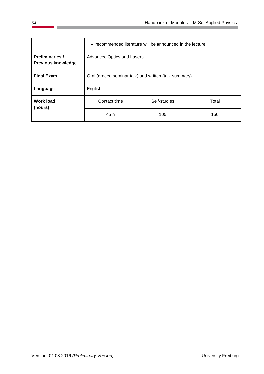|                                                     | • recommended literature will be announced in the lecture |              |       |  |
|-----------------------------------------------------|-----------------------------------------------------------|--------------|-------|--|
| <b>Preliminaries /</b><br><b>Previous knowledge</b> | <b>Advanced Optics and Lasers</b>                         |              |       |  |
| <b>Final Exam</b>                                   | Oral (graded seminar talk) and written (talk summary)     |              |       |  |
| Language                                            | English                                                   |              |       |  |
| <b>Work load</b><br>(hours)                         | Contact time                                              | Self-studies | Total |  |
|                                                     | 45 h                                                      | 105          | 150   |  |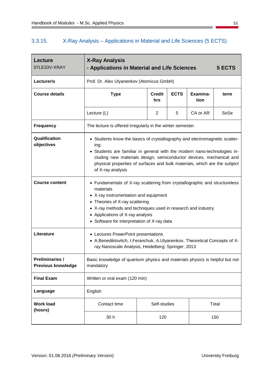#### 3.3.15. X-Ray Analysis – Applications in Material and Life Sciences (5 ECTS)

| Lecture<br>07LE33V-XRAY                             | <b>X-Ray Analysis</b><br>- Applications in Material and Life Sciences                                                                                                                                                                                                                                                                   |                      |             |                  | 5 ECTS |
|-----------------------------------------------------|-----------------------------------------------------------------------------------------------------------------------------------------------------------------------------------------------------------------------------------------------------------------------------------------------------------------------------------------|----------------------|-------------|------------------|--------|
| Lecturer/s                                          | Prof. Dr. Alex Ulyanenkov (Atomicus GmbH)                                                                                                                                                                                                                                                                                               |                      |             |                  |        |
| <b>Course details</b>                               | <b>Type</b>                                                                                                                                                                                                                                                                                                                             | <b>Credit</b><br>hrs | <b>ECTS</b> | Examina-<br>tion | term   |
|                                                     | Lecture (L)                                                                                                                                                                                                                                                                                                                             | 2                    | 5           | CA or AR         | SoSe   |
| <b>Frequency</b>                                    | The lecture is offered irregularly in the winter semester.                                                                                                                                                                                                                                                                              |                      |             |                  |        |
| Qualification<br>objectives                         | • Students know the basics of crystallography and electromagnetic scatter-<br>ing;<br>• Students are familiar in general with the modern nano-technologies in-<br>cluding new materials design, semiconductor devices, mechanical and<br>physical properties of surfaces and bulk materials, which are the subject<br>of X-ray analysis |                      |             |                  |        |
| <b>Course content</b>                               | • Fundamentals of X-ray scattering from crystallographic and structureless<br>materials<br>• X-ray instrumentation and equipment<br>• Theories of X-ray scattering<br>• X-ray methods and techniques used in research and industry<br>• Applications of X-ray analysis<br>• Software for interpretation of X-ray data                   |                      |             |                  |        |
| Literature                                          | • Lectures PowerPoint presentations<br>• A.Benediktovitch, I.Feranchuk, A.Ulyanenkov, Theoretical Concepts of X-<br>ray Nanoscale Analysis, Heidelberg: Springer, 2013                                                                                                                                                                  |                      |             |                  |        |
| <b>Preliminaries /</b><br><b>Previous knowledge</b> | Basic knowledge of quantum physics and materials physics is helpful but not<br>mandatory                                                                                                                                                                                                                                                |                      |             |                  |        |
| <b>Final Exam</b>                                   | Written or oral exam (120 min)                                                                                                                                                                                                                                                                                                          |                      |             |                  |        |
| Language                                            | English                                                                                                                                                                                                                                                                                                                                 |                      |             |                  |        |
| <b>Work load</b><br>(hours)                         | Contact time                                                                                                                                                                                                                                                                                                                            | Self-studies         |             |                  | Total  |
|                                                     | 30 h                                                                                                                                                                                                                                                                                                                                    | 120                  |             |                  | 150    |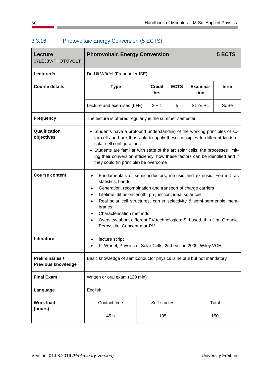| <b>Lecture</b><br>07LE33V-PHOTOVOLT                 | <b>Photovoltaic Energy Conversion</b>                                                                                                                                                                                                                                                                                                                                                                                                                                   |                                                                 |   |          | 5 ECTS |  |  |
|-----------------------------------------------------|-------------------------------------------------------------------------------------------------------------------------------------------------------------------------------------------------------------------------------------------------------------------------------------------------------------------------------------------------------------------------------------------------------------------------------------------------------------------------|-----------------------------------------------------------------|---|----------|--------|--|--|
| Lecturer/s                                          | Dr. Uli Würfel (Fraunhofer ISE)                                                                                                                                                                                                                                                                                                                                                                                                                                         |                                                                 |   |          |        |  |  |
| <b>Course details</b>                               | <b>Type</b>                                                                                                                                                                                                                                                                                                                                                                                                                                                             | <b>ECTS</b><br>Examina-<br><b>Credit</b><br>term<br>tion<br>hrs |   |          |        |  |  |
|                                                     | Lecture and exercises (L+E)                                                                                                                                                                                                                                                                                                                                                                                                                                             | $2 + 1$                                                         | 5 | SL or PL | SoSe   |  |  |
| <b>Frequency</b>                                    | The lecture is offered regularly in the summer semester.                                                                                                                                                                                                                                                                                                                                                                                                                |                                                                 |   |          |        |  |  |
| Qualification<br>objectives                         | • Students have a profound understanding of the working principles of so-<br>lar cells and are thus able to apply these principles to different kinds of<br>solar cell configurations<br>• Students are familiar with state of the art solar cells, the processes limit-<br>ing their conversion efficiency, how these factors can be identified and if<br>they could (in principle) be overcome                                                                        |                                                                 |   |          |        |  |  |
| <b>Course content</b>                               | Fundamentals of semiconductors, intrinsic and extrinsic, Fermi-Dirac<br>$\bullet$<br>statistics, bands<br>Generation, recombination and transport of charge carriers<br>$\bullet$<br>Lifetime, diffusion length, pn-junction, ideal solar cell<br>Real solar cell structures, carrier selectivity & semi-permeable mem-<br>branes<br>Characterisation methods<br>Overview about different PV technologies: Si-based, thin film, Organic,<br>Perovskite, Concentrator-PV |                                                                 |   |          |        |  |  |
| Literature                                          | lecture script<br>P. Würfel, Physics of Solar Cells, 2nd edition 2009, Wiley VCH                                                                                                                                                                                                                                                                                                                                                                                        |                                                                 |   |          |        |  |  |
| <b>Preliminaries /</b><br><b>Previous knowledge</b> | Basic knowledge of semiconductor physics is helpful but not mandatory                                                                                                                                                                                                                                                                                                                                                                                                   |                                                                 |   |          |        |  |  |
| <b>Final Exam</b>                                   | Written or oral exam (120 min)                                                                                                                                                                                                                                                                                                                                                                                                                                          |                                                                 |   |          |        |  |  |
| Language                                            | English                                                                                                                                                                                                                                                                                                                                                                                                                                                                 |                                                                 |   |          |        |  |  |
| <b>Work load</b><br>(hours)                         | Contact time                                                                                                                                                                                                                                                                                                                                                                                                                                                            | Self-studies                                                    |   |          | Total  |  |  |
|                                                     | 45 h                                                                                                                                                                                                                                                                                                                                                                                                                                                                    | 105                                                             |   |          | 150    |  |  |

### 3.3.16. Photovoltaic Energy Conversion (5 ECTS)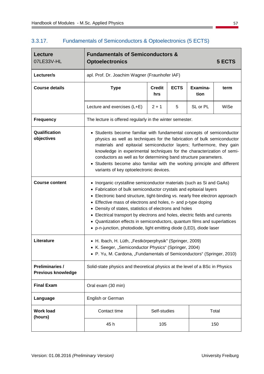# 3.3.17. Fundamentals of Semiconductors & Optoelectronics (5 ECTS)

| <b>Lecture</b><br>07LE33V-HL                        | <b>Fundamentals of Semiconductors &amp;</b><br><b>Optoelectronics</b>                                                                                                                                                                                                                                                                                                                                                                                                                                                                                                                                                        |                      |             |                  | 5 ECTS |
|-----------------------------------------------------|------------------------------------------------------------------------------------------------------------------------------------------------------------------------------------------------------------------------------------------------------------------------------------------------------------------------------------------------------------------------------------------------------------------------------------------------------------------------------------------------------------------------------------------------------------------------------------------------------------------------------|----------------------|-------------|------------------|--------|
| Lecturer/s                                          | apl. Prof. Dr. Joachim Wagner (Fraunhofer IAF)                                                                                                                                                                                                                                                                                                                                                                                                                                                                                                                                                                               |                      |             |                  |        |
| <b>Course details</b>                               | <b>Type</b>                                                                                                                                                                                                                                                                                                                                                                                                                                                                                                                                                                                                                  | <b>Credit</b><br>hrs | <b>ECTS</b> | Examina-<br>tion | term   |
|                                                     | Lecture and exercises (L+E)                                                                                                                                                                                                                                                                                                                                                                                                                                                                                                                                                                                                  | $2 + 1$              | 5           | SL or PL         | WiSe   |
| <b>Frequency</b>                                    | The lecture is offered regularly in the winter semester.                                                                                                                                                                                                                                                                                                                                                                                                                                                                                                                                                                     |                      |             |                  |        |
| Qualification<br>objectives                         | • Students become familiar with fundamental concepts of semiconductor<br>physics as well as techniques for the fabrication of bulk semiconductor<br>materials and epitaxial semiconductor layers; furthermore, they gain<br>knowledge in experimental techniques for the characterization of semi-<br>conductors as well as for determining band structure parameters.<br>Students become also familiar with the working principle and different<br>variants of key optoelectronic devices.                                                                                                                                  |                      |             |                  |        |
| <b>Course content</b>                               | Inorganic crystalline semiconductor materials (such as Si and GaAs)<br>$\bullet$<br>Fabrication of bulk semiconductor crystals and epitaxial layers<br>$\bullet$<br>Electronic band structure, tight-binding vs. nearly free electron approach<br>Effective mass of electrons and holes, n- and p-type doping<br>$\bullet$<br>Density of states, statistics of electrons and holes<br>Electrical transport by electrons and holes, electric fields and currents<br>Quantization effects in semiconductors, quantum films and superlattices<br>$\bullet$<br>p-n-junction, photodiode, light emitting diode (LED), diode laser |                      |             |                  |        |
| Literature                                          | • H. Ibach, H. Lüth, "Festkörperphysik" (Springer, 2009)<br>• K. Seeger, "Semiconductor Physics" (Springer, 2004)<br>• P. Yu, M. Cardona, "Fundamentals of Semiconductors" (Springer, 2010)                                                                                                                                                                                                                                                                                                                                                                                                                                  |                      |             |                  |        |
| <b>Preliminaries /</b><br><b>Previous knowledge</b> | Solid-state physics and theoretical physics at the level of a BSc in Physics                                                                                                                                                                                                                                                                                                                                                                                                                                                                                                                                                 |                      |             |                  |        |
| <b>Final Exam</b>                                   | Oral exam (30 min)                                                                                                                                                                                                                                                                                                                                                                                                                                                                                                                                                                                                           |                      |             |                  |        |
| Language                                            | English or German                                                                                                                                                                                                                                                                                                                                                                                                                                                                                                                                                                                                            |                      |             |                  |        |
| <b>Work load</b><br>(hours)                         | Contact time                                                                                                                                                                                                                                                                                                                                                                                                                                                                                                                                                                                                                 | Self-studies         |             |                  | Total  |
|                                                     | 45 h                                                                                                                                                                                                                                                                                                                                                                                                                                                                                                                                                                                                                         | 105                  |             |                  | 150    |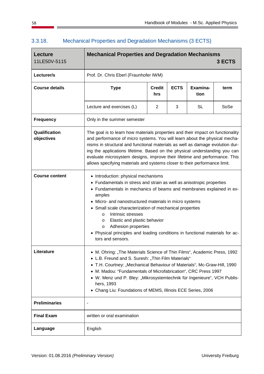| <b>Lecture</b><br>11LE50V-5115 | <b>Mechanical Properties and Degradation Mechanisms</b><br>3 ECTS                                                                                                                                                                                                                                                                                                                                                                                                                                                               |                      |             |                  |      |
|--------------------------------|---------------------------------------------------------------------------------------------------------------------------------------------------------------------------------------------------------------------------------------------------------------------------------------------------------------------------------------------------------------------------------------------------------------------------------------------------------------------------------------------------------------------------------|----------------------|-------------|------------------|------|
| Lecturer/s                     | Prof. Dr. Chris Eberl (Fraunhofer IWM)                                                                                                                                                                                                                                                                                                                                                                                                                                                                                          |                      |             |                  |      |
| <b>Course details</b>          | <b>Type</b>                                                                                                                                                                                                                                                                                                                                                                                                                                                                                                                     | <b>Credit</b><br>hrs | <b>ECTS</b> | Examina-<br>tion | term |
|                                | Lecture and exercises (L)                                                                                                                                                                                                                                                                                                                                                                                                                                                                                                       | 2                    | 3           | SL               | SoSe |
| <b>Frequency</b>               | Only in the summer semester                                                                                                                                                                                                                                                                                                                                                                                                                                                                                                     |                      |             |                  |      |
| Qualification<br>objectives    | The goal is to learn how materials properties and their impact on functionality<br>and performance of micro systems. You will learn about the physical mecha-<br>nisms in structural and functional materials as well as damage evolution dur-<br>ing the applications lifetime. Based on the physical understanding you can<br>evaluate microsystem designs, improve their lifetime and performance. This<br>allows specifying materials and systems closer to their performance limit.                                        |                      |             |                  |      |
| <b>Course content</b>          | • Introduction: physical mechanisms<br>Fundamentals in stress and strain as well as anisotropic properties<br>• Fundamentals in mechanics of beams and membranes explained in ex-<br>amples<br>Micro- and nanostructured materials in micro systems<br>• Small scale characterization of mechanical properties<br>Intrinsic stresses<br>$\circ$<br>Elastic and plastic behavior<br>$\circ$<br>Adhesion properties<br>$\circ$<br>Physical principles and loading conditions in functional materials for ac-<br>tors and sensors. |                      |             |                  |      |
| Literature                     | • M. Ohring: "The Materials Science of Thin Films", Academic Press, 1992<br>• L.B. Freund and S. Suresh: "Thin Film Materials"<br>T.H. Courtney: "Mechanical Behaviour of Materials", Mc-Graw-Hill, 1990<br>$\bullet$<br>M. Madou: "Fundamentals of Microfabrication", CRC Press 1997<br>W. Menz und P. Bley: "Mikrosystemtechnik für Ingenieure", VCH Publis-<br>hers, 1993<br>Chang Liu: Foundations of MEMS, Illinois ECE Series, 2006                                                                                       |                      |             |                  |      |
| <b>Preliminaries</b>           |                                                                                                                                                                                                                                                                                                                                                                                                                                                                                                                                 |                      |             |                  |      |
| <b>Final Exam</b>              | written or oral examination                                                                                                                                                                                                                                                                                                                                                                                                                                                                                                     |                      |             |                  |      |
| Language                       | English                                                                                                                                                                                                                                                                                                                                                                                                                                                                                                                         |                      |             |                  |      |

### 3.3.18. Mechanical Properties and Degradation Mechanisms (3 ECTS)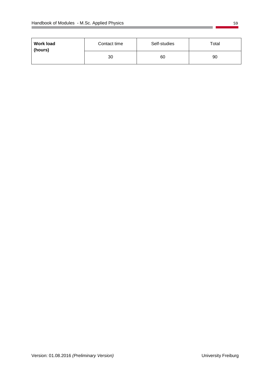| <b>Work load</b><br>(hours) | Contact time | Self-studies | Total |
|-----------------------------|--------------|--------------|-------|
| 30                          |              | 60           | 90    |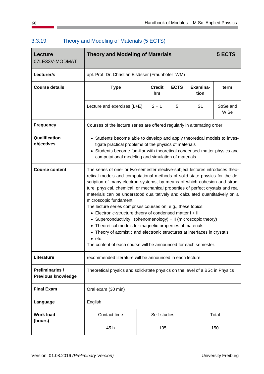| <b>Lecture</b><br>07LE33V-MODMAT                    | <b>Theory and Modeling of Materials</b><br>5 ECTS                                                                                                                                                                                                                                                                                                                                                                                                                                                                                                                                                                                                                                                                                                                                                                                                                                          |              |                  |  |       |  |  |
|-----------------------------------------------------|--------------------------------------------------------------------------------------------------------------------------------------------------------------------------------------------------------------------------------------------------------------------------------------------------------------------------------------------------------------------------------------------------------------------------------------------------------------------------------------------------------------------------------------------------------------------------------------------------------------------------------------------------------------------------------------------------------------------------------------------------------------------------------------------------------------------------------------------------------------------------------------------|--------------|------------------|--|-------|--|--|
| Lecturer/s                                          | apl. Prof. Dr. Christian Elsässer (Fraunhofer IWM)                                                                                                                                                                                                                                                                                                                                                                                                                                                                                                                                                                                                                                                                                                                                                                                                                                         |              |                  |  |       |  |  |
| <b>Course details</b>                               | <b>ECTS</b><br><b>Type</b><br><b>Credit</b><br>Examina-<br>term<br>tion<br>hrs                                                                                                                                                                                                                                                                                                                                                                                                                                                                                                                                                                                                                                                                                                                                                                                                             |              |                  |  |       |  |  |
|                                                     | Lecture and exercises (L+E)                                                                                                                                                                                                                                                                                                                                                                                                                                                                                                                                                                                                                                                                                                                                                                                                                                                                | <b>SL</b>    | SoSe and<br>WiSe |  |       |  |  |
| <b>Frequency</b>                                    | Courses of the lecture series are offered regularly in alternating order.                                                                                                                                                                                                                                                                                                                                                                                                                                                                                                                                                                                                                                                                                                                                                                                                                  |              |                  |  |       |  |  |
| Qualification<br>objectives                         | • Students become able to develop and apply theoretical models to inves-<br>tigate practical problems of the physics of materials<br>Students become familiar with theoretical condensed-matter physics and<br>computational modeling and simulation of materials                                                                                                                                                                                                                                                                                                                                                                                                                                                                                                                                                                                                                          |              |                  |  |       |  |  |
| <b>Course content</b>                               | The series of one- or two-semester elective-subject lectures introduces theo-<br>retical models and computational methods of solid-state physics for the de-<br>scription of many-electron systems, by means of which cohesion and struc-<br>ture, physical, chemical, or mechanical properties of perfect crystals and real<br>materials can be understood qualitatively and calculated quantitatively on a<br>microscopic fundament.<br>The lecture series comprises courses on, e.g., these topics:<br>• Electronic-structure theory of condensed matter I + II<br>Superconductivity I (phenomenology) + II (microscopic theory)<br>$\bullet$<br>• Theoretical models for magnetic properties of materials<br>Theory of atomistic and electronic structures at interfaces in crystals<br>$\bullet$<br>$\bullet$ etc.<br>The content of each course will be announced for each semester. |              |                  |  |       |  |  |
| Literature                                          | recommended literature will be announced in each lecture                                                                                                                                                                                                                                                                                                                                                                                                                                                                                                                                                                                                                                                                                                                                                                                                                                   |              |                  |  |       |  |  |
| <b>Preliminaries /</b><br><b>Previous knowledge</b> | Theoretical physics and solid-state physics on the level of a BSc in Physics                                                                                                                                                                                                                                                                                                                                                                                                                                                                                                                                                                                                                                                                                                                                                                                                               |              |                  |  |       |  |  |
| <b>Final Exam</b>                                   | Oral exam (30 min)                                                                                                                                                                                                                                                                                                                                                                                                                                                                                                                                                                                                                                                                                                                                                                                                                                                                         |              |                  |  |       |  |  |
| Language                                            | English                                                                                                                                                                                                                                                                                                                                                                                                                                                                                                                                                                                                                                                                                                                                                                                                                                                                                    |              |                  |  |       |  |  |
| <b>Work load</b><br>(hours)                         | Contact time                                                                                                                                                                                                                                                                                                                                                                                                                                                                                                                                                                                                                                                                                                                                                                                                                                                                               | Self-studies |                  |  | Total |  |  |
|                                                     | 45 h                                                                                                                                                                                                                                                                                                                                                                                                                                                                                                                                                                                                                                                                                                                                                                                                                                                                                       | 105          |                  |  | 150   |  |  |

### 3.3.19. Theory and Modeling of Materials (5 ECTS)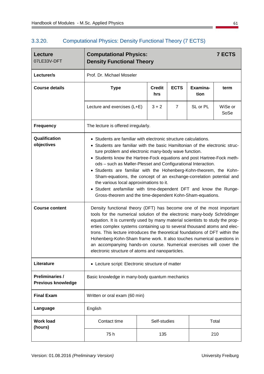# 3.3.20. Computational Physics: Density Functional Theory (7 ECTS)

| <b>Lecture</b><br>07LE33V-DFT                       | <b>Computational Physics:</b><br><b>Density Functional Theory</b>                                                                                                                                                                                                                                                                                                                                                                                                                                                                                                                                                                                                                     |              |  |  | <b>7 ECTS</b> |  |  |
|-----------------------------------------------------|---------------------------------------------------------------------------------------------------------------------------------------------------------------------------------------------------------------------------------------------------------------------------------------------------------------------------------------------------------------------------------------------------------------------------------------------------------------------------------------------------------------------------------------------------------------------------------------------------------------------------------------------------------------------------------------|--------------|--|--|---------------|--|--|
| Lecturer/s                                          | Prof. Dr. Michael Moseler                                                                                                                                                                                                                                                                                                                                                                                                                                                                                                                                                                                                                                                             |              |  |  |               |  |  |
| <b>Course details</b>                               | <b>ECTS</b><br>Examina-<br><b>Type</b><br><b>Credit</b><br>term<br>tion<br>hrs                                                                                                                                                                                                                                                                                                                                                                                                                                                                                                                                                                                                        |              |  |  |               |  |  |
|                                                     | SL or PL<br>WiSe or<br>Lecture and exercises (L+E)<br>$3 + 2$<br>$\overline{7}$<br>SoSe                                                                                                                                                                                                                                                                                                                                                                                                                                                                                                                                                                                               |              |  |  |               |  |  |
| <b>Frequency</b>                                    | The lecture is offered irregularly.                                                                                                                                                                                                                                                                                                                                                                                                                                                                                                                                                                                                                                                   |              |  |  |               |  |  |
| Qualification<br>objectives                         | • Students are familiar with electronic structure calculations.<br>Students are familiar with the basic Hamiltonian of the electronic struc-<br>ture problem and electronic many-body wave function.<br>• Students know the Hartree-Fock equations and post Hartree-Fock meth-<br>ods - such as Møller-Plesset and Configurational Interaction.<br>• Students are familiar with the Hohenberg-Kohn-theorem, the Kohn-<br>Sham-equations, the concept of an exchange-correlation potential and<br>the various local approximations to it.<br>Student arefamiliar with time-dependent DFT and know the Runge-<br>$\bullet$<br>Gross-theorem and the time-dependent Kohn-Sham-equations. |              |  |  |               |  |  |
| <b>Course content</b>                               | Density functional theory (DFT) has become one of the most important<br>tools for the numerical solution of the electronic many-body Schrödinger<br>equation. It is currently used by many material scientists to study the prop-<br>erties complex systems containing up to several thousand atoms and elec-<br>trons. This lecture introduces the theoretical foundations of DFT within the<br>Hohenberg-Kohn-Sham frame work. It also touches numerical questions in<br>an accompanying hands-on course. Numerical exercises will cover the<br>electronic structure of atoms and nanoparticles.                                                                                    |              |  |  |               |  |  |
| Literature                                          | • Lecture script: Electronic structure of matter                                                                                                                                                                                                                                                                                                                                                                                                                                                                                                                                                                                                                                      |              |  |  |               |  |  |
| <b>Preliminaries /</b><br><b>Previous knowledge</b> | Basic knowledge in many-body quantum mechanics                                                                                                                                                                                                                                                                                                                                                                                                                                                                                                                                                                                                                                        |              |  |  |               |  |  |
| <b>Final Exam</b>                                   | Written or oral exam (60 min)                                                                                                                                                                                                                                                                                                                                                                                                                                                                                                                                                                                                                                                         |              |  |  |               |  |  |
| Language                                            | English                                                                                                                                                                                                                                                                                                                                                                                                                                                                                                                                                                                                                                                                               |              |  |  |               |  |  |
| <b>Work load</b><br>(hours)                         | Contact time                                                                                                                                                                                                                                                                                                                                                                                                                                                                                                                                                                                                                                                                          | Self-studies |  |  | Total         |  |  |
|                                                     | 75h                                                                                                                                                                                                                                                                                                                                                                                                                                                                                                                                                                                                                                                                                   | 135          |  |  | 210           |  |  |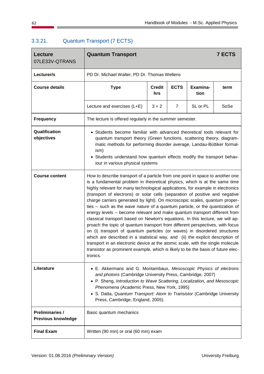| <b>Lecture</b><br>07LE33V-QTRANS                    | <b>7 ECTS</b><br><b>Quantum Transport</b>                                                                                                                                                                                                                                                                                                                                                                                                                                                                                                                                                                                                                                                                                                                                                                                                                                                                                                                                                                                                                                                         |                                                                 |   |          |      |  |  |  |
|-----------------------------------------------------|---------------------------------------------------------------------------------------------------------------------------------------------------------------------------------------------------------------------------------------------------------------------------------------------------------------------------------------------------------------------------------------------------------------------------------------------------------------------------------------------------------------------------------------------------------------------------------------------------------------------------------------------------------------------------------------------------------------------------------------------------------------------------------------------------------------------------------------------------------------------------------------------------------------------------------------------------------------------------------------------------------------------------------------------------------------------------------------------------|-----------------------------------------------------------------|---|----------|------|--|--|--|
| Lecturer/s                                          | PD Dr. Michael Walter, PD Dr. Thomas Wellens                                                                                                                                                                                                                                                                                                                                                                                                                                                                                                                                                                                                                                                                                                                                                                                                                                                                                                                                                                                                                                                      |                                                                 |   |          |      |  |  |  |
| <b>Course details</b>                               | <b>Type</b>                                                                                                                                                                                                                                                                                                                                                                                                                                                                                                                                                                                                                                                                                                                                                                                                                                                                                                                                                                                                                                                                                       | <b>ECTS</b><br>Examina-<br><b>Credit</b><br>term<br>tion<br>hrs |   |          |      |  |  |  |
|                                                     | Lecture and exercises (L+E)                                                                                                                                                                                                                                                                                                                                                                                                                                                                                                                                                                                                                                                                                                                                                                                                                                                                                                                                                                                                                                                                       | $3 + 2$                                                         | 7 | SL or PL | SoSe |  |  |  |
| <b>Frequency</b>                                    | The lecture is offered regularly in the summer semester.                                                                                                                                                                                                                                                                                                                                                                                                                                                                                                                                                                                                                                                                                                                                                                                                                                                                                                                                                                                                                                          |                                                                 |   |          |      |  |  |  |
| Qualification<br>objectives                         | • Students become familiar with advanced theoretical tools relevant for<br>quantum transport theory (Green functions, scattering theory, diagram-<br>matic methods for performing disorder average, Landau-Büttiker formal-<br>ism)<br>Students understand how quantum effects modify the transport behav-<br>$\bullet$<br>iour in various physical systems                                                                                                                                                                                                                                                                                                                                                                                                                                                                                                                                                                                                                                                                                                                                       |                                                                 |   |          |      |  |  |  |
| <b>Course content</b>                               | How to describe transport of a particle from one point in space to another one<br>is a fundamental problem in theoretical physics, which is at the same time<br>highly relevant for many technological applications, for example in electronics<br>(transport of electrons) or solar cells (separation of positive and negative<br>charge carriers generated by light). On microscopic scales, quantum proper-<br>ties -- such as the wave nature of a quantum particle, or the quantization of<br>energy levels -- become relevant and make quantum transport different from<br>classical transport based on Newton's equations. In this lecture, we will ap-<br>proach the topic of quantum transport from different perspectives, with focus<br>on (i) transport of quantum particles (or waves) in disordered structures<br>which are described in a statistical way, and (ii) the explicit description of<br>transport in an electronic device at the atomic scale, with the single molecule<br>transistor as prominent example, which is likely to be the basis of future elec-<br>tronics. |                                                                 |   |          |      |  |  |  |
| Literature                                          | • E. Akkermans and G. Montambaux, Mesoscopic Physics of electrons<br>and photons (Cambridge University Press, Cambridge, 2007)<br>P. Sheng, Introduction to Wave Scattering, Localization, and Mesoscopic<br>Phenomena (Academic Press, New York, 1995)<br>• S. Datta, Quantum Transport: Atom to Transistor (Cambridge University<br>Press, Cambridge, England, 2005).                                                                                                                                                                                                                                                                                                                                                                                                                                                                                                                                                                                                                                                                                                                           |                                                                 |   |          |      |  |  |  |
| <b>Preliminaries /</b><br><b>Previous knowledge</b> | Basic quantum mechanics                                                                                                                                                                                                                                                                                                                                                                                                                                                                                                                                                                                                                                                                                                                                                                                                                                                                                                                                                                                                                                                                           |                                                                 |   |          |      |  |  |  |
| <b>Final Exam</b>                                   | Written (90 min) or oral (60 min) exam                                                                                                                                                                                                                                                                                                                                                                                                                                                                                                                                                                                                                                                                                                                                                                                                                                                                                                                                                                                                                                                            |                                                                 |   |          |      |  |  |  |

# 3.3.21. Quantum Transport (7 ECTS)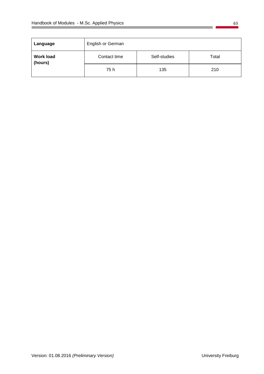| Language                    | English or German |              |       |  |
|-----------------------------|-------------------|--------------|-------|--|
| <b>Work load</b><br>(hours) | Contact time      | Self-studies | Total |  |
|                             | 75 h              | 135          | 210   |  |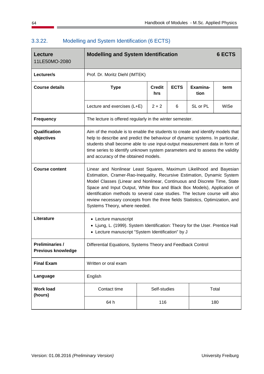| <b>Lecture</b><br>11LE50MO-2080                     | <b>Modelling and System Identification</b>                                                                                                                                                                                                                                                                                                                                                                                                                                                              |                                |              |   |          | <b>6 ECTS</b> |  |  |
|-----------------------------------------------------|---------------------------------------------------------------------------------------------------------------------------------------------------------------------------------------------------------------------------------------------------------------------------------------------------------------------------------------------------------------------------------------------------------------------------------------------------------------------------------------------------------|--------------------------------|--------------|---|----------|---------------|--|--|
| Lecturer/s                                          |                                                                                                                                                                                                                                                                                                                                                                                                                                                                                                         | Prof. Dr. Moritz Diehl (IMTEK) |              |   |          |               |  |  |
| <b>Course details</b>                               | <b>ECTS</b><br>Examina-<br><b>Type</b><br><b>Credit</b><br>term<br>tion<br>hrs                                                                                                                                                                                                                                                                                                                                                                                                                          |                                |              |   |          |               |  |  |
|                                                     | Lecture and exercises (L+E)                                                                                                                                                                                                                                                                                                                                                                                                                                                                             |                                | $2 + 2$      | 6 | SL or PL | WiSe          |  |  |
| <b>Frequency</b>                                    | The lecture is offered regularly in the winter semester.                                                                                                                                                                                                                                                                                                                                                                                                                                                |                                |              |   |          |               |  |  |
| Qualification<br>objectives                         | Aim of the module is to enable the students to create and identify models that<br>help to describe and predict the behaviour of dynamic systems. In particular,<br>students shall become able to use input-output measurement data in form of<br>time series to identify unknown system parameters and to assess the validity<br>and accuracy of the obtained models.                                                                                                                                   |                                |              |   |          |               |  |  |
| <b>Course content</b>                               | Linear and Nonlinear Least Squares, Maximum Likelihood and Bayesian<br>Estimation, Cramer-Rao-Inequality, Recursive Estimation, Dynamic System<br>Model Classes (Linear and Nonlinear, Continuous and Discrete Time, State<br>Space and Input Output, White Box and Black Box Models), Application of<br>identification methods to several case studies. The lecture course will also<br>review necessary concepts from the three fields Statistics, Optimization, and<br>Systems Theory, where needed. |                                |              |   |          |               |  |  |
| Literature                                          | • Lecture manuscript<br>• Ljung, L. (1999). System Identification: Theory for the User. Prentice Hall<br>• Lecture manuscript "System Identification" by J                                                                                                                                                                                                                                                                                                                                              |                                |              |   |          |               |  |  |
| <b>Preliminaries /</b><br><b>Previous knowledge</b> | Differential Equations, Systems Theory and Feedback Control                                                                                                                                                                                                                                                                                                                                                                                                                                             |                                |              |   |          |               |  |  |
| <b>Final Exam</b>                                   | Written or oral exam                                                                                                                                                                                                                                                                                                                                                                                                                                                                                    |                                |              |   |          |               |  |  |
| Language                                            | English                                                                                                                                                                                                                                                                                                                                                                                                                                                                                                 |                                |              |   |          |               |  |  |
| <b>Work load</b><br>(hours)                         | Contact time                                                                                                                                                                                                                                                                                                                                                                                                                                                                                            |                                | Self-studies |   |          | Total         |  |  |
|                                                     | 64 h                                                                                                                                                                                                                                                                                                                                                                                                                                                                                                    |                                | 116          |   |          | 180           |  |  |

# 3.3.22. Modelling and System Identification (6 ECTS)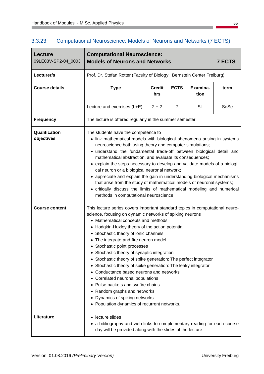| Lecture<br>09LE03V-SP2-04_0003 | <b>Computational Neuroscience:</b><br><b>Models of Neurons and Networks</b><br><b>7 ECTS</b>                                                                                                                                                                                                                                                                                                                                                                                                                                                                                                                                                                                                                                                 |                                     |   |                  |      |  |  |  |
|--------------------------------|----------------------------------------------------------------------------------------------------------------------------------------------------------------------------------------------------------------------------------------------------------------------------------------------------------------------------------------------------------------------------------------------------------------------------------------------------------------------------------------------------------------------------------------------------------------------------------------------------------------------------------------------------------------------------------------------------------------------------------------------|-------------------------------------|---|------------------|------|--|--|--|
| Lecturer/s                     | Prof. Dr. Stefan Rotter (Faculty of Biology, Bernstein Center Freiburg)                                                                                                                                                                                                                                                                                                                                                                                                                                                                                                                                                                                                                                                                      |                                     |   |                  |      |  |  |  |
| <b>Course details</b>          | <b>Type</b>                                                                                                                                                                                                                                                                                                                                                                                                                                                                                                                                                                                                                                                                                                                                  | <b>ECTS</b><br><b>Credit</b><br>hrs |   | Examina-<br>tion | term |  |  |  |
|                                | Lecture and exercises (L+E)                                                                                                                                                                                                                                                                                                                                                                                                                                                                                                                                                                                                                                                                                                                  | $2 + 2$                             | 7 | <b>SL</b>        | SoSe |  |  |  |
| <b>Frequency</b>               | The lecture is offered regularly in the summer semester.                                                                                                                                                                                                                                                                                                                                                                                                                                                                                                                                                                                                                                                                                     |                                     |   |                  |      |  |  |  |
| Qualification<br>objectives    | The students have the competence to<br>• link mathematical models with biological phenomena arising in systems<br>neuroscience both using theory and computer simulations;<br>understand the fundamental trade-off between biological detail and<br>mathematical abstraction, and evaluate its consequences;<br>• explain the steps necessary to develop and validate models of a biologi-<br>cal neuron or a biological neuronal network;<br>• appreciate and explain the gain in understanding biological mechanisms<br>that arise from the study of mathematical models of neuronal systems;<br>critically discuss the limits of mathematical modeling and numerical<br>methods in computational neuroscience.                            |                                     |   |                  |      |  |  |  |
| <b>Course content</b>          | This lecture series covers important standard topics in computational neuro-<br>science, focusing on dynamic networks of spiking neurons<br>• Mathematical concepts and methods<br>• Hodgkin-Huxley theory of the action potential<br>• Stochastic theory of ionic channels<br>The integrate-and-fire neuron model<br>$\bullet$<br>• Stochastic point processes<br>Stochastic theory of synaptic integration<br>Stochastic theory of spike generation: The perfect integrator<br>٠<br>Stochastic theory of spike generation: The leaky integrator<br>٠<br>Conductance based neurons and networks<br>Correlated neuronal populations<br>• Pulse packets and synfire chains<br>Random graphs and networks<br>٠<br>Dynamics of spiking networks |                                     |   |                  |      |  |  |  |
| Literature                     | Population dynamics of recurrent networks.<br>lecture slides<br>a bibliography and web-links to complementary reading for each course<br>day will be provided along with the slides of the lecture.                                                                                                                                                                                                                                                                                                                                                                                                                                                                                                                                          |                                     |   |                  |      |  |  |  |

#### 3.3.23. Computational Neuroscience: Models of Neurons and Networks (7 ECTS)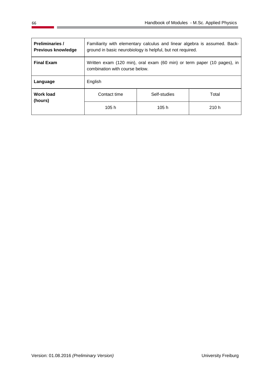| <b>Preliminaries /</b><br><b>Previous knowledge</b> | Familiarity with elementary calculus and linear algebra is assumed. Back-<br>ground in basic neurobiology is helpful, but not required. |              |       |  |  |
|-----------------------------------------------------|-----------------------------------------------------------------------------------------------------------------------------------------|--------------|-------|--|--|
| <b>Final Exam</b>                                   | Written exam (120 min), oral exam (60 min) or term paper (10 pages), in<br>combination with course below.                               |              |       |  |  |
| Language                                            | English                                                                                                                                 |              |       |  |  |
| <b>Work load</b><br>(hours)                         | Contact time                                                                                                                            | Self-studies | Total |  |  |
|                                                     | 105 h                                                                                                                                   | 105h         | 210h  |  |  |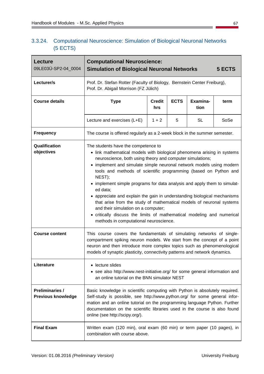| 3.3.24. Computational Neuroscience: Simulation of Biological Neuronal Networks |
|--------------------------------------------------------------------------------|
| (5 ECTS)                                                                       |

| Lecture<br>09LE03Ü-SP2-04_0004                      | <b>Computational Neuroscience:</b><br>5 ECTS<br><b>Simulation of Biological Neuronal Networks</b>                                                                                                                                                                                                                                                                                                                                                                                                                                                                                                                                                                                                                                        |                           |  |  |  |  |  |  |
|-----------------------------------------------------|------------------------------------------------------------------------------------------------------------------------------------------------------------------------------------------------------------------------------------------------------------------------------------------------------------------------------------------------------------------------------------------------------------------------------------------------------------------------------------------------------------------------------------------------------------------------------------------------------------------------------------------------------------------------------------------------------------------------------------------|---------------------------|--|--|--|--|--|--|
| Lecturer/s                                          | Prof. Dr. Stefan Rotter (Faculty of Biology, Bernstein Center Freiburg),<br>Prof. Dr. Abigail Morrison (FZ Jülich)                                                                                                                                                                                                                                                                                                                                                                                                                                                                                                                                                                                                                       |                           |  |  |  |  |  |  |
| <b>Course details</b>                               | <b>ECTS</b><br><b>Type</b><br><b>Credit</b><br>Examina-<br>term<br>tion<br>hrs                                                                                                                                                                                                                                                                                                                                                                                                                                                                                                                                                                                                                                                           |                           |  |  |  |  |  |  |
|                                                     | Lecture and exercises (L+E)                                                                                                                                                                                                                                                                                                                                                                                                                                                                                                                                                                                                                                                                                                              | $1 + 2$<br>5<br><b>SL</b> |  |  |  |  |  |  |
| <b>Frequency</b>                                    | The course is offered regularly as a 2-week block in the summer semester.                                                                                                                                                                                                                                                                                                                                                                                                                                                                                                                                                                                                                                                                |                           |  |  |  |  |  |  |
| Qualification<br>objectives                         | The students have the competence to<br>• link mathematical models with biological phenomena arising in systems<br>neuroscience, both using theory and computer simulations;<br>• implement and simulate simple neuronal network models using modern<br>tools and methods of scientific programming (based on Python and<br>NEST);<br>• implement simple programs for data analysis and apply them to simulat-<br>ed data;<br>• appreciate and explain the gain in understanding biological mechanisms<br>that arise from the study of mathematical models of neuronal systems<br>and their simulation on a computer;<br>• critically discuss the limits of mathematical modeling and numerical<br>methods in computational neuroscience. |                           |  |  |  |  |  |  |
| <b>Course content</b>                               | This course covers the fundamentals of simulating networks of single-<br>compartment spiking neuron models. We start from the concept of a point<br>neuron and then introduce more complex topics such as phenomenological<br>models of synaptic plasticity, connectivity patterns and network dynamics.                                                                                                                                                                                                                                                                                                                                                                                                                                 |                           |  |  |  |  |  |  |
| Literature                                          | • lecture slides<br>• see also http://www.nest-initiative.org/ for some general information and<br>an online tutorial on the BNN simulator NEST                                                                                                                                                                                                                                                                                                                                                                                                                                                                                                                                                                                          |                           |  |  |  |  |  |  |
| <b>Preliminaries /</b><br><b>Previous knowledge</b> | Basic knowledge in scientific computing with Python is absolutely required.<br>Self-study is possible, see http://www.python.org/ for some general infor-<br>mation and an online tutorial on the programming language Python. Further<br>documentation on the scientific libraries used in the course is also found<br>online (see http://scipy.org/).                                                                                                                                                                                                                                                                                                                                                                                  |                           |  |  |  |  |  |  |
| <b>Final Exam</b>                                   | Written exam (120 min), oral exam (60 min) or term paper (10 pages), in<br>combination with course above.                                                                                                                                                                                                                                                                                                                                                                                                                                                                                                                                                                                                                                |                           |  |  |  |  |  |  |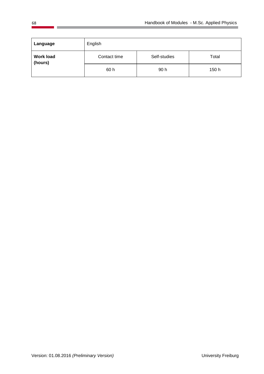| Language                    | English      |              |       |
|-----------------------------|--------------|--------------|-------|
| <b>Work load</b><br>(hours) | Contact time | Self-studies | Total |
|                             | 60 h         | 90 h         | 150 h |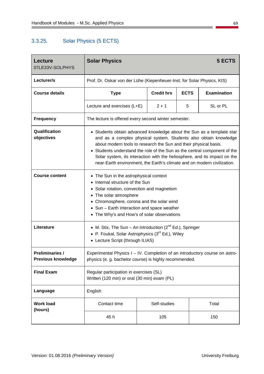### 3.3.25. Solar Physics (5 ECTS)

| <b>Lecture</b><br>07LE33V-SOLPHYS                   | <b>Solar Physics</b>                                                                                                                                                                                                                                                                                                                                                                                                                               |  |                   |             | 5 ECTS             |
|-----------------------------------------------------|----------------------------------------------------------------------------------------------------------------------------------------------------------------------------------------------------------------------------------------------------------------------------------------------------------------------------------------------------------------------------------------------------------------------------------------------------|--|-------------------|-------------|--------------------|
| Lecturer/s                                          | Prof. Dr. Oskar von der Lühe (Kiepenheuer-Inst. for Solar Physics, KIS)                                                                                                                                                                                                                                                                                                                                                                            |  |                   |             |                    |
| <b>Course details</b>                               | <b>Type</b>                                                                                                                                                                                                                                                                                                                                                                                                                                        |  | <b>Credit hrs</b> | <b>ECTS</b> | <b>Examination</b> |
|                                                     | Lecture and exercises (L+E)                                                                                                                                                                                                                                                                                                                                                                                                                        |  | $2 + 1$           | 5           | SL or PL           |
| <b>Frequency</b>                                    | The lecture is offered every second winter semester.                                                                                                                                                                                                                                                                                                                                                                                               |  |                   |             |                    |
| Qualification<br>objectives                         | • Students obtain advanced knowledge about the Sun as a template star<br>and as a complex physical system. Students also obtain knowledge<br>about modern tools to research the Sun and their physical basis.<br>• Students understand the role of the Sun as the central component of the<br>Solar system, its interaction with the heliosphere, and its impact on the<br>near-Earth environment, the Earth's climate and on modern civilization. |  |                   |             |                    |
| <b>Course content</b>                               | • The Sun in the astrophysical context<br>• Internal structure of the Sun<br>• Solar rotation, convection and magnetism<br>• The solar atmosphere<br>Chromosphere, corona and the solar wind<br>• Sun - Earth interaction and space weather<br>• The Why's and How's of solar observations                                                                                                                                                         |  |                   |             |                    |
| Literature                                          | • M. Stix, The Sun – An Introduction $(2^{nd} Ed.)$ , Springer<br>• P. Foukal, Solar Astrophysics $(3^{rd} Ed.)$ , Wiley<br>• Lecture Script (through ILIAS)                                                                                                                                                                                                                                                                                       |  |                   |             |                    |
| <b>Preliminaries /</b><br><b>Previous knowledge</b> | Experimental Physics I - IV. Completion of an introductory course on astro-<br>physics (e. g. bachelor course) is highly recommended.                                                                                                                                                                                                                                                                                                              |  |                   |             |                    |
| <b>Final Exam</b>                                   | Regular participation in exercises (SL)<br>Written (120 min) or oral (30 min) exam (PL)                                                                                                                                                                                                                                                                                                                                                            |  |                   |             |                    |
| Language                                            | English                                                                                                                                                                                                                                                                                                                                                                                                                                            |  |                   |             |                    |
| <b>Work load</b><br>(hours)                         | Contact time                                                                                                                                                                                                                                                                                                                                                                                                                                       |  | Self-studies      |             | Total              |
|                                                     | 45 h                                                                                                                                                                                                                                                                                                                                                                                                                                               |  | 105               |             | 150                |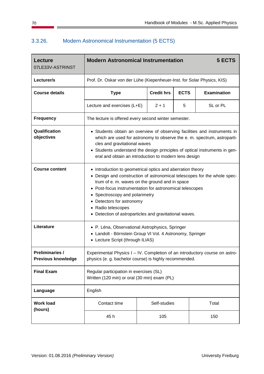### 3.3.26. Modern Astronomical Instrumentation (5 ECTS)

| <b>Lecture</b><br>07LE33V-ASTRINST                  | <b>Modern Astronomical Instrumentation</b><br>5 ECTS                                                                                                                                                                                                                                                                                                                                      |  |                   |             |                    |
|-----------------------------------------------------|-------------------------------------------------------------------------------------------------------------------------------------------------------------------------------------------------------------------------------------------------------------------------------------------------------------------------------------------------------------------------------------------|--|-------------------|-------------|--------------------|
| Lecturer/s                                          | Prof. Dr. Oskar von der Lühe (Kiepenheuer-Inst. for Solar Physics, KIS)                                                                                                                                                                                                                                                                                                                   |  |                   |             |                    |
| <b>Course details</b>                               | <b>Type</b>                                                                                                                                                                                                                                                                                                                                                                               |  | <b>Credit hrs</b> | <b>ECTS</b> | <b>Examination</b> |
|                                                     | Lecture and exercises (L+E)                                                                                                                                                                                                                                                                                                                                                               |  | $2 + 1$           | 5           | SL or PL           |
| <b>Frequency</b>                                    | The lecture is offered every second winter semester.                                                                                                                                                                                                                                                                                                                                      |  |                   |             |                    |
| Qualification<br>objectives                         | • Students obtain an overview of observing facilities and instruments in<br>which are used for astronomy to observe the e. m. spectrum, astroparti-<br>cles and gravitational waves<br>• Students understand the design principles of optical instruments in gen-<br>eral and obtain an introduction to modern lens design                                                                |  |                   |             |                    |
| <b>Course content</b>                               | • Introduction to geometrical optics and aberration theory<br>Design and construction of astronomical telescopes for the whole spec-<br>trum of e. m. waves on the ground and in space<br>Post-focus instrumentation for astronomical telescopes<br>Spectroscopy and polarimetry<br>Detectors for astronomy<br>• Radio telescopes<br>Detection of astroparticles and gravitational waves. |  |                   |             |                    |
| Literature                                          | • P. Léna, Observational Astrophysics, Springer<br>• Landolt - Börnstein Group VI Vol. 4 Astronomy, Springer<br>• Lecture Script (through ILIAS)                                                                                                                                                                                                                                          |  |                   |             |                    |
| <b>Preliminaries /</b><br><b>Previous knowledge</b> | Experimental Physics I - IV. Completion of an introductory course on astro<br>physics (e. g. bachelor course) is highly recommended.                                                                                                                                                                                                                                                      |  |                   |             |                    |
| <b>Final Exam</b>                                   | Regular participation in exercises (SL)<br>Written (120 min) or oral (30 min) exam (PL)                                                                                                                                                                                                                                                                                                   |  |                   |             |                    |
| Language                                            | English                                                                                                                                                                                                                                                                                                                                                                                   |  |                   |             |                    |
| <b>Work load</b><br>(hours)                         | Contact time                                                                                                                                                                                                                                                                                                                                                                              |  | Self-studies      |             | Total              |
|                                                     | 45 h                                                                                                                                                                                                                                                                                                                                                                                      |  | 105               |             | 150                |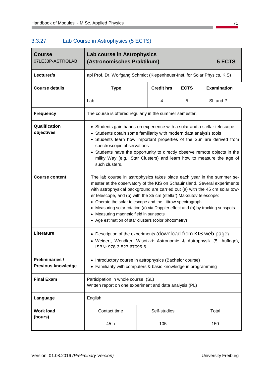#### 3.3.27. Lab Course in Astrophysics (5 ECTS)

| <b>Course</b><br>07LE33P-ASTROLAB                   | Lab course in Astrophysics<br>(Astronomisches Praktikum)<br>5 ECTS                                                                                                                                                                                                                                                                                                                                                                                                                                                                                              |                   |             |                    |  |
|-----------------------------------------------------|-----------------------------------------------------------------------------------------------------------------------------------------------------------------------------------------------------------------------------------------------------------------------------------------------------------------------------------------------------------------------------------------------------------------------------------------------------------------------------------------------------------------------------------------------------------------|-------------------|-------------|--------------------|--|
| Lecturer/s                                          | apl Prof. Dr. Wolfgang Schmidt (Kiepenheuer-Inst. for Solar Physics, KIS)                                                                                                                                                                                                                                                                                                                                                                                                                                                                                       |                   |             |                    |  |
| <b>Course details</b>                               | <b>Type</b>                                                                                                                                                                                                                                                                                                                                                                                                                                                                                                                                                     | <b>Credit hrs</b> | <b>ECTS</b> | <b>Examination</b> |  |
|                                                     | Lab                                                                                                                                                                                                                                                                                                                                                                                                                                                                                                                                                             | 4                 | 5           | SL and PL          |  |
| <b>Frequency</b>                                    | The course is offered regularly in the summer semester.                                                                                                                                                                                                                                                                                                                                                                                                                                                                                                         |                   |             |                    |  |
| Qualification<br>objectives                         | • Students gain hands-on experience with a solar and a stellar telescope.<br>Students obtain some familiarity with modern data analysis tools<br>$\bullet$<br>Students learn how important properties of the Sun are derived from<br>spectroscopic observations<br>• Students have the opportunity to directly observe remote objects in the<br>milky Way (e.g., Star Clusters) and learn how to measure the age of<br>such clusters.                                                                                                                           |                   |             |                    |  |
| <b>Course content</b>                               | The lab course in astrophysics takes place each year in the summer se-<br>mester at the observatory of the KIS on Schauinsland. Several experiments<br>with astrophysical background are carried out (a) with the 45 cm solar tow-<br>er telescope, and (b) with the 35 cm (stellar) Maksutov telescope:<br>Operate the solar telescope and the Littrow spectrograph<br>Measuring solar rotation (a) via Doppler effect and (b) by tracking sunspots<br>$\bullet$<br>Measuring magnetic field in sunspots<br>Age estimation of star clusters (color photometry) |                   |             |                    |  |
| Literature                                          | Description of the experiments (download from KIS web page)<br>· Weigert, Wendker, Wisotzki: Astronomie & Astrophysik (5. Auflage),<br>ISBN: 978-3-527-67095-6                                                                                                                                                                                                                                                                                                                                                                                                  |                   |             |                    |  |
| <b>Preliminaries /</b><br><b>Previous knowledge</b> | • Introductory course in astrophysics (Bachelor course)<br>• Familiarity with computers & basic knowledge in programming                                                                                                                                                                                                                                                                                                                                                                                                                                        |                   |             |                    |  |
| <b>Final Exam</b>                                   | Participation in whole course (SL)<br>Written report on one experiment and data analysis (PL)                                                                                                                                                                                                                                                                                                                                                                                                                                                                   |                   |             |                    |  |
| Language                                            | English                                                                                                                                                                                                                                                                                                                                                                                                                                                                                                                                                         |                   |             |                    |  |
| <b>Work load</b><br>(hours)                         | Contact time                                                                                                                                                                                                                                                                                                                                                                                                                                                                                                                                                    | Self-studies      |             | Total              |  |
|                                                     | 45 h                                                                                                                                                                                                                                                                                                                                                                                                                                                                                                                                                            | 105               |             | 150                |  |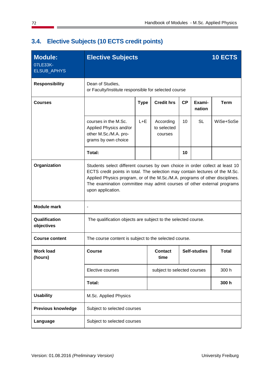| <b>Module:</b><br>07LE33K-<br>ELSUB_APHYS | <b>Elective Subjects</b>                                                                                                                                                                                                                                                                                                                    |                                                      |                                     |    |                  | 10 ECTS     |
|-------------------------------------------|---------------------------------------------------------------------------------------------------------------------------------------------------------------------------------------------------------------------------------------------------------------------------------------------------------------------------------------------|------------------------------------------------------|-------------------------------------|----|------------------|-------------|
| <b>Responsibility</b>                     | Dean of Studies,                                                                                                                                                                                                                                                                                                                            | or Faculty/Institute responsible for selected course |                                     |    |                  |             |
| <b>Courses</b>                            |                                                                                                                                                                                                                                                                                                                                             | <b>Type</b>                                          | <b>Credit hrs</b>                   | CP | Exami-<br>nation | <b>Term</b> |
|                                           | courses in the M.Sc.<br>Applied Physics and/or<br>other M.Sc./M.A. pro-<br>grams by own choice                                                                                                                                                                                                                                              | $L + E$                                              | According<br>to selected<br>courses | 10 | <b>SL</b>        | WiSe+SoSe   |
|                                           | Total:                                                                                                                                                                                                                                                                                                                                      |                                                      |                                     | 10 |                  |             |
| Organization                              | Students select different courses by own choice in order collect at least 10<br>ECTS credit points in total. The selection may contain lectures of the M.Sc.<br>Applied Physics program, or of the M.Sc./M.A. programs of other disciplines.<br>The examination committee may admit courses of other external programs<br>upon application. |                                                      |                                     |    |                  |             |
| <b>Module mark</b>                        | $\overline{\phantom{a}}$                                                                                                                                                                                                                                                                                                                    |                                                      |                                     |    |                  |             |
| Qualification<br>objectives               | The qualification objects are subject to the selected course.                                                                                                                                                                                                                                                                               |                                                      |                                     |    |                  |             |
| <b>Course content</b>                     | The course content is subject to the selected course.                                                                                                                                                                                                                                                                                       |                                                      |                                     |    |                  |             |
| <b>Work load</b><br>(hours)               | <b>Course</b>                                                                                                                                                                                                                                                                                                                               |                                                      | <b>Contact</b><br>time              |    | Self-studies     | Total       |
|                                           | Elective courses                                                                                                                                                                                                                                                                                                                            |                                                      | subject to selected courses         |    |                  | 300 h       |
|                                           | Total:                                                                                                                                                                                                                                                                                                                                      |                                                      |                                     |    |                  | 300 h       |
| <b>Usability</b>                          | M.Sc. Applied Physics                                                                                                                                                                                                                                                                                                                       |                                                      |                                     |    |                  |             |
| <b>Previous knowledge</b>                 | Subject to selected courses                                                                                                                                                                                                                                                                                                                 |                                                      |                                     |    |                  |             |
| Language                                  | Subject to selected courses                                                                                                                                                                                                                                                                                                                 |                                                      |                                     |    |                  |             |

# **3.4. Elective Subjects (10 ECTS credit points)**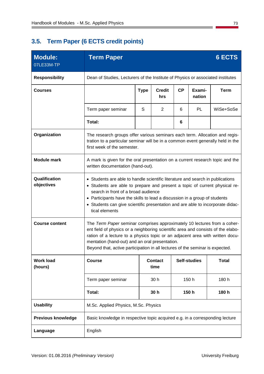# **3.5. Term Paper (6 ECTS credit points)**

| <b>Module:</b><br>07LE33M-TP | <b>Term Paper</b>                                                                                                                                                                                                                                                                                                                                                                     |                                                                                                                                                                                               |                        |           |                     | <b>6 ECTS</b> |
|------------------------------|---------------------------------------------------------------------------------------------------------------------------------------------------------------------------------------------------------------------------------------------------------------------------------------------------------------------------------------------------------------------------------------|-----------------------------------------------------------------------------------------------------------------------------------------------------------------------------------------------|------------------------|-----------|---------------------|---------------|
| <b>Responsibility</b>        |                                                                                                                                                                                                                                                                                                                                                                                       | Dean of Studies, Lecturers of the Institute of Physics or associated institutes                                                                                                               |                        |           |                     |               |
| <b>Courses</b>               |                                                                                                                                                                                                                                                                                                                                                                                       | <b>Type</b>                                                                                                                                                                                   | <b>Credit</b><br>hrs   | <b>CP</b> | Exami-<br>nation    | <b>Term</b>   |
|                              | Term paper seminar                                                                                                                                                                                                                                                                                                                                                                    | S                                                                                                                                                                                             | 2                      | 6         | PL                  | WiSe+SoSe     |
|                              | Total:                                                                                                                                                                                                                                                                                                                                                                                |                                                                                                                                                                                               |                        | 6         |                     |               |
| Organization                 |                                                                                                                                                                                                                                                                                                                                                                                       | The research groups offer various seminars each term. Allocation and regis-<br>tration to a particular seminar will be in a common event generally held in the<br>first week of the semester. |                        |           |                     |               |
| <b>Module mark</b>           |                                                                                                                                                                                                                                                                                                                                                                                       | A mark is given for the oral presentation on a current research topic and the<br>written documentation (hand-out).                                                                            |                        |           |                     |               |
| Qualification<br>objectives  | • Students are able to handle scientific literature and search in publications<br>• Students are able to prepare and present a topic of current physical re-<br>search in front of a broad audience<br>• Participants have the skills to lead a discussion in a group of students<br>• Students can give scientific presentation and are able to incorporate didac-<br>tical elements |                                                                                                                                                                                               |                        |           |                     |               |
| <b>Course content</b>        | The Term Paper seminar comprises approximately 10 lectures from a coher-<br>ent field of physics or a neighboring scientific area and consists of the elabo-<br>ration of a lecture to a physics topic or an adjacent area with written docu-<br>mentation (hand-out) and an oral presentation.<br>Beyond that, active participation in all lectures of the seminar is expected.      |                                                                                                                                                                                               |                        |           |                     |               |
| <b>Work load</b><br>(hours)  | <b>Course</b>                                                                                                                                                                                                                                                                                                                                                                         |                                                                                                                                                                                               | <b>Contact</b><br>time |           | <b>Self-studies</b> | <b>Total</b>  |
|                              | Term paper seminar                                                                                                                                                                                                                                                                                                                                                                    |                                                                                                                                                                                               | 30h                    |           | 150 h               | 180 h         |
|                              | Total:                                                                                                                                                                                                                                                                                                                                                                                |                                                                                                                                                                                               | 30 h                   |           | 150h                | 180h          |
| <b>Usability</b>             | M.Sc. Applied Physics, M.Sc. Physics                                                                                                                                                                                                                                                                                                                                                  |                                                                                                                                                                                               |                        |           |                     |               |
| <b>Previous knowledge</b>    | Basic knowledge in respective topic acquired e.g. in a corresponding lecture                                                                                                                                                                                                                                                                                                          |                                                                                                                                                                                               |                        |           |                     |               |
| Language                     | English                                                                                                                                                                                                                                                                                                                                                                               |                                                                                                                                                                                               |                        |           |                     |               |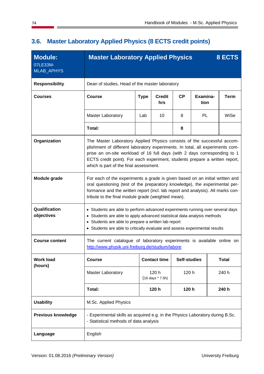| <b>Module:</b><br>07LE33M-<br>MLAB_APHYS | <b>Master Laboratory Applied Physics</b>                                                                                                                                                                                                                                                             |                                                                                                                                                                                                                                                                                                                                                                |                           |                     |                  |  | 8 ECTS       |
|------------------------------------------|------------------------------------------------------------------------------------------------------------------------------------------------------------------------------------------------------------------------------------------------------------------------------------------------------|----------------------------------------------------------------------------------------------------------------------------------------------------------------------------------------------------------------------------------------------------------------------------------------------------------------------------------------------------------------|---------------------------|---------------------|------------------|--|--------------|
| <b>Responsibility</b>                    |                                                                                                                                                                                                                                                                                                      | Dean of studies, Head of the master laboratory                                                                                                                                                                                                                                                                                                                 |                           |                     |                  |  |              |
| <b>Courses</b>                           | <b>Course</b>                                                                                                                                                                                                                                                                                        | <b>Type</b>                                                                                                                                                                                                                                                                                                                                                    | <b>Credit</b><br>hrs      | <b>CP</b>           | Examina-<br>tion |  | <b>Term</b>  |
|                                          | <b>Master Laboratory</b>                                                                                                                                                                                                                                                                             | Lab                                                                                                                                                                                                                                                                                                                                                            | 10                        | 8                   | PL               |  | WiSe         |
|                                          | Total:                                                                                                                                                                                                                                                                                               |                                                                                                                                                                                                                                                                                                                                                                |                           | 8                   |                  |  |              |
| Organization                             |                                                                                                                                                                                                                                                                                                      | The Master Laboratory Applied Physics consists of the successful accom-<br>plishment of different laboratory experiments. In total, all experiments com-<br>prise an on-site workload of 16 full days (with 2 days corresponding to 1<br>ECTS credit point). For each experiment, students prepare a written report,<br>which is part of the final assessment. |                           |                     |                  |  |              |
| Module grade                             | For each of the experiments a grade is given based on an initial written and<br>oral questioning (test of the preparatory knowledge), the experimental per-<br>formance and the written report (incl. lab report and analysis). All marks con-<br>tribute to the final module grade (weighted mean). |                                                                                                                                                                                                                                                                                                                                                                |                           |                     |                  |  |              |
| Qualification<br>objectives              | • Students are able to perform advanced experiments running over several days<br>• Students are able to apply advanced statistical data analysis methods<br>• Students are able to prepare a written lab report<br>• Students are able to critically evaluate and assess experimental results        |                                                                                                                                                                                                                                                                                                                                                                |                           |                     |                  |  |              |
| <b>Course content</b>                    | The current catalogue of laboratory experiments is available online on<br>http://www.physik.uni-freiburg.de/studium/labore                                                                                                                                                                           |                                                                                                                                                                                                                                                                                                                                                                |                           |                     |                  |  |              |
| <b>Work load</b><br>(hours)              | <b>Course</b>                                                                                                                                                                                                                                                                                        |                                                                                                                                                                                                                                                                                                                                                                | <b>Contact time</b>       | <b>Self-studies</b> |                  |  | <b>Total</b> |
|                                          | <b>Master Laboratory</b>                                                                                                                                                                                                                                                                             |                                                                                                                                                                                                                                                                                                                                                                | 120 h<br>(16 days * 7.5h) | 120 h               |                  |  | 240 h        |
|                                          | Total:                                                                                                                                                                                                                                                                                               |                                                                                                                                                                                                                                                                                                                                                                | 120 h                     | 120 h               |                  |  | 240 h        |
| <b>Usability</b>                         | M.Sc. Applied Physics                                                                                                                                                                                                                                                                                |                                                                                                                                                                                                                                                                                                                                                                |                           |                     |                  |  |              |
| <b>Previous knowledge</b>                | - Experimental skills as acquired e.g. in the Physics Laboratory during B.Sc.<br>- Statistical methods of data analysis                                                                                                                                                                              |                                                                                                                                                                                                                                                                                                                                                                |                           |                     |                  |  |              |
| Language                                 | English                                                                                                                                                                                                                                                                                              |                                                                                                                                                                                                                                                                                                                                                                |                           |                     |                  |  |              |

# **3.6. Master Laboratory Applied Physics (8 ECTS credit points)**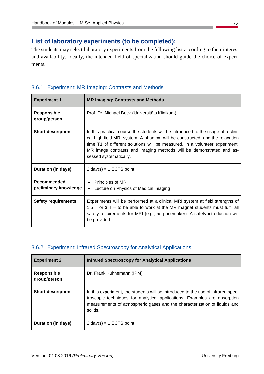### **List of laboratory experiments (to be completed):**

The students may select laboratory experiments from the following list according to their interest and availability. Ideally, the intended field of specialization should guide the choice of experiments.

#### 3.6.1. Experiment: MR Imaging: Contrasts and Methods

| <b>Experiment 1</b>                  | <b>MR Imaging: Contrasts and Methods</b>                                                                                                                                                                                                                                                                                                          |
|--------------------------------------|---------------------------------------------------------------------------------------------------------------------------------------------------------------------------------------------------------------------------------------------------------------------------------------------------------------------------------------------------|
| <b>Responsible</b><br>group/person   | Prof. Dr. Michael Bock (Universitäts Klinikum)                                                                                                                                                                                                                                                                                                    |
| <b>Short description</b>             | In this practical course the students will be introduced to the usage of a clini-<br>cal high field MRI system. A phantom will be constructed, and the relaxation<br>time T1 of different solutions will be measured. In a volunteer experiment,<br>MR image contrasts and imaging methods will be demonstrated and as-<br>sessed systematically. |
| <b>Duration (in days)</b>            | $2 \text{ day}(s) = 1 \text{ ECTS point}$                                                                                                                                                                                                                                                                                                         |
| Recommended<br>preliminary knowledge | Principles of MRI<br>Lecture on Physics of Medical Imaging<br>$\bullet$                                                                                                                                                                                                                                                                           |
| <b>Safety requirements</b>           | Experiments will be performed at a clinical MRI system at field strengths of<br>1.5 T or $3T -$ to be able to work at the MR magnet students must fulfil all<br>safety requirements for MRI (e.g., no pacemaker). A safety introduction will<br>be provided.                                                                                      |

#### 3.6.2. Experiment: Infrared Spectroscopy for Analytical Applications

| <b>Experiment 2</b>                | <b>Infrared Spectroscopy for Analytical Applications</b>                                                                                                                                                                                              |
|------------------------------------|-------------------------------------------------------------------------------------------------------------------------------------------------------------------------------------------------------------------------------------------------------|
| <b>Responsible</b><br>group/person | Dr. Frank Kühnemann (IPM)                                                                                                                                                                                                                             |
| <b>Short description</b>           | In this experiment, the students will be introduced to the use of infrared spec-<br>troscopic techniques for analytical applications. Examples are absorption<br>measurements of atmospheric gases and the characterization of liquids and<br>solids. |
| Duration (in days)                 | $2 \text{ day}(s) = 1 \text{ ECTS point}$                                                                                                                                                                                                             |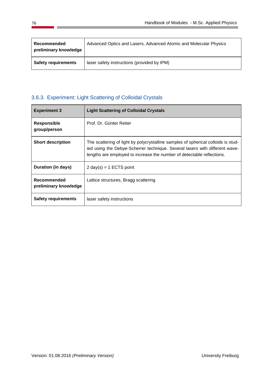| Recommended<br>preliminary knowledge | Advanced Optics and Lasers, Advanced Atomic and Molecular Physics |
|--------------------------------------|-------------------------------------------------------------------|
| <b>Safety requirements</b>           | laser safety instructions (provided by IPM)                       |

### 3.6.3. Experiment: Light Scattering of Colloidal Crystals

| <b>Experiment 3</b>                  | <b>Light Scattering of Colloidal Crystals</b>                                                                                                                                                                                              |
|--------------------------------------|--------------------------------------------------------------------------------------------------------------------------------------------------------------------------------------------------------------------------------------------|
| Responsible<br>group/person          | Prof. Dr. Günter Reiter                                                                                                                                                                                                                    |
| <b>Short description</b>             | The scattering of light by polycrystalline samples of spherical colloids is stud-<br>ied using the Debye-Scherrer technique. Several lasers with different wave-<br>lengths are employed to increase the number of detectable reflections. |
| Duration (in days)                   | 2 day(s) = 1 ECTS point                                                                                                                                                                                                                    |
| Recommended<br>preliminary knowledge | Lattice structures, Bragg scattering                                                                                                                                                                                                       |
| <b>Safety requirements</b>           | laser safety instructions                                                                                                                                                                                                                  |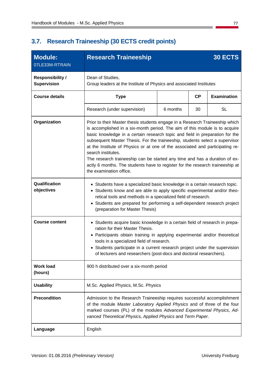### **3.7. Research Traineeship (30 ECTS credit points)**

| <b>Module:</b><br>07LE33M-RTRAIN              | <b>Research Traineeship</b>                                                                                                                                                                                                                                                                                                                                                                                                                                                                                                                                                                                                 |          |    | 30 ECTS            |
|-----------------------------------------------|-----------------------------------------------------------------------------------------------------------------------------------------------------------------------------------------------------------------------------------------------------------------------------------------------------------------------------------------------------------------------------------------------------------------------------------------------------------------------------------------------------------------------------------------------------------------------------------------------------------------------------|----------|----|--------------------|
| <b>Responsibility /</b><br><b>Supervision</b> | Dean of Studies,<br>Group leaders at the Institute of Physics and associated Institutes                                                                                                                                                                                                                                                                                                                                                                                                                                                                                                                                     |          |    |                    |
| <b>Course details</b>                         | CP<br><b>Type</b>                                                                                                                                                                                                                                                                                                                                                                                                                                                                                                                                                                                                           |          |    | <b>Examination</b> |
|                                               | Research (under supervision)                                                                                                                                                                                                                                                                                                                                                                                                                                                                                                                                                                                                | 6 months | 30 | <b>SL</b>          |
| Organization                                  | Prior to their Master thesis students engage in a Research Traineeship which<br>is accomplished in a six-month period. The aim of this module is to acquire<br>basic knowledge in a certain research topic and field in preparation for the<br>subsequent Master Thesis. For the traineeship, students select a supervisor<br>at the Institute of Physics or at one of the associated and participating re-<br>search institutes.<br>The research traineeship can be started any time and has a duration of ex-<br>actly 6 months. The students have to register for the research traineeship at<br>the examination office. |          |    |                    |
| Qualification<br>objectives                   | • Students have a specialized basic knowledge in a certain research topic.<br>• Students know and are able to apply specific experimental and/or theo-<br>retical tools and methods in a specialized field of research.<br>Students are prepared for performing a self-dependent research project<br>$\bullet$<br>(preparation for Master Thesis)                                                                                                                                                                                                                                                                           |          |    |                    |
| <b>Course content</b>                         | • Students acquire basic knowledge in a certain field of research in prepa-<br>ration for their Master Thesis.<br>• Participants obtain training in applying experimental and/or theoretical<br>tools in a specialized field of research.<br>• Students participate in a current research project under the supervision<br>of lecturers and researchers (post-docs and doctoral researchers).                                                                                                                                                                                                                               |          |    |                    |
| <b>Work load</b><br>(hours)                   | 900 h distributed over a six-month period                                                                                                                                                                                                                                                                                                                                                                                                                                                                                                                                                                                   |          |    |                    |
| <b>Usability</b>                              | M.Sc. Applied Physics, M.Sc. Physics                                                                                                                                                                                                                                                                                                                                                                                                                                                                                                                                                                                        |          |    |                    |
| <b>Precondition</b>                           | Admission to the Research Traineeship requires successful accomplishment<br>of the module Master Laboratory Applied Physics and of three of the four<br>marked courses (PL) of the modules Advanced Experimental Physics, Ad-<br>vanced Theoretical Physics, Applied Physics and Term Paper.                                                                                                                                                                                                                                                                                                                                |          |    |                    |
| Language                                      | English                                                                                                                                                                                                                                                                                                                                                                                                                                                                                                                                                                                                                     |          |    |                    |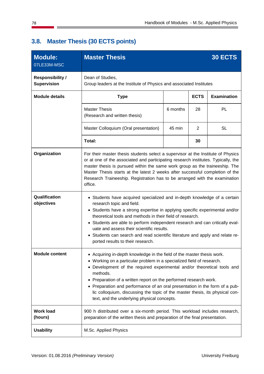| <b>Module:</b><br>07LE33M-MSC                 | <b>Master Thesis</b>                                                                                                                                                                                                                                                                                                                                                                                                                                                                                                      |          |    | <b>30 ECTS</b> |
|-----------------------------------------------|---------------------------------------------------------------------------------------------------------------------------------------------------------------------------------------------------------------------------------------------------------------------------------------------------------------------------------------------------------------------------------------------------------------------------------------------------------------------------------------------------------------------------|----------|----|----------------|
| <b>Responsibility /</b><br><b>Supervision</b> | Dean of Studies,<br>Group leaders at the Institute of Physics and associated Institutes                                                                                                                                                                                                                                                                                                                                                                                                                                   |          |    |                |
| <b>Module details</b>                         | <b>Examination</b><br><b>ECTS</b><br><b>Type</b>                                                                                                                                                                                                                                                                                                                                                                                                                                                                          |          |    |                |
|                                               | <b>Master Thesis</b><br>(Research and written thesis)                                                                                                                                                                                                                                                                                                                                                                                                                                                                     | 6 months | 28 | PL             |
|                                               | Master Colloquium (Oral presentation)                                                                                                                                                                                                                                                                                                                                                                                                                                                                                     | 45 min   | 2  | <b>SL</b>      |
|                                               | Total:                                                                                                                                                                                                                                                                                                                                                                                                                                                                                                                    |          | 30 |                |
| Organization                                  | For their master thesis students select a supervisor at the Institute of Physics<br>or at one of the associated and participating research institutes. Typically, the<br>master thesis is pursued within the same work group as the traineeship. The<br>Master Thesis starts at the latest 2 weeks after successful completion of the<br>Research Traineeship. Registration has to be arranged with the examination<br>office.                                                                                            |          |    |                |
| Qualification<br>objectives                   | • Students have acquired specialized and in-depth knowledge of a certain<br>research topic and field.<br>• Students have a strong expertise in applying specific experimental and/or<br>theoretical tools and methods in their field of research.<br>• Students are able to perform independent research and can critically eval-<br>uate and assess their scientific results.<br>Students can search and read scientific literature and apply and relate re-<br>$\bullet$<br>ported results to their research.           |          |    |                |
| <b>Module content</b>                         | • Acquiring in-depth knowledge in the field of the master thesis work.<br>• Working on a particular problem in a specialized field of research.<br>• Development of the required experimental and/or theoretical tools and<br>methods.<br>• Preparation of a written report on the performed research work.<br>• Preparation and performance of an oral presentation in the form of a pub-<br>lic colloquium, discussing the topic of the master thesis, its physical con-<br>text, and the underlying physical concepts. |          |    |                |
| <b>Work load</b><br>(hours)                   | 900 h distributed over a six-month period. This workload includes research,<br>preparation of the written thesis and preparation of the final presentation.                                                                                                                                                                                                                                                                                                                                                               |          |    |                |
| <b>Usability</b>                              | M.Sc. Applied Physics                                                                                                                                                                                                                                                                                                                                                                                                                                                                                                     |          |    |                |

# **3.8. Master Thesis (30 ECTS points)**